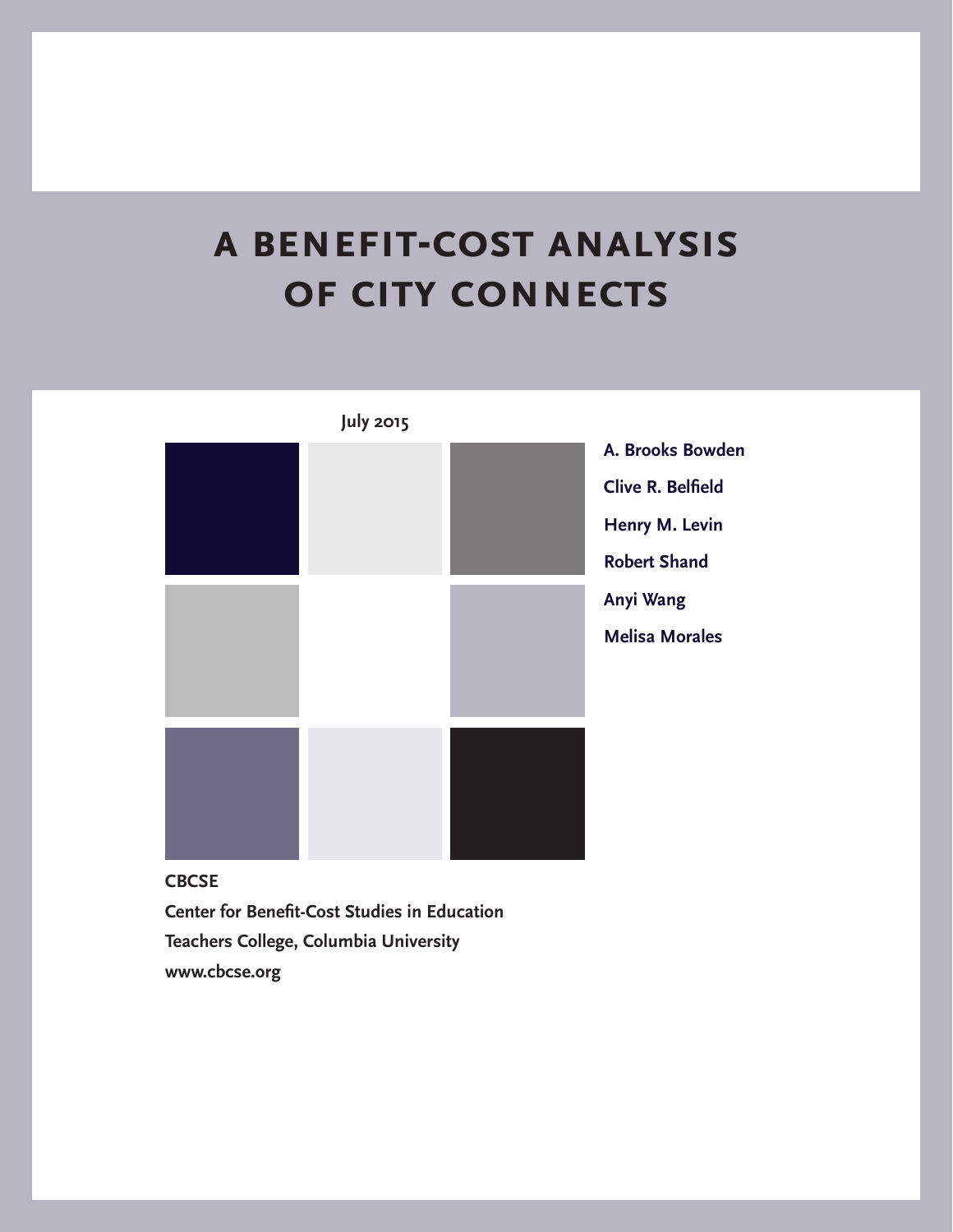# **a benefit-cost analysis of city connects**



**Center for Benefit-Cost Studies in Education Teachers College, Columbia University www.cbcse.org**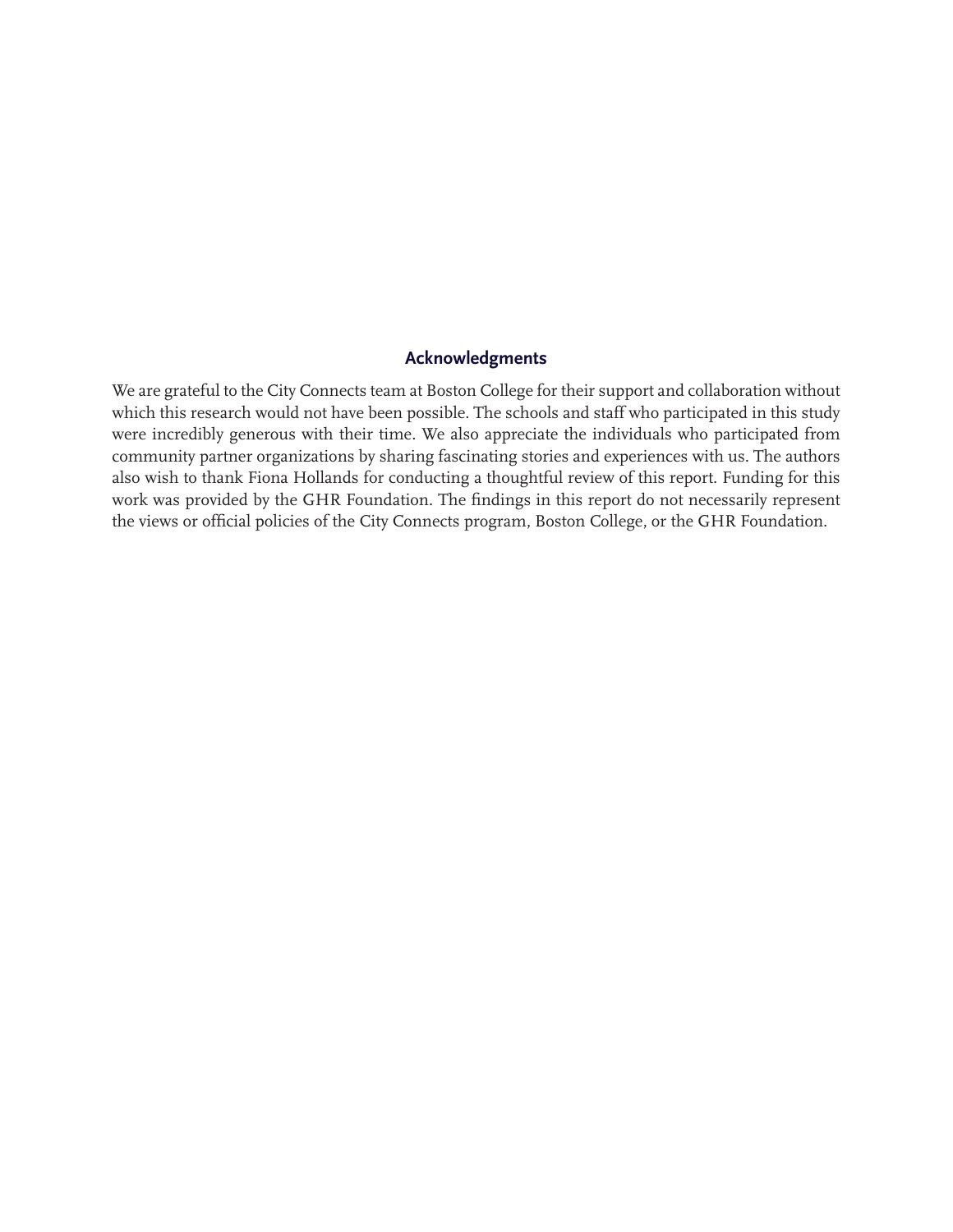### **Acknowledgments**

We are grateful to the City Connects team at Boston College for their support and collaboration without which this research would not have been possible. The schools and staff who participated in this study were incredibly generous with their time. We also appreciate the individuals who participated from community partner organizations by sharing fascinating stories and experiences with us. The authors also wish to thank Fiona Hollands for conducting a thoughtful review of this report. Funding for this work was provided by the GHR Foundation. The findings in this report do not necessarily represent the views or official policies of the City Connects program, Boston College, or the GHR Foundation.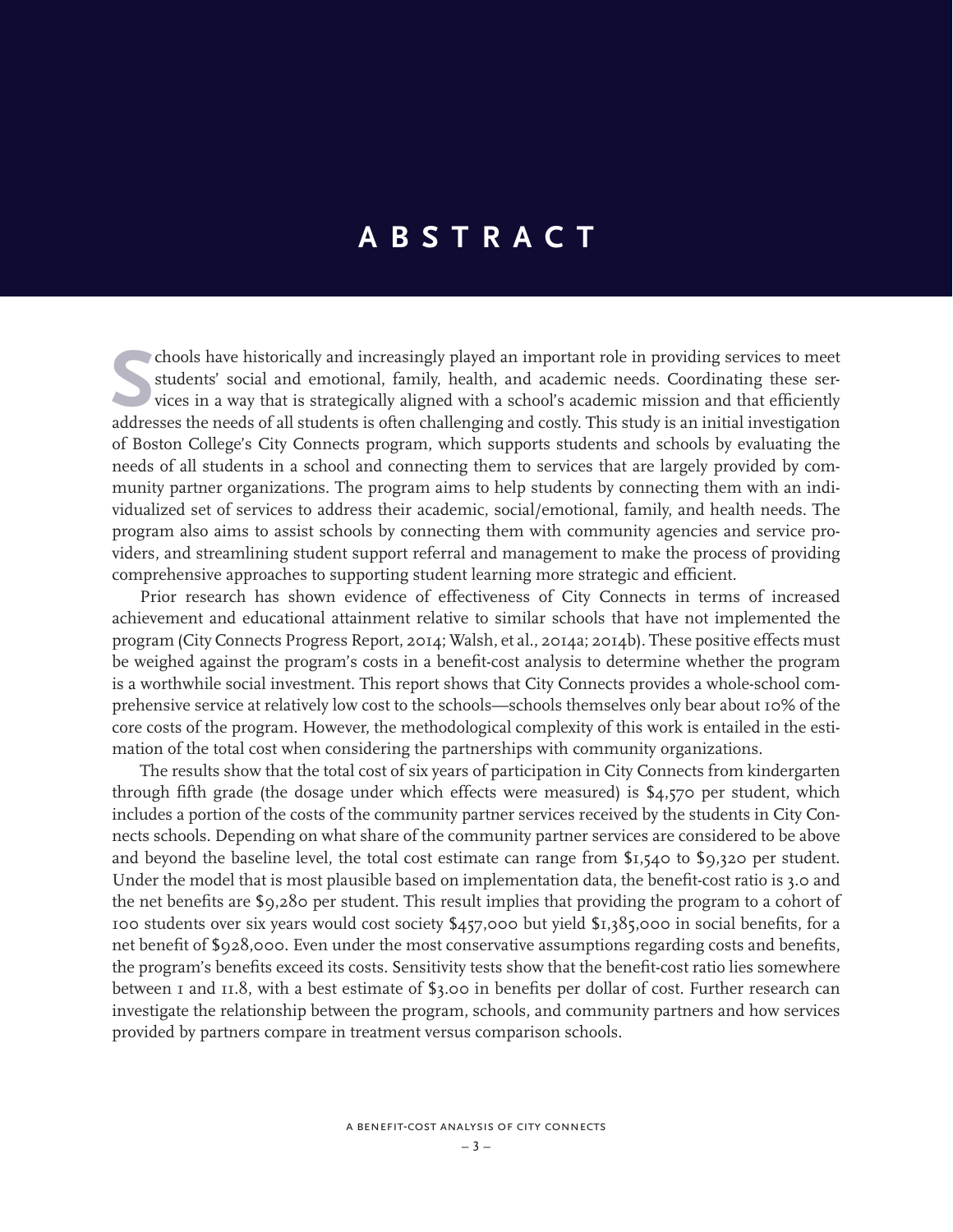# **ABSTRACT**

students' social and emotional, family, health, and academic needs. Coordinating these services in a way that is strategically aligned with a school's academic mission and that efficiently addresses the needs of all studen students' social and emotional, family, health, and academic needs. Coordinating these services in a way that is strategically aligned with a school's academic mission and that efficiently addresses the needs of all students is often challenging and costly. This study is an initial investigation of Boston College's City Connects program, which supports students and schools by evaluating the needs of all students in a school and connecting them to services that are largely provided by community partner organizations. The program aims to help students by connecting them with an individualized set of services to address their academic, social/emotional, family, and health needs. The program also aims to assist schools by connecting them with community agencies and service providers, and streamlining student support referral and management to make the process of providing comprehensive approaches to supporting student learning more strategic and efficient.

Prior research has shown evidence of effectiveness of City Connects in terms of increased achievement and educational attainment relative to similar schools that have not implemented the program (City Connects Progress Report, 2014; Walsh, et al., 2014a; 2014b). These positive effects must be weighed against the program's costs in a benefit-cost analysis to determine whether the program is a worthwhile social investment. This report shows that City Connects provides a whole-school comprehensive service at relatively low cost to the schools—schools themselves only bear about 10% of the core costs of the program. However, the methodological complexity of this work is entailed in the estimation of the total cost when considering the partnerships with community organizations.

The results show that the total cost of six years of participation in City Connects from kindergarten through fifth grade (the dosage under which effects were measured) is \$4,570 per student, which includes a portion of the costs of the community partner services received by the students in City Connects schools. Depending on what share of the community partner services are considered to be above and beyond the baseline level, the total cost estimate can range from \$1,540 to \$9,320 per student. Under the model that is most plausible based on implementation data, the benefit-cost ratio is 3.0 and the net benefits are \$9,280 per student. This result implies that providing the program to a cohort of 100 students over six years would cost society \$457,000 but yield \$1,385,000 in social benefits, for a net benefit of \$928,000. Even under the most conservative assumptions regarding costs and benefits, the program's benefits exceed its costs. Sensitivity tests show that the benefit-cost ratio lies somewhere between 1 and 11.8, with a best estimate of \$3.00 in benefits per dollar of cost. Further research can investigate the relationship between the program, schools, and community partners and how services provided by partners compare in treatment versus comparison schools.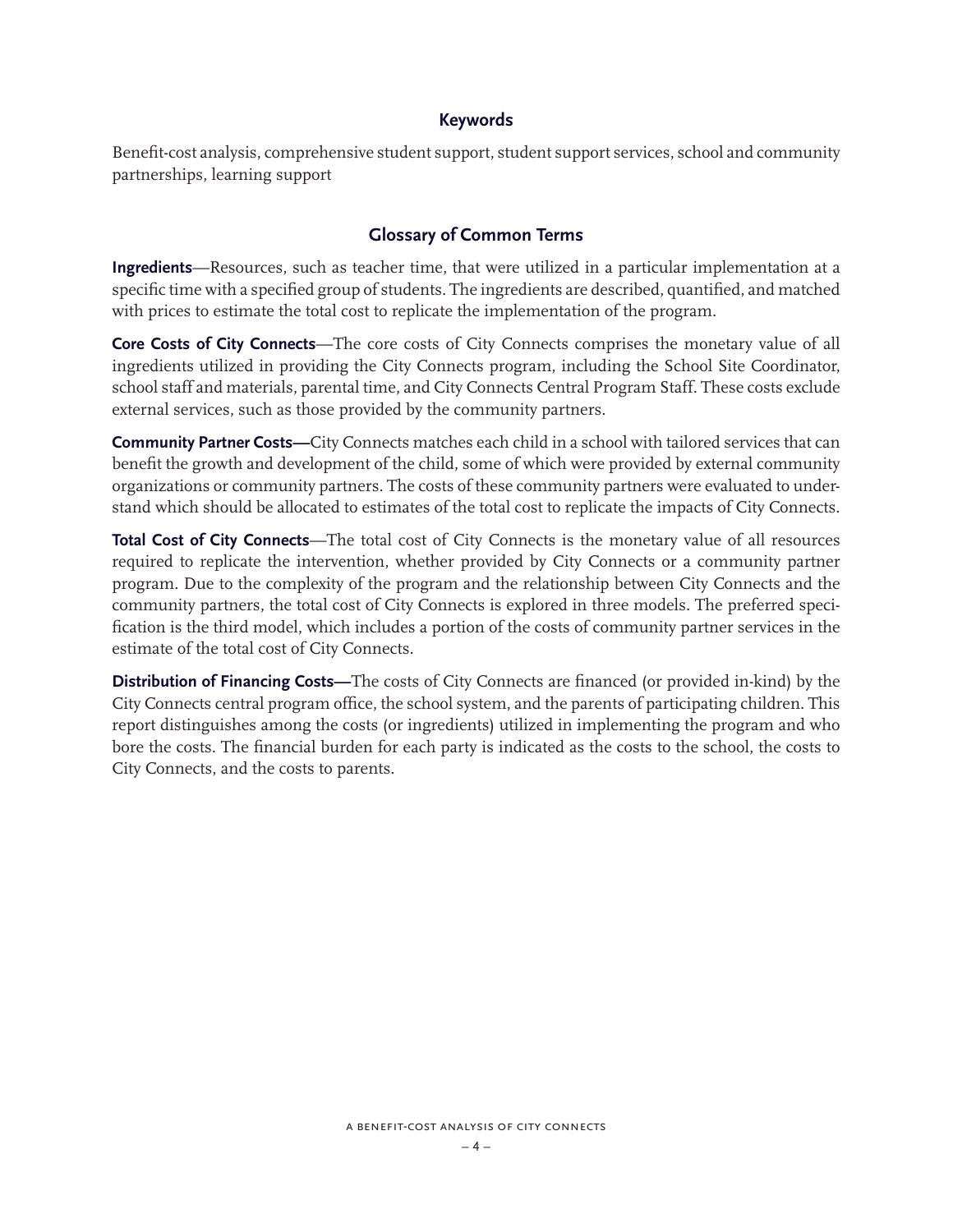### **Keywords**

Benefit-cost analysis, comprehensive student support, student support services, school and community partnerships, learning support

### **Glossary of Common Terms**

**Ingredients**—Resources, such as teacher time, that were utilized in a particular implementation at a specific time with a specified group of students. The ingredients are described, quantified, and matched with prices to estimate the total cost to replicate the implementation of the program.

**Core Costs of City Connects**—The core costs of City Connects comprises the monetary value of all ingredients utilized in providing the City Connects program, including the School Site Coordinator, school staff and materials, parental time, and City Connects Central Program Staff. These costs exclude external services, such as those provided by the community partners.

**Community Partner Costs—**City Connects matches each child in a school with tailored services that can benefit the growth and development of the child, some of which were provided by external community organizations or community partners. The costs of these community partners were evaluated to understand which should be allocated to estimates of the total cost to replicate the impacts of City Connects.

**Total Cost of City Connects**—The total cost of City Connects is the monetary value of all resources required to replicate the intervention, whether provided by City Connects or a community partner program. Due to the complexity of the program and the relationship between City Connects and the community partners, the total cost of City Connects is explored in three models. The preferred specification is the third model, which includes a portion of the costs of community partner services in the estimate of the total cost of City Connects.

**Distribution of Financing Costs—**The costs of City Connects are financed (or provided in-kind) by the City Connects central program office, the school system, and the parents of participating children. This report distinguishes among the costs (or ingredients) utilized in implementing the program and who bore the costs. The financial burden for each party is indicated as the costs to the school, the costs to City Connects, and the costs to parents.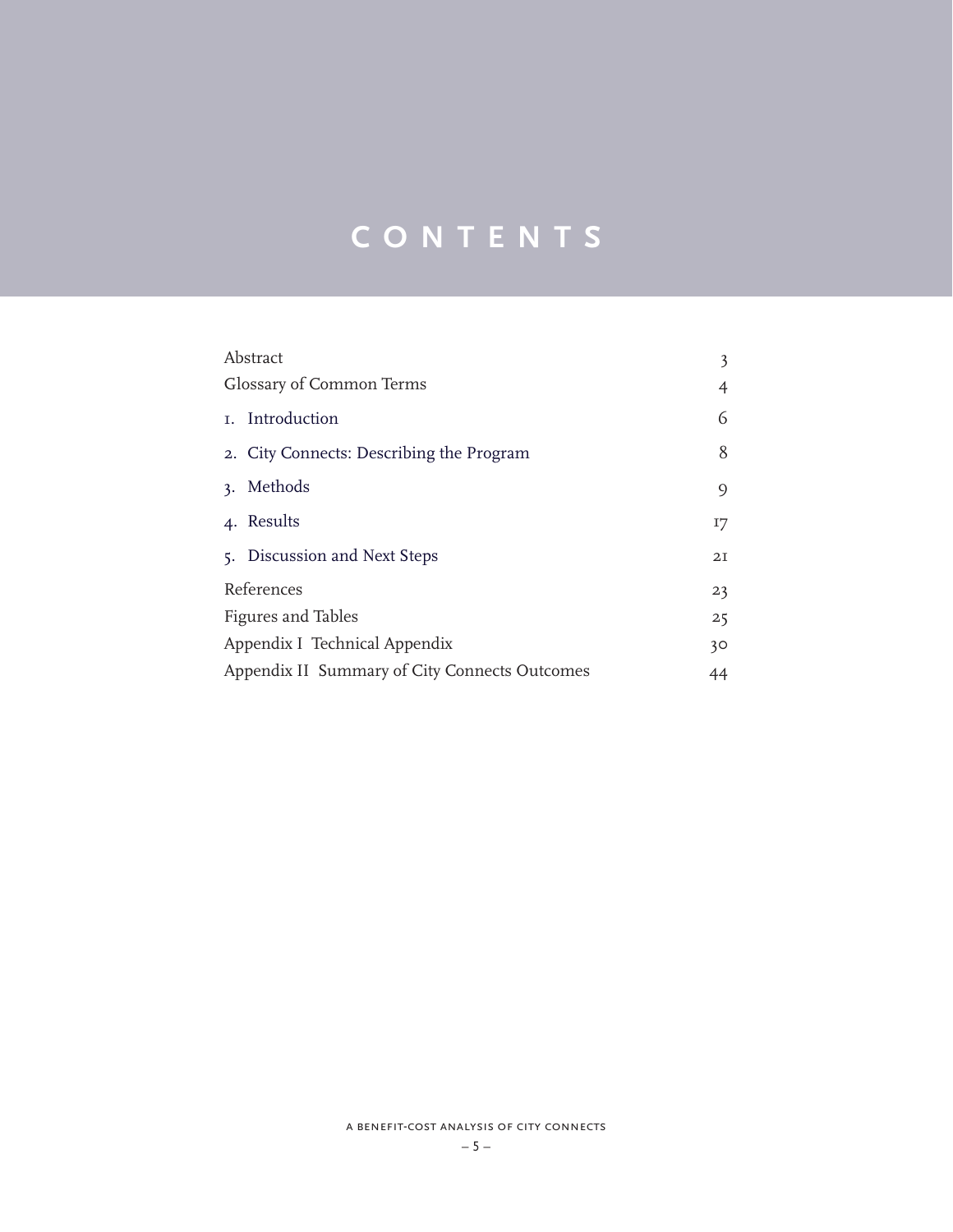# **CONTENTS**

| Abstract                                            | 3               |  |
|-----------------------------------------------------|-----------------|--|
| Glossary of Common Terms                            | 4               |  |
| I. Introduction                                     | 6               |  |
| 2. City Connects: Describing the Program            | 8               |  |
| 3. Methods                                          | 9               |  |
| 4. Results                                          | 17              |  |
| 5. Discussion and Next Steps                        | 2I              |  |
| References                                          | 23              |  |
| <b>Figures and Tables</b>                           | 25              |  |
| Appendix I Technical Appendix                       | 30 <sup>°</sup> |  |
| Appendix II Summary of City Connects Outcomes<br>44 |                 |  |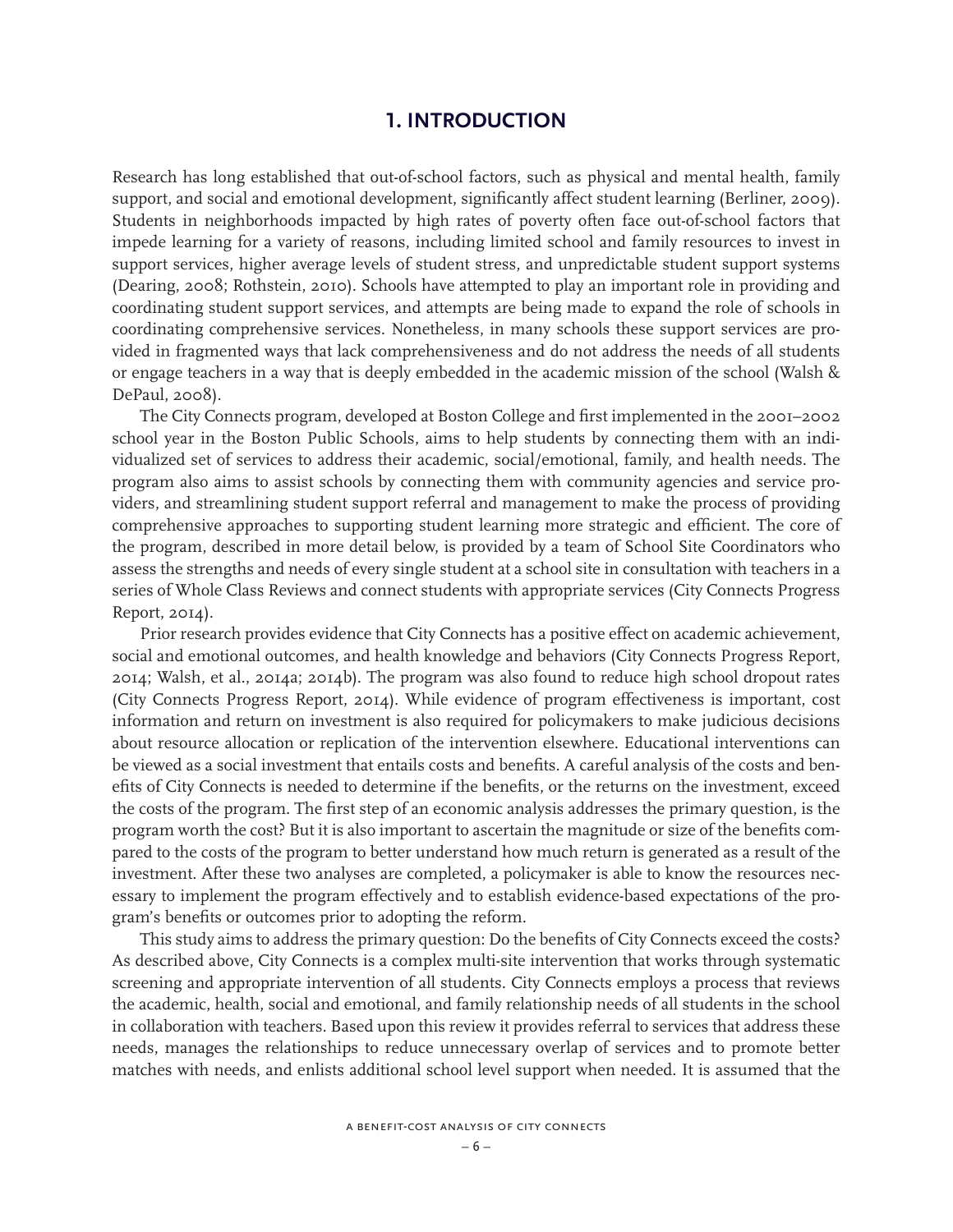# **1. INTRODUCTION**

Research has long established that out-of-school factors, such as physical and mental health, family support, and social and emotional development, significantly affect student learning (Berliner, 2009). Students in neighborhoods impacted by high rates of poverty often face out-of-school factors that impede learning for a variety of reasons, including limited school and family resources to invest in support services, higher average levels of student stress, and unpredictable student support systems (Dearing, 2008; Rothstein, 2010). Schools have attempted to play an important role in providing and coordinating student support services, and attempts are being made to expand the role of schools in coordinating comprehensive services. Nonetheless, in many schools these support services are provided in fragmented ways that lack comprehensiveness and do not address the needs of all students or engage teachers in a way that is deeply embedded in the academic mission of the school (Walsh & DePaul, 2008).

The City Connects program, developed at Boston College and first implemented in the 2001–2002 school year in the Boston Public Schools, aims to help students by connecting them with an individualized set of services to address their academic, social/emotional, family, and health needs. The program also aims to assist schools by connecting them with community agencies and service providers, and streamlining student support referral and management to make the process of providing comprehensive approaches to supporting student learning more strategic and efficient. The core of the program, described in more detail below, is provided by a team of School Site Coordinators who assess the strengths and needs of every single student at a school site in consultation with teachers in a series of Whole Class Reviews and connect students with appropriate services (City Connects Progress Report, 2014).

Prior research provides evidence that City Connects has a positive effect on academic achievement, social and emotional outcomes, and health knowledge and behaviors (City Connects Progress Report, 2014; Walsh, et al., 2014a; 2014b). The program was also found to reduce high school dropout rates (City Connects Progress Report, 2014). While evidence of program effectiveness is important, cost information and return on investment is also required for policymakers to make judicious decisions about resource allocation or replication of the intervention elsewhere. Educational interventions can be viewed as a social investment that entails costs and benefits. A careful analysis of the costs and benefits of City Connects is needed to determine if the benefits, or the returns on the investment, exceed the costs of the program. The first step of an economic analysis addresses the primary question, is the program worth the cost? But it is also important to ascertain the magnitude or size of the benefits compared to the costs of the program to better understand how much return is generated as a result of the investment. After these two analyses are completed, a policymaker is able to know the resources necessary to implement the program effectively and to establish evidence-based expectations of the program's benefits or outcomes prior to adopting the reform.

This study aims to address the primary question: Do the benefits of City Connects exceed the costs? As described above, City Connects is a complex multi-site intervention that works through systematic screening and appropriate intervention of all students. City Connects employs a process that reviews the academic, health, social and emotional, and family relationship needs of all students in the school in collaboration with teachers. Based upon this review it provides referral to services that address these needs, manages the relationships to reduce unnecessary overlap of services and to promote better matches with needs, and enlists additional school level support when needed. It is assumed that the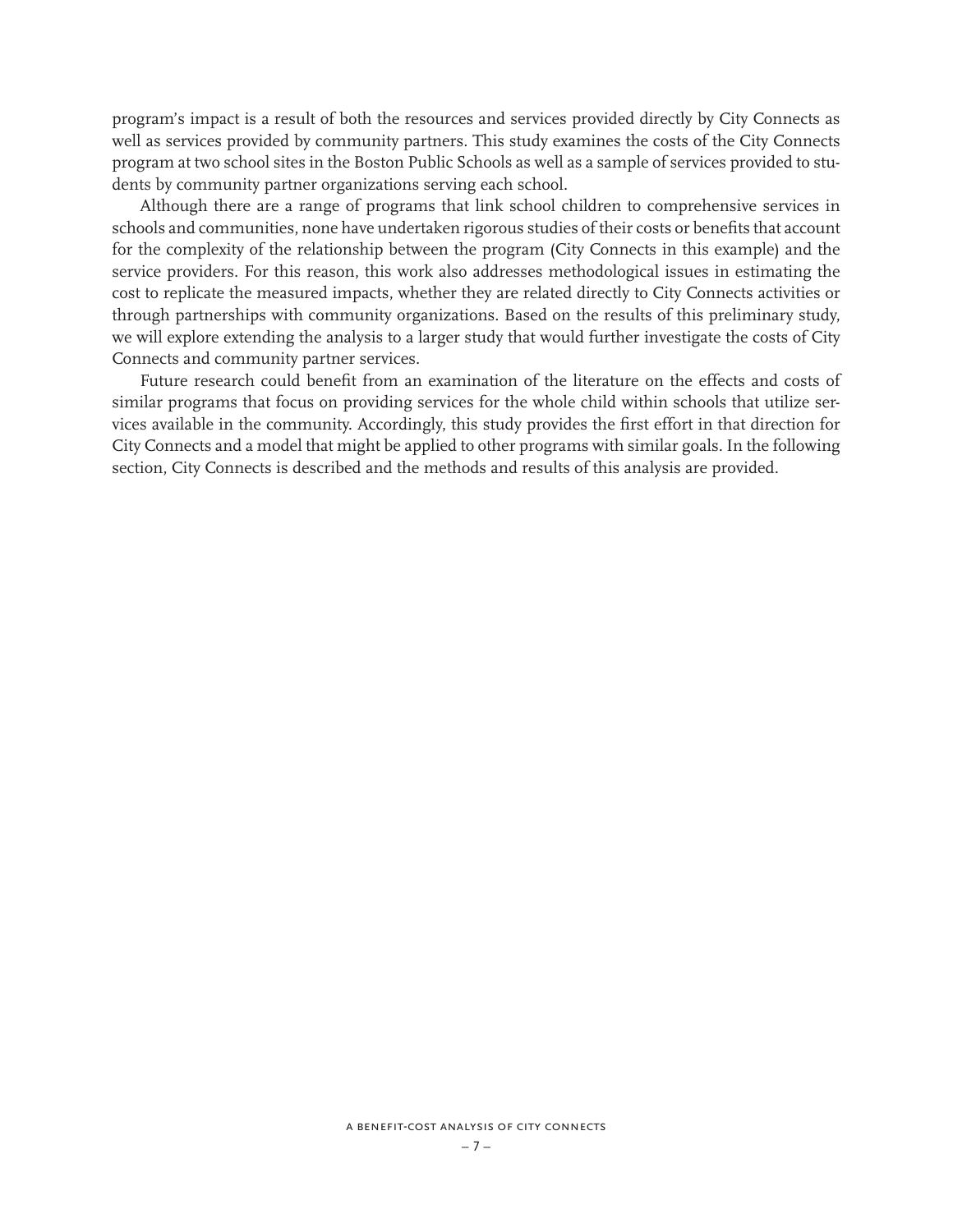program's impact is a result of both the resources and services provided directly by City Connects as well as services provided by community partners. This study examines the costs of the City Connects program at two school sites in the Boston Public Schools as well as a sample of services provided to students by community partner organizations serving each school.

Although there are a range of programs that link school children to comprehensive services in schools and communities, none have undertaken rigorous studies of their costs or benefits that account for the complexity of the relationship between the program (City Connects in this example) and the service providers. For this reason, this work also addresses methodological issues in estimating the cost to replicate the measured impacts, whether they are related directly to City Connects activities or through partnerships with community organizations. Based on the results of this preliminary study, we will explore extending the analysis to a larger study that would further investigate the costs of City Connects and community partner services.

Future research could benefit from an examination of the literature on the effects and costs of similar programs that focus on providing services for the whole child within schools that utilize services available in the community. Accordingly, this study provides the first effort in that direction for City Connects and a model that might be applied to other programs with similar goals. In the following section, City Connects is described and the methods and results of this analysis are provided.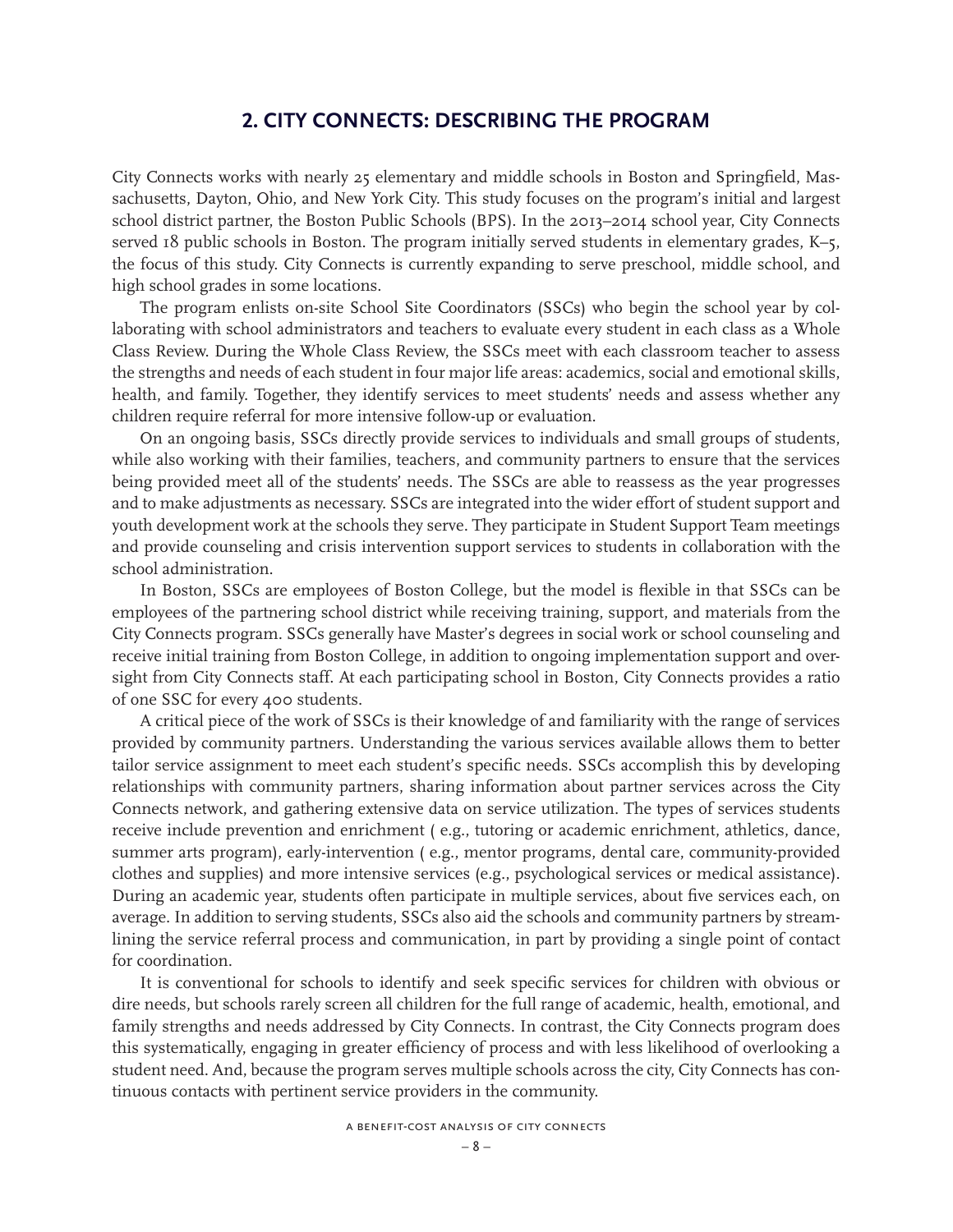# **2. CITY CONNECTS: DESCRIBING THE PROGRAM**

City Connects works with nearly 25 elementary and middle schools in Boston and Springfield, Massachusetts, Dayton, Ohio, and New York City. This study focuses on the program's initial and largest school district partner, the Boston Public Schools (BPS). In the 2013–2014 school year, City Connects served 18 public schools in Boston. The program initially served students in elementary grades, K-5, the focus of this study. City Connects is currently expanding to serve preschool, middle school, and high school grades in some locations.

The program enlists on-site School Site Coordinators (SSCs) who begin the school year by collaborating with school administrators and teachers to evaluate every student in each class as a Whole Class Review. During the Whole Class Review, the SSCs meet with each classroom teacher to assess the strengths and needs of each student in four major life areas: academics, social and emotional skills, health, and family. Together, they identify services to meet students' needs and assess whether any children require referral for more intensive follow-up or evaluation.

On an ongoing basis, SSCs directly provide services to individuals and small groups of students, while also working with their families, teachers, and community partners to ensure that the services being provided meet all of the students' needs. The SSCs are able to reassess as the year progresses and to make adjustments as necessary. SSCs are integrated into the wider effort of student support and youth development work at the schools they serve. They participate in Student Support Team meetings and provide counseling and crisis intervention support services to students in collaboration with the school administration.

In Boston, SSCs are employees of Boston College, but the model is flexible in that SSCs can be employees of the partnering school district while receiving training, support, and materials from the City Connects program. SSCs generally have Master's degrees in social work or school counseling and receive initial training from Boston College, in addition to ongoing implementation support and oversight from City Connects staff. At each participating school in Boston, City Connects provides a ratio of one SSC for every 400 students.

A critical piece of the work of SSCs is their knowledge of and familiarity with the range of services provided by community partners. Understanding the various services available allows them to better tailor service assignment to meet each student's specific needs. SSCs accomplish this by developing relationships with community partners, sharing information about partner services across the City Connects network, and gathering extensive data on service utilization. The types of services students receive include prevention and enrichment ( e.g., tutoring or academic enrichment, athletics, dance, summer arts program), early-intervention ( e.g., mentor programs, dental care, community-provided clothes and supplies) and more intensive services (e.g., psychological services or medical assistance). During an academic year, students often participate in multiple services, about five services each, on average. In addition to serving students, SSCs also aid the schools and community partners by streamlining the service referral process and communication, in part by providing a single point of contact for coordination.

It is conventional for schools to identify and seek specific services for children with obvious or dire needs, but schools rarely screen all children for the full range of academic, health, emotional, and family strengths and needs addressed by City Connects. In contrast, the City Connects program does this systematically, engaging in greater efficiency of process and with less likelihood of overlooking a student need. And, because the program serves multiple schools across the city, City Connects has continuous contacts with pertinent service providers in the community.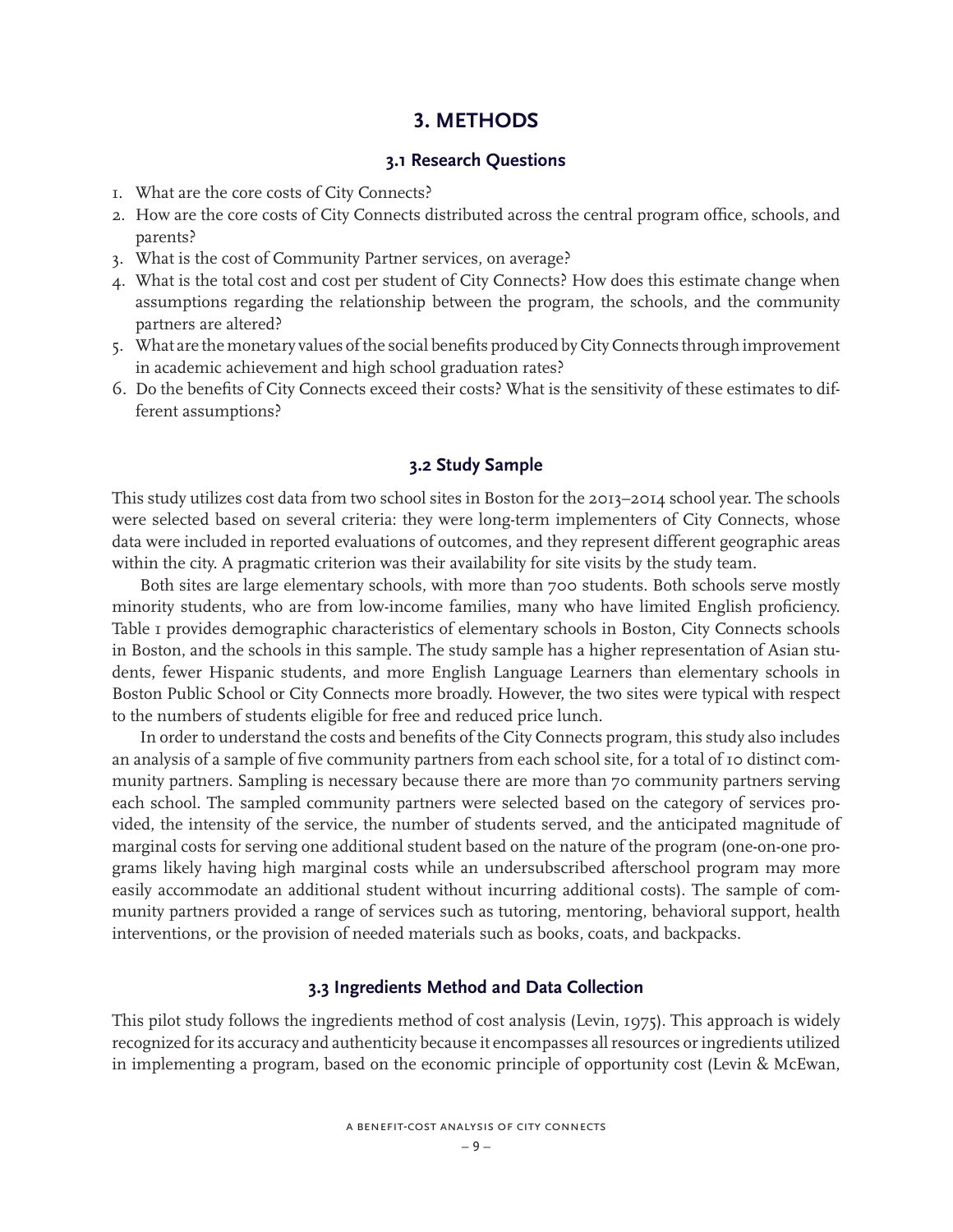# **3. METHODS**

### **3.1 Research Questions**

- 1. What are the core costs of City Connects?
- 2. How are the core costs of City Connects distributed across the central program office, schools, and parents?
- 3. What is the cost of Community Partner services, on average?
- 4. What is the total cost and cost per student of City Connects? How does this estimate change when assumptions regarding the relationship between the program, the schools, and the community partners are altered?
- 5. What are the monetary values of the social benefits produced by City Connects through improvement in academic achievement and high school graduation rates?
- 6. Do the benefits of City Connects exceed their costs? What is the sensitivity of these estimates to different assumptions?

### **3.2 Study Sample**

This study utilizes cost data from two school sites in Boston for the 2013–2014 school year. The schools were selected based on several criteria: they were long-term implementers of City Connects, whose data were included in reported evaluations of outcomes, and they represent different geographic areas within the city. A pragmatic criterion was their availability for site visits by the study team.

Both sites are large elementary schools, with more than 700 students. Both schools serve mostly minority students, who are from low-income families, many who have limited English proficiency. Table 1 provides demographic characteristics of elementary schools in Boston, City Connects schools in Boston, and the schools in this sample. The study sample has a higher representation of Asian students, fewer Hispanic students, and more English Language Learners than elementary schools in Boston Public School or City Connects more broadly. However, the two sites were typical with respect to the numbers of students eligible for free and reduced price lunch.

In order to understand the costs and benefits of the City Connects program, this study also includes an analysis of a sample of five community partners from each school site, for a total of 10 distinct community partners. Sampling is necessary because there are more than 70 community partners serving each school. The sampled community partners were selected based on the category of services provided, the intensity of the service, the number of students served, and the anticipated magnitude of marginal costs for serving one additional student based on the nature of the program (one-on-one programs likely having high marginal costs while an undersubscribed afterschool program may more easily accommodate an additional student without incurring additional costs). The sample of community partners provided a range of services such as tutoring, mentoring, behavioral support, health interventions, or the provision of needed materials such as books, coats, and backpacks.

### **3.3 Ingredients Method and Data Collection**

This pilot study follows the ingredients method of cost analysis (Levin, 1975). This approach is widely recognized for its accuracy and authenticity because it encompasses all resources or ingredients utilized in implementing a program, based on the economic principle of opportunity cost (Levin & McEwan,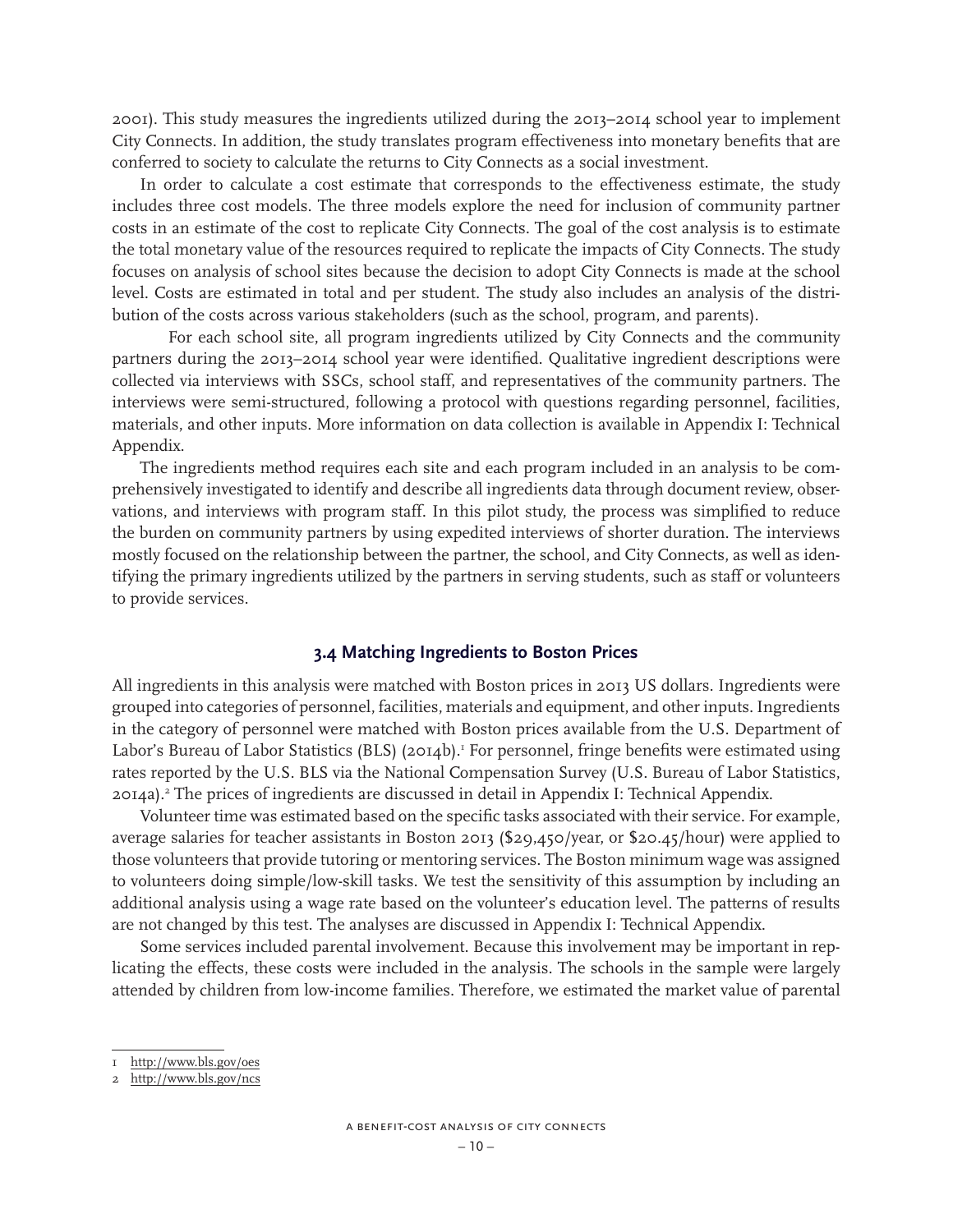2001). This study measures the ingredients utilized during the 2013–2014 school year to implement City Connects. In addition, the study translates program effectiveness into monetary benefits that are conferred to society to calculate the returns to City Connects as a social investment.

In order to calculate a cost estimate that corresponds to the effectiveness estimate, the study includes three cost models. The three models explore the need for inclusion of community partner costs in an estimate of the cost to replicate City Connects. The goal of the cost analysis is to estimate the total monetary value of the resources required to replicate the impacts of City Connects. The study focuses on analysis of school sites because the decision to adopt City Connects is made at the school level. Costs are estimated in total and per student. The study also includes an analysis of the distribution of the costs across various stakeholders (such as the school, program, and parents).

For each school site, all program ingredients utilized by City Connects and the community partners during the 2013–2014 school year were identified. Qualitative ingredient descriptions were collected via interviews with SSCs, school staff, and representatives of the community partners. The interviews were semi-structured, following a protocol with questions regarding personnel, facilities, materials, and other inputs. More information on data collection is available in Appendix I: Technical Appendix.

The ingredients method requires each site and each program included in an analysis to be comprehensively investigated to identify and describe all ingredients data through document review, observations, and interviews with program staff. In this pilot study, the process was simplified to reduce the burden on community partners by using expedited interviews of shorter duration. The interviews mostly focused on the relationship between the partner, the school, and City Connects, as well as identifying the primary ingredients utilized by the partners in serving students, such as staff or volunteers to provide services.

### **3.4 Matching Ingredients to Boston Prices**

All ingredients in this analysis were matched with Boston prices in 2013 US dollars. Ingredients were grouped into categories of personnel, facilities, materials and equipment, and other inputs. Ingredients in the category of personnel were matched with Boston prices available from the U.S. Department of Labor's Bureau of Labor Statistics (BLS) (2014b).<sup>1</sup> For personnel, fringe benefits were estimated using rates reported by the U.S. BLS via the National Compensation Survey (U.S. Bureau of Labor Statistics, 2014a).2 The prices of ingredients are discussed in detail in Appendix I: Technical Appendix.

Volunteer time was estimated based on the specific tasks associated with their service. For example, average salaries for teacher assistants in Boston 2013 (\$29,450/year, or \$20.45/hour) were applied to those volunteers that provide tutoring or mentoring services. The Boston minimum wage was assigned to volunteers doing simple/low-skill tasks. We test the sensitivity of this assumption by including an additional analysis using a wage rate based on the volunteer's education level. The patterns of results are not changed by this test. The analyses are discussed in Appendix I: Technical Appendix.

Some services included parental involvement. Because this involvement may be important in replicating the effects, these costs were included in the analysis. The schools in the sample were largely attended by children from low-income families. Therefore, we estimated the market value of parental

<sup>1</sup> http://www.bls.gov/oes

<sup>2</sup> http://www.bls.gov/ncs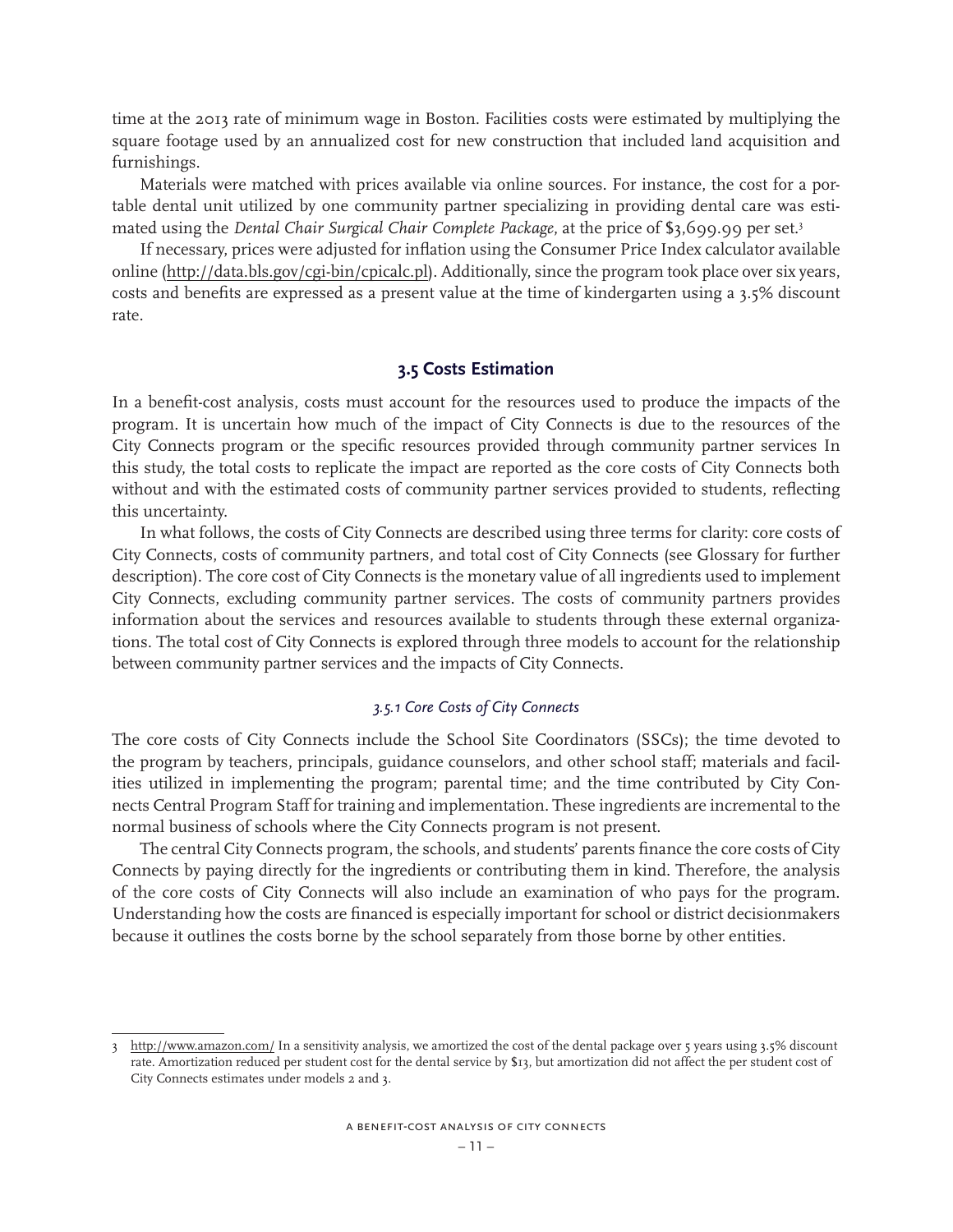time at the 2013 rate of minimum wage in Boston. Facilities costs were estimated by multiplying the square footage used by an annualized cost for new construction that included land acquisition and furnishings.

Materials were matched with prices available via online sources. For instance, the cost for a portable dental unit utilized by one community partner specializing in providing dental care was estimated using the *Dental Chair Surgical Chair Complete Package*, at the price of \$3,699.99 per set.3

If necessary, prices were adjusted for inflation using the Consumer Price Index calculator available online (http://data.bls.gov/cgi-bin/cpicalc.pl). Additionally, since the program took place over six years, costs and benefits are expressed as a present value at the time of kindergarten using a 3.5% discount rate.

### **3.5 Costs Estimation**

In a benefit-cost analysis, costs must account for the resources used to produce the impacts of the program. It is uncertain how much of the impact of City Connects is due to the resources of the City Connects program or the specific resources provided through community partner services In this study, the total costs to replicate the impact are reported as the core costs of City Connects both without and with the estimated costs of community partner services provided to students, reflecting this uncertainty.

In what follows, the costs of City Connects are described using three terms for clarity: core costs of City Connects, costs of community partners, and total cost of City Connects (see Glossary for further description). The core cost of City Connects is the monetary value of all ingredients used to implement City Connects, excluding community partner services. The costs of community partners provides information about the services and resources available to students through these external organizations. The total cost of City Connects is explored through three models to account for the relationship between community partner services and the impacts of City Connects.

#### *3.5.1 Core Costs of City Connects*

The core costs of City Connects include the School Site Coordinators (SSCs); the time devoted to the program by teachers, principals, guidance counselors, and other school staff; materials and facilities utilized in implementing the program; parental time; and the time contributed by City Connects Central Program Staff for training and implementation. These ingredients are incremental to the normal business of schools where the City Connects program is not present.

The central City Connects program, the schools, and students' parents finance the core costs of City Connects by paying directly for the ingredients or contributing them in kind. Therefore, the analysis of the core costs of City Connects will also include an examination of who pays for the program. Understanding how the costs are financed is especially important for school or district decisionmakers because it outlines the costs borne by the school separately from those borne by other entities.

<sup>3</sup> http://www.amazon.com/ In a sensitivity analysis, we amortized the cost of the dental package over 5 years using 3.5% discount rate. Amortization reduced per student cost for the dental service by \$13, but amortization did not affect the per student cost of City Connects estimates under models 2 and 3.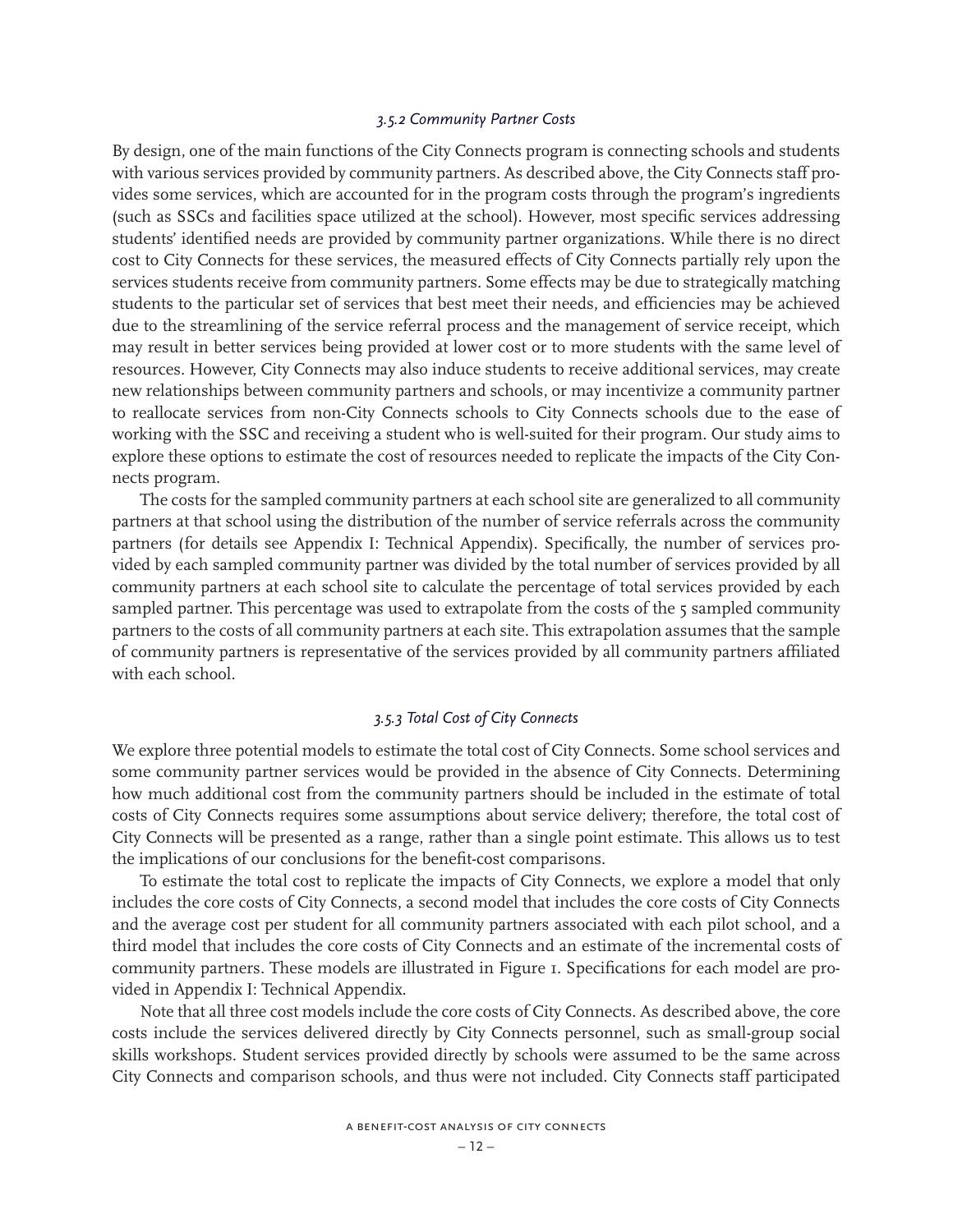### *3.5.2 Community Partner Costs*

By design, one of the main functions of the City Connects program is connecting schools and students with various services provided by community partners. As described above, the City Connects staff provides some services, which are accounted for in the program costs through the program's ingredients (such as SSCs and facilities space utilized at the school). However, most specific services addressing students' identified needs are provided by community partner organizations. While there is no direct cost to City Connects for these services, the measured effects of City Connects partially rely upon the services students receive from community partners. Some effects may be due to strategically matching students to the particular set of services that best meet their needs, and efficiencies may be achieved due to the streamlining of the service referral process and the management of service receipt, which may result in better services being provided at lower cost or to more students with the same level of resources. However, City Connects may also induce students to receive additional services, may create new relationships between community partners and schools, or may incentivize a community partner to reallocate services from non-City Connects schools to City Connects schools due to the ease of working with the SSC and receiving a student who is well-suited for their program. Our study aims to explore these options to estimate the cost of resources needed to replicate the impacts of the City Connects program.

The costs for the sampled community partners at each school site are generalized to all community partners at that school using the distribution of the number of service referrals across the community partners (for details see Appendix I: Technical Appendix). Specifically, the number of services provided by each sampled community partner was divided by the total number of services provided by all community partners at each school site to calculate the percentage of total services provided by each sampled partner. This percentage was used to extrapolate from the costs of the 5 sampled community partners to the costs of all community partners at each site. This extrapolation assumes that the sample of community partners is representative of the services provided by all community partners affiliated with each school.

### *3.5.3 Total Cost of City Connects*

We explore three potential models to estimate the total cost of City Connects. Some school services and some community partner services would be provided in the absence of City Connects. Determining how much additional cost from the community partners should be included in the estimate of total costs of City Connects requires some assumptions about service delivery; therefore, the total cost of City Connects will be presented as a range, rather than a single point estimate. This allows us to test the implications of our conclusions for the benefit-cost comparisons.

To estimate the total cost to replicate the impacts of City Connects, we explore a model that only includes the core costs of City Connects, a second model that includes the core costs of City Connects and the average cost per student for all community partners associated with each pilot school, and a third model that includes the core costs of City Connects and an estimate of the incremental costs of community partners. These models are illustrated in Figure 1. Specifications for each model are provided in Appendix I: Technical Appendix.

Note that all three cost models include the core costs of City Connects. As described above, the core costs include the services delivered directly by City Connects personnel, such as small-group social skills workshops. Student services provided directly by schools were assumed to be the same across City Connects and comparison schools, and thus were not included. City Connects staff participated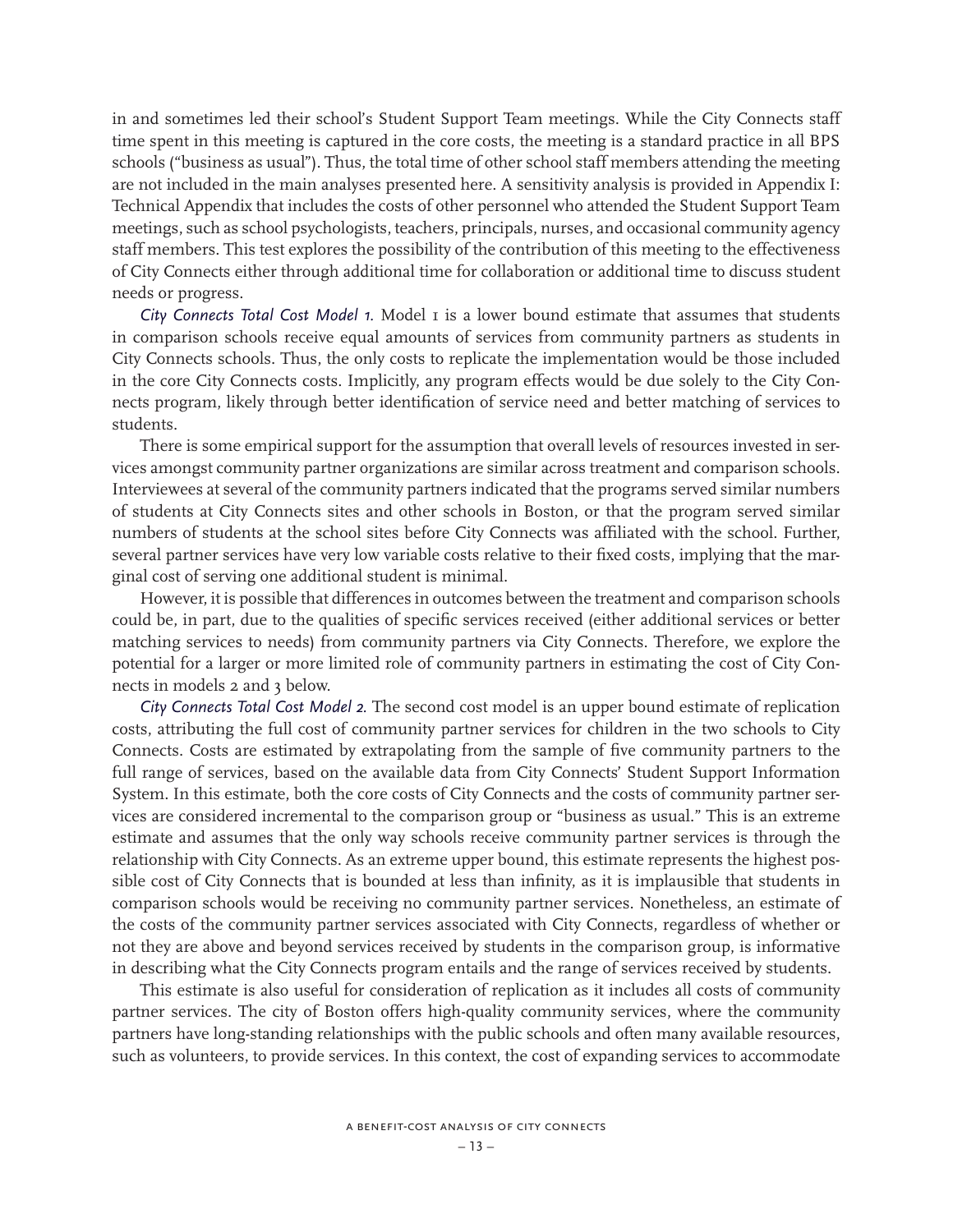in and sometimes led their school's Student Support Team meetings. While the City Connects staff time spent in this meeting is captured in the core costs, the meeting is a standard practice in all BPS schools ("business as usual"). Thus, the total time of other school staff members attending the meeting are not included in the main analyses presented here. A sensitivity analysis is provided in Appendix I: Technical Appendix that includes the costs of other personnel who attended the Student Support Team meetings, such as school psychologists, teachers, principals, nurses, and occasional community agency staff members. This test explores the possibility of the contribution of this meeting to the effectiveness of City Connects either through additional time for collaboration or additional time to discuss student needs or progress.

*City Connects Total Cost Model 1.* Model 1 is a lower bound estimate that assumes that students in comparison schools receive equal amounts of services from community partners as students in City Connects schools. Thus, the only costs to replicate the implementation would be those included in the core City Connects costs. Implicitly, any program effects would be due solely to the City Connects program, likely through better identification of service need and better matching of services to students.

There is some empirical support for the assumption that overall levels of resources invested in services amongst community partner organizations are similar across treatment and comparison schools. Interviewees at several of the community partners indicated that the programs served similar numbers of students at City Connects sites and other schools in Boston, or that the program served similar numbers of students at the school sites before City Connects was affiliated with the school. Further, several partner services have very low variable costs relative to their fixed costs, implying that the marginal cost of serving one additional student is minimal.

However, it is possible that differences in outcomes between the treatment and comparison schools could be, in part, due to the qualities of specific services received (either additional services or better matching services to needs) from community partners via City Connects. Therefore, we explore the potential for a larger or more limited role of community partners in estimating the cost of City Connects in models 2 and 3 below.

*City Connects Total Cost Model 2.* The second cost model is an upper bound estimate of replication costs, attributing the full cost of community partner services for children in the two schools to City Connects. Costs are estimated by extrapolating from the sample of five community partners to the full range of services, based on the available data from City Connects' Student Support Information System. In this estimate, both the core costs of City Connects and the costs of community partner services are considered incremental to the comparison group or "business as usual." This is an extreme estimate and assumes that the only way schools receive community partner services is through the relationship with City Connects. As an extreme upper bound, this estimate represents the highest possible cost of City Connects that is bounded at less than infinity, as it is implausible that students in comparison schools would be receiving no community partner services. Nonetheless, an estimate of the costs of the community partner services associated with City Connects, regardless of whether or not they are above and beyond services received by students in the comparison group, is informative in describing what the City Connects program entails and the range of services received by students.

This estimate is also useful for consideration of replication as it includes all costs of community partner services. The city of Boston offers high-quality community services, where the community partners have long-standing relationships with the public schools and often many available resources, such as volunteers, to provide services. In this context, the cost of expanding services to accommodate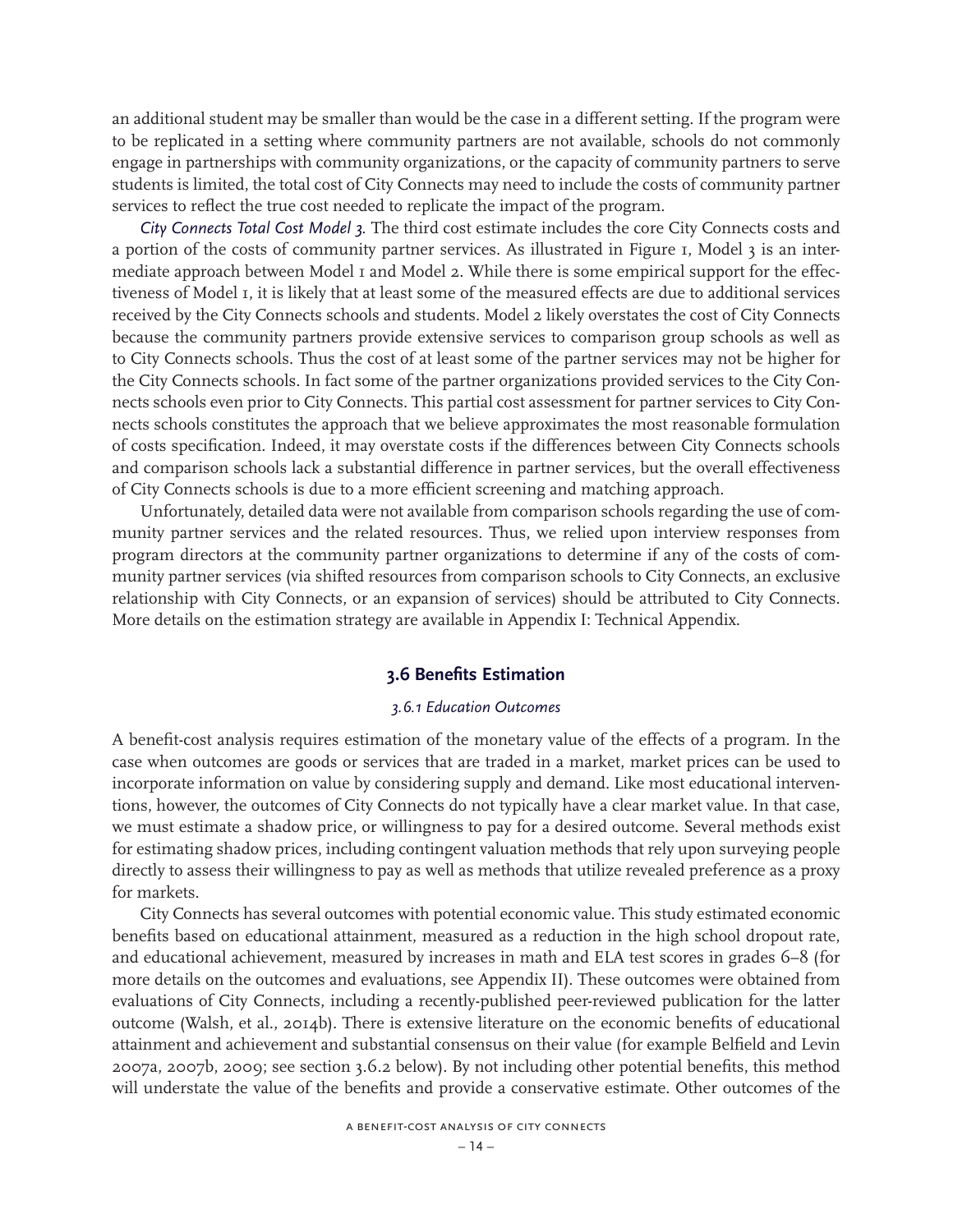an additional student may be smaller than would be the case in a different setting. If the program were to be replicated in a setting where community partners are not available, schools do not commonly engage in partnerships with community organizations, or the capacity of community partners to serve students is limited, the total cost of City Connects may need to include the costs of community partner services to reflect the true cost needed to replicate the impact of the program.

*City Connects Total Cost Model 3.* The third cost estimate includes the core City Connects costs and a portion of the costs of community partner services. As illustrated in Figure 1, Model 3 is an intermediate approach between Model 1 and Model 2. While there is some empirical support for the effectiveness of Model 1, it is likely that at least some of the measured effects are due to additional services received by the City Connects schools and students. Model 2 likely overstates the cost of City Connects because the community partners provide extensive services to comparison group schools as well as to City Connects schools. Thus the cost of at least some of the partner services may not be higher for the City Connects schools. In fact some of the partner organizations provided services to the City Connects schools even prior to City Connects. This partial cost assessment for partner services to City Connects schools constitutes the approach that we believe approximates the most reasonable formulation of costs specification. Indeed, it may overstate costs if the differences between City Connects schools and comparison schools lack a substantial difference in partner services, but the overall effectiveness of City Connects schools is due to a more efficient screening and matching approach.

Unfortunately, detailed data were not available from comparison schools regarding the use of community partner services and the related resources. Thus, we relied upon interview responses from program directors at the community partner organizations to determine if any of the costs of community partner services (via shifted resources from comparison schools to City Connects, an exclusive relationship with City Connects, or an expansion of services) should be attributed to City Connects. More details on the estimation strategy are available in Appendix I: Technical Appendix.

### **3.6 Benefits Estimation**

### *3.6.1 Education Outcomes*

A benefit-cost analysis requires estimation of the monetary value of the effects of a program. In the case when outcomes are goods or services that are traded in a market, market prices can be used to incorporate information on value by considering supply and demand. Like most educational interventions, however, the outcomes of City Connects do not typically have a clear market value. In that case, we must estimate a shadow price, or willingness to pay for a desired outcome. Several methods exist for estimating shadow prices, including contingent valuation methods that rely upon surveying people directly to assess their willingness to pay as well as methods that utilize revealed preference as a proxy for markets.

City Connects has several outcomes with potential economic value. This study estimated economic benefits based on educational attainment, measured as a reduction in the high school dropout rate, and educational achievement, measured by increases in math and ELA test scores in grades 6–8 (for more details on the outcomes and evaluations, see Appendix II). These outcomes were obtained from evaluations of City Connects, including a recently-published peer-reviewed publication for the latter outcome (Walsh, et al., 2014b). There is extensive literature on the economic benefits of educational attainment and achievement and substantial consensus on their value (for example Belfield and Levin 2007a, 2007b, 2009; see section 3.6.2 below). By not including other potential benefits, this method will understate the value of the benefits and provide a conservative estimate. Other outcomes of the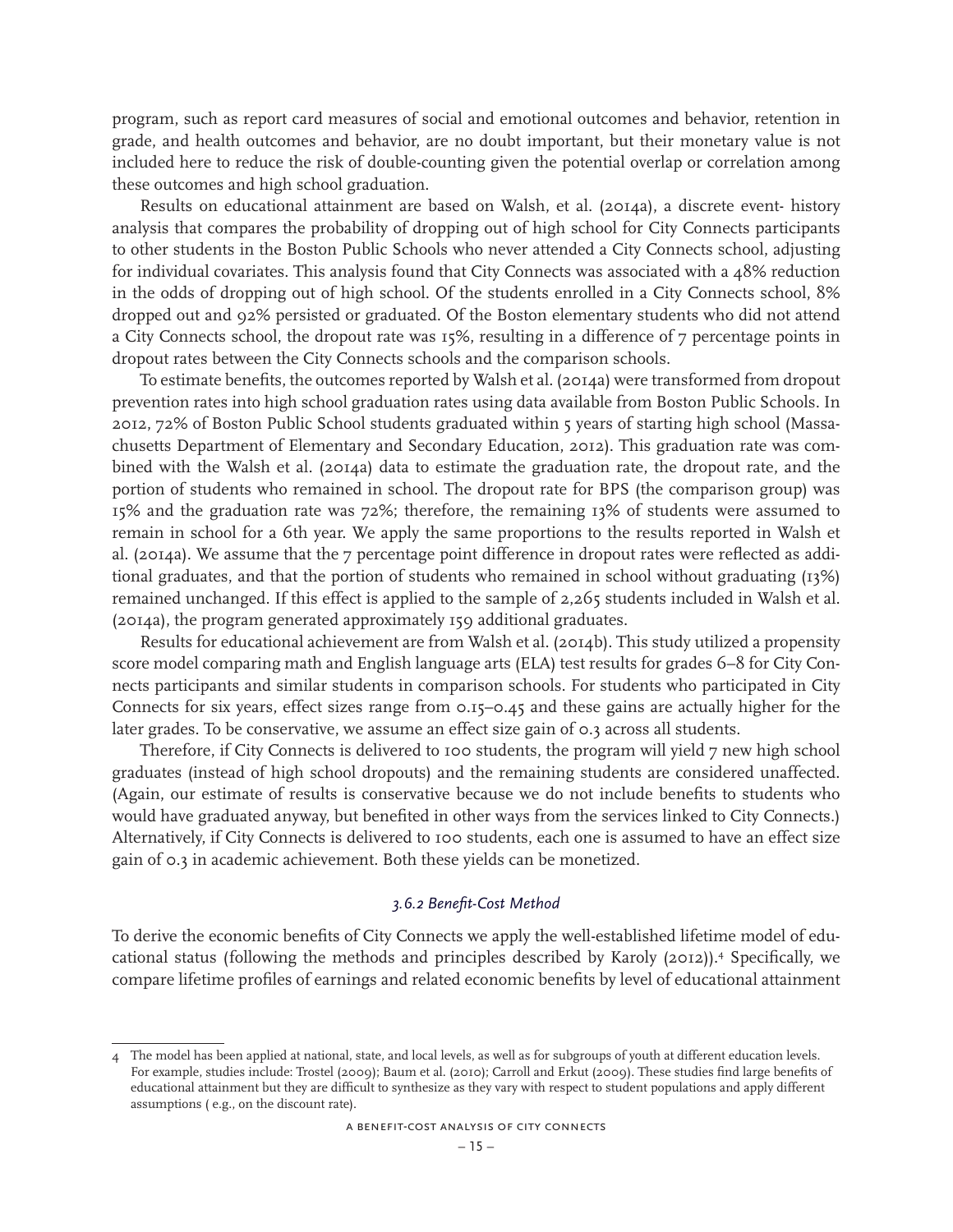program, such as report card measures of social and emotional outcomes and behavior, retention in grade, and health outcomes and behavior, are no doubt important, but their monetary value is not included here to reduce the risk of double-counting given the potential overlap or correlation among these outcomes and high school graduation.

Results on educational attainment are based on Walsh, et al. (2014a), a discrete event- history analysis that compares the probability of dropping out of high school for City Connects participants to other students in the Boston Public Schools who never attended a City Connects school, adjusting for individual covariates. This analysis found that City Connects was associated with a 48% reduction in the odds of dropping out of high school. Of the students enrolled in a City Connects school, 8% dropped out and 92% persisted or graduated. Of the Boston elementary students who did not attend a City Connects school, the dropout rate was 15%, resulting in a difference of 7 percentage points in dropout rates between the City Connects schools and the comparison schools.

To estimate benefits, the outcomes reported by Walsh et al. (2014a) were transformed from dropout prevention rates into high school graduation rates using data available from Boston Public Schools. In 2012, 72% of Boston Public School students graduated within 5 years of starting high school (Massachusetts Department of Elementary and Secondary Education, 2012). This graduation rate was combined with the Walsh et al. (2014a) data to estimate the graduation rate, the dropout rate, and the portion of students who remained in school. The dropout rate for BPS (the comparison group) was 15% and the graduation rate was 72%; therefore, the remaining 13% of students were assumed to remain in school for a 6th year. We apply the same proportions to the results reported in Walsh et al. (2014a). We assume that the 7 percentage point difference in dropout rates were reflected as additional graduates, and that the portion of students who remained in school without graduating (13%) remained unchanged. If this effect is applied to the sample of 2,265 students included in Walsh et al. (2014a), the program generated approximately 159 additional graduates.

Results for educational achievement are from Walsh et al. (2014b). This study utilized a propensity score model comparing math and English language arts (ELA) test results for grades 6–8 for City Connects participants and similar students in comparison schools. For students who participated in City Connects for six years, effect sizes range from 0.15–0.45 and these gains are actually higher for the later grades. To be conservative, we assume an effect size gain of 0.3 across all students.

Therefore, if City Connects is delivered to 100 students, the program will yield 7 new high school graduates (instead of high school dropouts) and the remaining students are considered unaffected. (Again, our estimate of results is conservative because we do not include benefits to students who would have graduated anyway, but benefited in other ways from the services linked to City Connects.) Alternatively, if City Connects is delivered to 100 students, each one is assumed to have an effect size gain of 0.3 in academic achievement. Both these yields can be monetized.

#### *3.6.2 Benefit-Cost Method*

To derive the economic benefits of City Connects we apply the well-established lifetime model of educational status (following the methods and principles described by Karoly (2012)).4 Specifically, we compare lifetime profiles of earnings and related economic benefits by level of educational attainment

<sup>4</sup> The model has been applied at national, state, and local levels, as well as for subgroups of youth at different education levels. For example, studies include: Trostel (2009); Baum et al. (2010); Carroll and Erkut (2009). These studies find large benefits of educational attainment but they are difficult to synthesize as they vary with respect to student populations and apply different assumptions ( e.g., on the discount rate).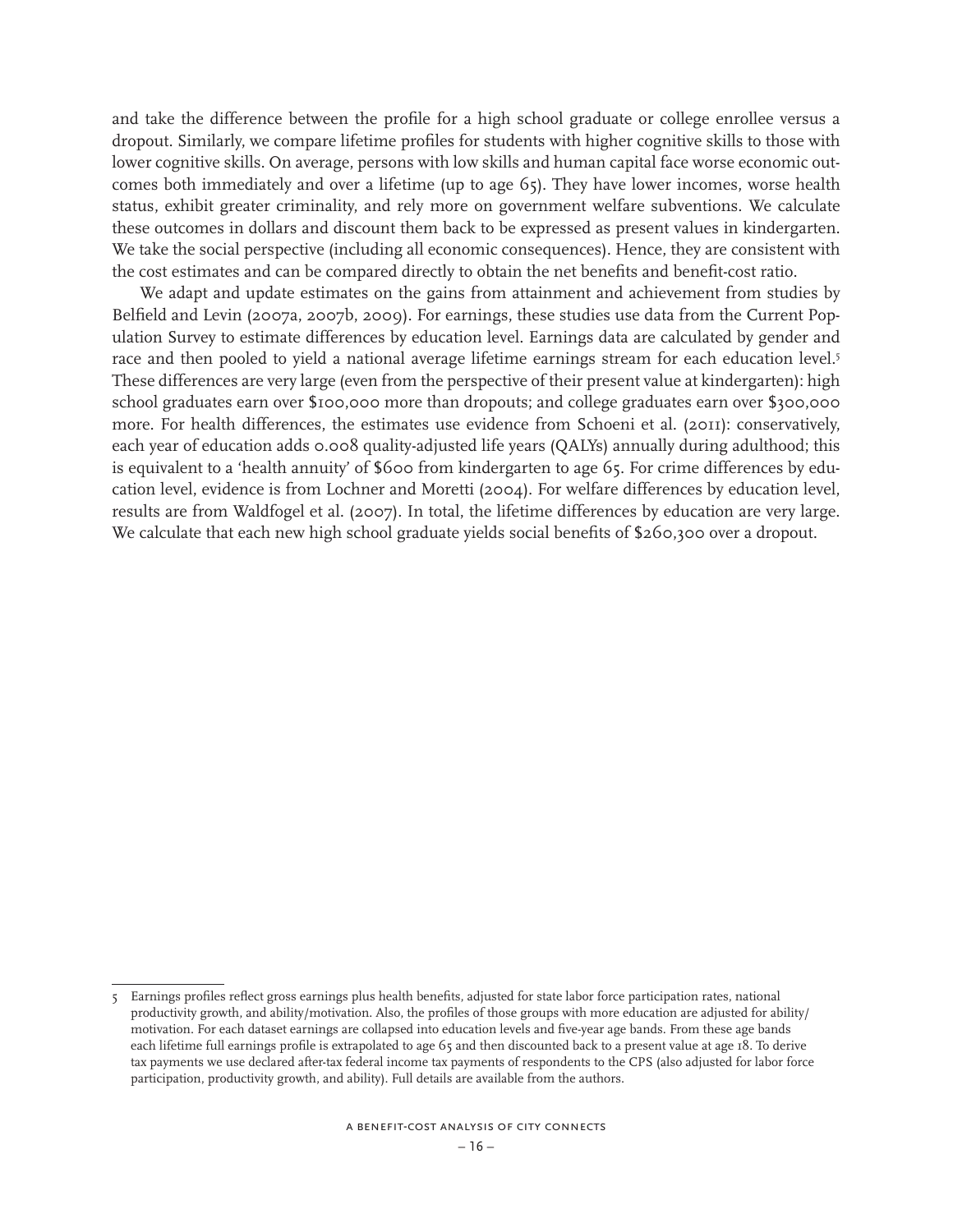and take the difference between the profile for a high school graduate or college enrollee versus a dropout. Similarly, we compare lifetime profiles for students with higher cognitive skills to those with lower cognitive skills. On average, persons with low skills and human capital face worse economic outcomes both immediately and over a lifetime (up to age 65). They have lower incomes, worse health status, exhibit greater criminality, and rely more on government welfare subventions. We calculate these outcomes in dollars and discount them back to be expressed as present values in kindergarten. We take the social perspective (including all economic consequences). Hence, they are consistent with the cost estimates and can be compared directly to obtain the net benefits and benefit-cost ratio.

We adapt and update estimates on the gains from attainment and achievement from studies by Belfield and Levin (2007a, 2007b, 2009). For earnings, these studies use data from the Current Population Survey to estimate differences by education level. Earnings data are calculated by gender and race and then pooled to yield a national average lifetime earnings stream for each education level.<sup>5</sup> These differences are very large (even from the perspective of their present value at kindergarten): high school graduates earn over \$100,000 more than dropouts; and college graduates earn over \$300,000 more. For health differences, the estimates use evidence from Schoeni et al. (2011): conservatively, each year of education adds 0.008 quality-adjusted life years (QALYs) annually during adulthood; this is equivalent to a 'health annuity' of \$600 from kindergarten to age 65. For crime differences by education level, evidence is from Lochner and Moretti (2004). For welfare differences by education level, results are from Waldfogel et al. (2007). In total, the lifetime differences by education are very large. We calculate that each new high school graduate yields social benefits of \$260,300 over a dropout.

<sup>5</sup> Earnings profiles reflect gross earnings plus health benefits, adjusted for state labor force participation rates, national productivity growth, and ability/motivation. Also, the profiles of those groups with more education are adjusted for ability/ motivation. For each dataset earnings are collapsed into education levels and five-year age bands. From these age bands each lifetime full earnings profile is extrapolated to age 65 and then discounted back to a present value at age 18. To derive tax payments we use declared after-tax federal income tax payments of respondents to the CPS (also adjusted for labor force participation, productivity growth, and ability). Full details are available from the authors.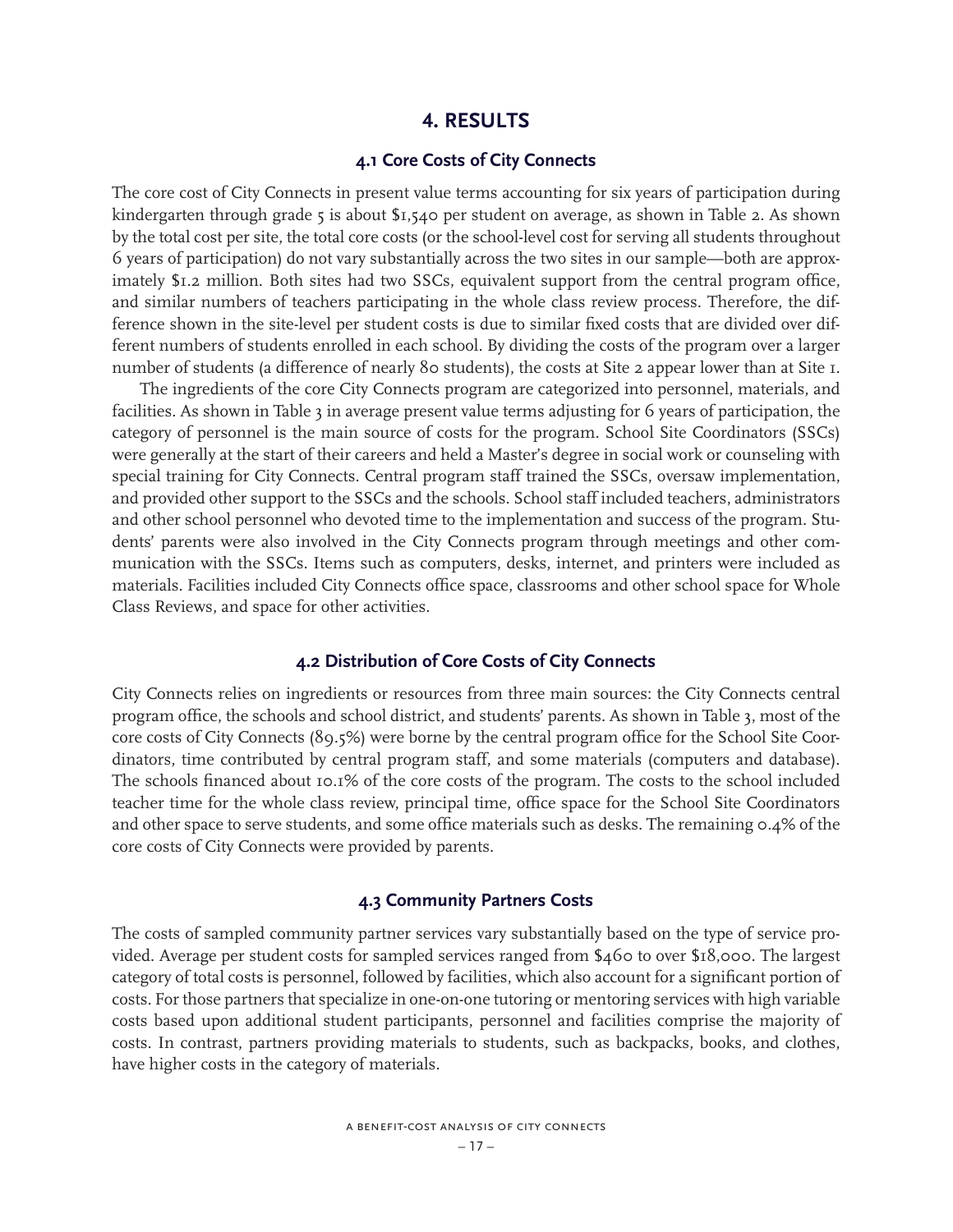### **4. RESULTS**

### **4.1 Core Costs of City Connects**

The core cost of City Connects in present value terms accounting for six years of participation during kindergarten through grade 5 is about \$1,540 per student on average, as shown in Table 2. As shown by the total cost per site, the total core costs (or the school-level cost for serving all students throughout 6 years of participation) do not vary substantially across the two sites in our sample—both are approximately \$1.2 million. Both sites had two SSCs, equivalent support from the central program office, and similar numbers of teachers participating in the whole class review process. Therefore, the difference shown in the site-level per student costs is due to similar fixed costs that are divided over different numbers of students enrolled in each school. By dividing the costs of the program over a larger number of students (a difference of nearly 80 students), the costs at Site 2 appear lower than at Site 1.

The ingredients of the core City Connects program are categorized into personnel, materials, and facilities. As shown in Table 3 in average present value terms adjusting for 6 years of participation, the category of personnel is the main source of costs for the program. School Site Coordinators (SSCs) were generally at the start of their careers and held a Master's degree in social work or counseling with special training for City Connects. Central program staff trained the SSCs, oversaw implementation, and provided other support to the SSCs and the schools. School staff included teachers, administrators and other school personnel who devoted time to the implementation and success of the program. Students' parents were also involved in the City Connects program through meetings and other communication with the SSCs. Items such as computers, desks, internet, and printers were included as materials. Facilities included City Connects office space, classrooms and other school space for Whole Class Reviews, and space for other activities.

### **4.2 Distribution of Core Costs of City Connects**

City Connects relies on ingredients or resources from three main sources: the City Connects central program office, the schools and school district, and students' parents. As shown in Table 3, most of the core costs of City Connects (89.5%) were borne by the central program office for the School Site Coordinators, time contributed by central program staff, and some materials (computers and database). The schools financed about 10.1% of the core costs of the program. The costs to the school included teacher time for the whole class review, principal time, office space for the School Site Coordinators and other space to serve students, and some office materials such as desks. The remaining 0.4% of the core costs of City Connects were provided by parents.

### **4.3 Community Partners Costs**

The costs of sampled community partner services vary substantially based on the type of service provided. Average per student costs for sampled services ranged from \$460 to over \$18,000. The largest category of total costs is personnel, followed by facilities, which also account for a significant portion of costs. For those partners that specialize in one-on-one tutoring or mentoring services with high variable costs based upon additional student participants, personnel and facilities comprise the majority of costs. In contrast, partners providing materials to students, such as backpacks, books, and clothes, have higher costs in the category of materials.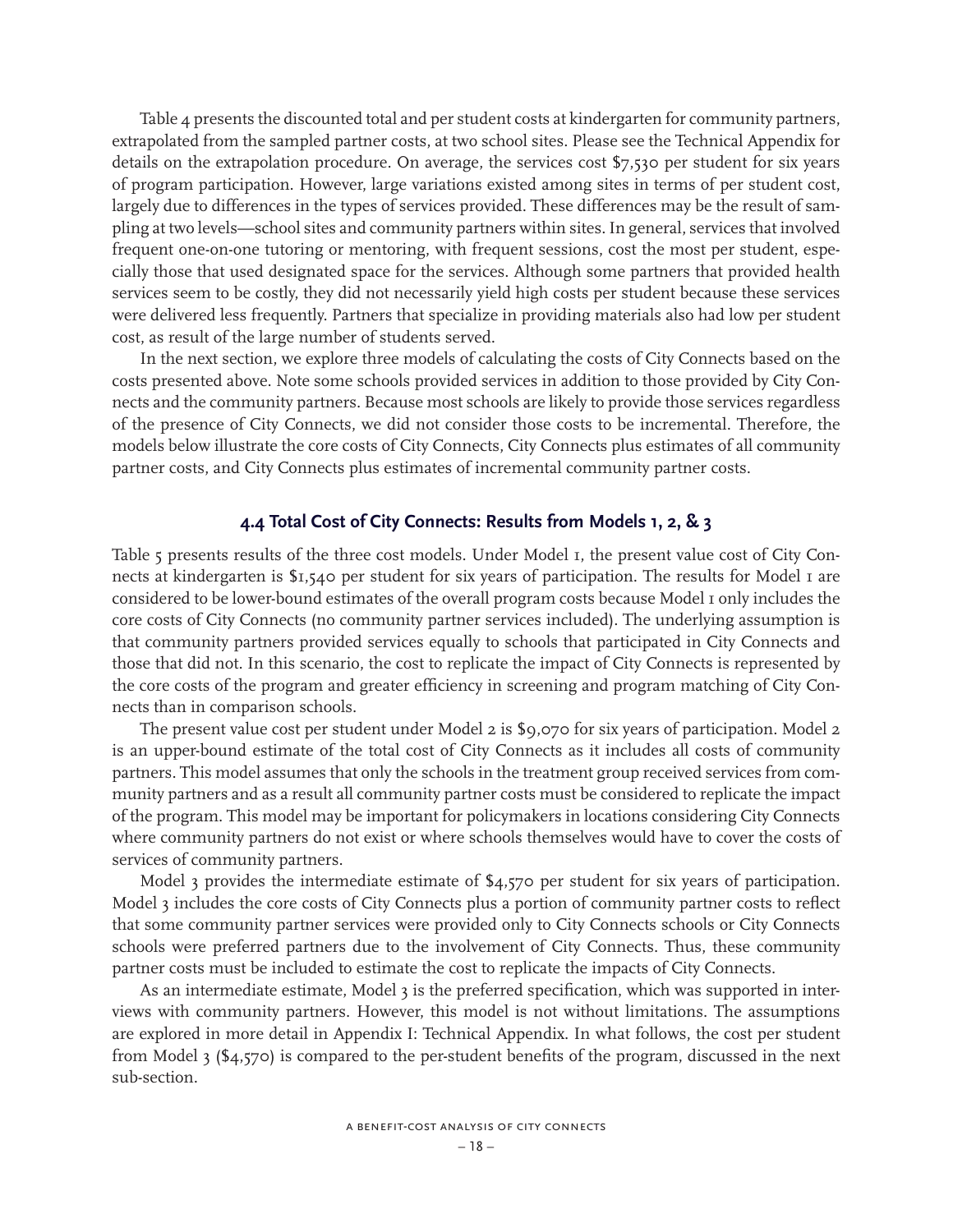Table 4 presents the discounted total and per student costs at kindergarten for community partners, extrapolated from the sampled partner costs, at two school sites. Please see the Technical Appendix for details on the extrapolation procedure. On average, the services cost \$7,530 per student for six years of program participation. However, large variations existed among sites in terms of per student cost, largely due to differences in the types of services provided. These differences may be the result of sampling at two levels—school sites and community partners within sites. In general, services that involved frequent one-on-one tutoring or mentoring, with frequent sessions, cost the most per student, especially those that used designated space for the services. Although some partners that provided health services seem to be costly, they did not necessarily yield high costs per student because these services were delivered less frequently. Partners that specialize in providing materials also had low per student cost, as result of the large number of students served.

In the next section, we explore three models of calculating the costs of City Connects based on the costs presented above. Note some schools provided services in addition to those provided by City Connects and the community partners. Because most schools are likely to provide those services regardless of the presence of City Connects, we did not consider those costs to be incremental. Therefore, the models below illustrate the core costs of City Connects, City Connects plus estimates of all community partner costs, and City Connects plus estimates of incremental community partner costs.

### **4.4 Total Cost of City Connects: Results from Models 1, 2, & 3**

Table 5 presents results of the three cost models. Under Model 1, the present value cost of City Connects at kindergarten is \$1,540 per student for six years of participation. The results for Model 1 are considered to be lower-bound estimates of the overall program costs because Model 1 only includes the core costs of City Connects (no community partner services included). The underlying assumption is that community partners provided services equally to schools that participated in City Connects and those that did not. In this scenario, the cost to replicate the impact of City Connects is represented by the core costs of the program and greater efficiency in screening and program matching of City Connects than in comparison schools.

The present value cost per student under Model 2 is \$9,070 for six years of participation. Model 2 is an upper-bound estimate of the total cost of City Connects as it includes all costs of community partners. This model assumes that only the schools in the treatment group received services from community partners and as a result all community partner costs must be considered to replicate the impact of the program. This model may be important for policymakers in locations considering City Connects where community partners do not exist or where schools themselves would have to cover the costs of services of community partners.

Model 3 provides the intermediate estimate of \$4,570 per student for six years of participation. Model 3 includes the core costs of City Connects plus a portion of community partner costs to reflect that some community partner services were provided only to City Connects schools or City Connects schools were preferred partners due to the involvement of City Connects. Thus, these community partner costs must be included to estimate the cost to replicate the impacts of City Connects.

As an intermediate estimate, Model 3 is the preferred specification, which was supported in interviews with community partners. However, this model is not without limitations. The assumptions are explored in more detail in Appendix I: Technical Appendix. In what follows, the cost per student from Model 3 (\$4,570) is compared to the per-student benefits of the program, discussed in the next sub-section.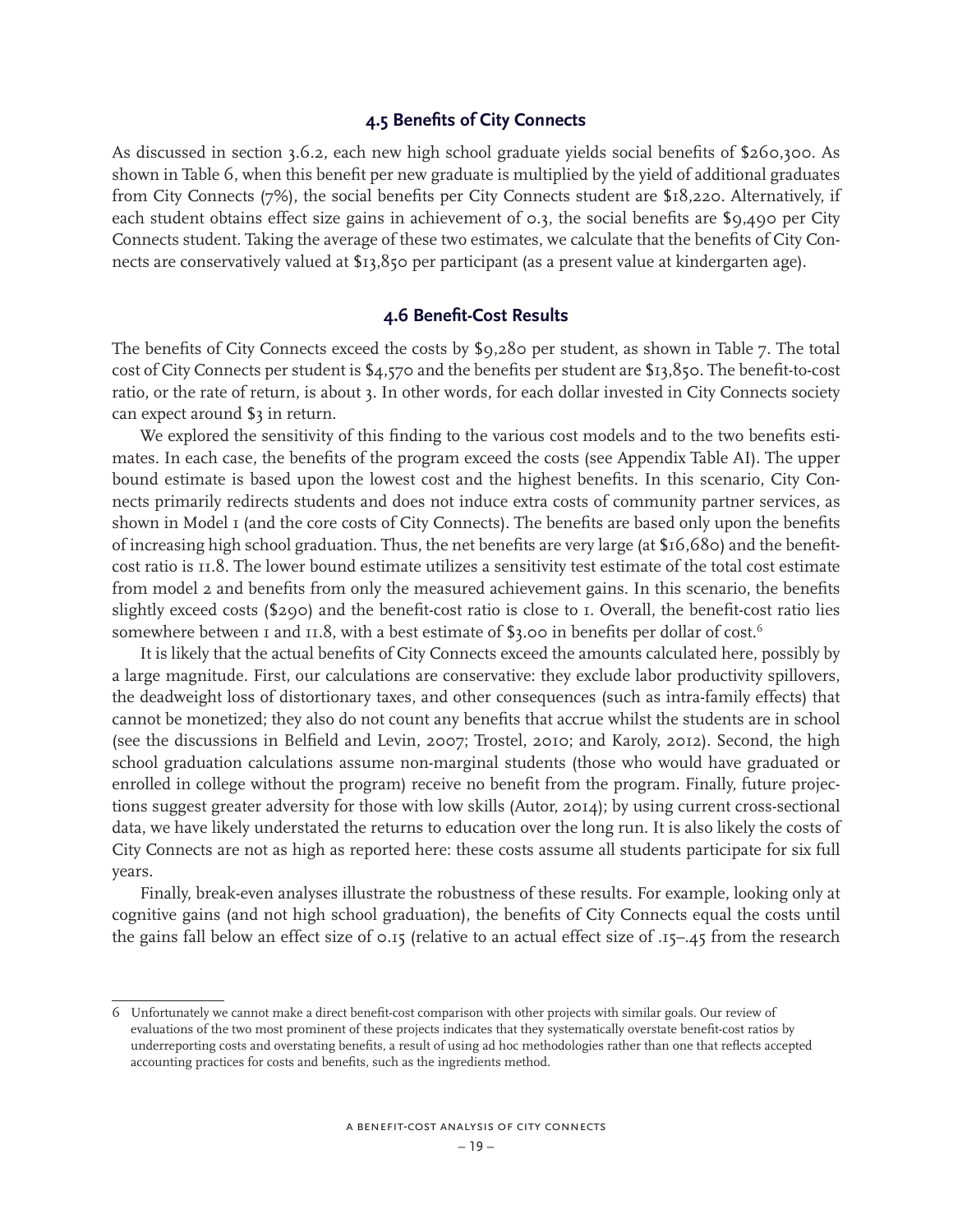### **4.5 Benefits of City Connects**

As discussed in section 3.6.2, each new high school graduate yields social benefits of \$260,300. As shown in Table 6, when this benefit per new graduate is multiplied by the yield of additional graduates from City Connects (7%), the social benefits per City Connects student are \$18,220. Alternatively, if each student obtains effect size gains in achievement of 0.3, the social benefits are \$9,490 per City Connects student. Taking the average of these two estimates, we calculate that the benefits of City Connects are conservatively valued at \$13,850 per participant (as a present value at kindergarten age).

### **4.6 Benefit-Cost Results**

The benefits of City Connects exceed the costs by \$9,280 per student, as shown in Table 7. The total cost of City Connects per student is \$4,570 and the benefits per student are \$13,850. The benefit-to-cost ratio, or the rate of return, is about 3. In other words, for each dollar invested in City Connects society can expect around \$3 in return.

We explored the sensitivity of this finding to the various cost models and to the two benefits estimates. In each case, the benefits of the program exceed the costs (see Appendix Table AI). The upper bound estimate is based upon the lowest cost and the highest benefits. In this scenario, City Connects primarily redirects students and does not induce extra costs of community partner services, as shown in Model I (and the core costs of City Connects). The benefits are based only upon the benefits of increasing high school graduation. Thus, the net benefits are very large (at \$16,680) and the benefitcost ratio is 11.8. The lower bound estimate utilizes a sensitivity test estimate of the total cost estimate from model 2 and benefits from only the measured achievement gains. In this scenario, the benefits slightly exceed costs (\$290) and the benefit-cost ratio is close to 1. Overall, the benefit-cost ratio lies somewhere between 1 and 11.8, with a best estimate of  $\alpha$ , oo in benefits per dollar of cost.<sup>6</sup>

It is likely that the actual benefits of City Connects exceed the amounts calculated here, possibly by a large magnitude. First, our calculations are conservative: they exclude labor productivity spillovers, the deadweight loss of distortionary taxes, and other consequences (such as intra-family effects) that cannot be monetized; they also do not count any benefits that accrue whilst the students are in school (see the discussions in Belfield and Levin, 2007; Trostel, 2010; and Karoly, 2012). Second, the high school graduation calculations assume non-marginal students (those who would have graduated or enrolled in college without the program) receive no benefit from the program. Finally, future projections suggest greater adversity for those with low skills (Autor, 2014); by using current cross-sectional data, we have likely understated the returns to education over the long run. It is also likely the costs of City Connects are not as high as reported here: these costs assume all students participate for six full years.

Finally, break-even analyses illustrate the robustness of these results. For example, looking only at cognitive gains (and not high school graduation), the benefits of City Connects equal the costs until the gains fall below an effect size of 0.15 (relative to an actual effect size of .15–.45 from the research

<sup>6</sup> Unfortunately we cannot make a direct benefit-cost comparison with other projects with similar goals. Our review of evaluations of the two most prominent of these projects indicates that they systematically overstate benefit-cost ratios by underreporting costs and overstating benefits, a result of using ad hoc methodologies rather than one that reflects accepted accounting practices for costs and benefits, such as the ingredients method.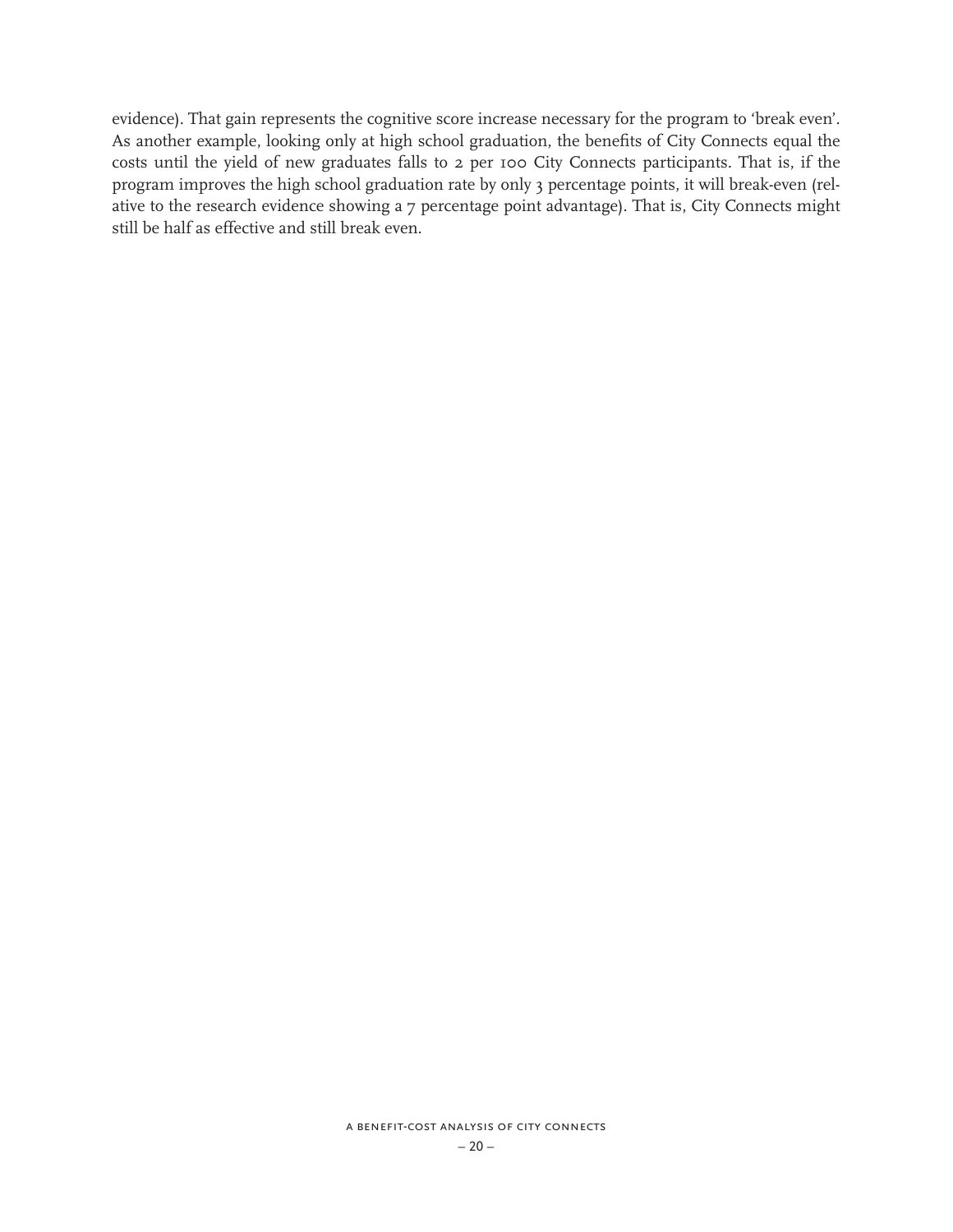evidence). That gain represents the cognitive score increase necessary for the program to 'break even'. As another example, looking only at high school graduation, the benefits of City Connects equal the costs until the yield of new graduates falls to 2 per 100 City Connects participants. That is, if the program improves the high school graduation rate by only 3 percentage points, it will break-even (relative to the research evidence showing a 7 percentage point advantage). That is, City Connects might still be half as effective and still break even.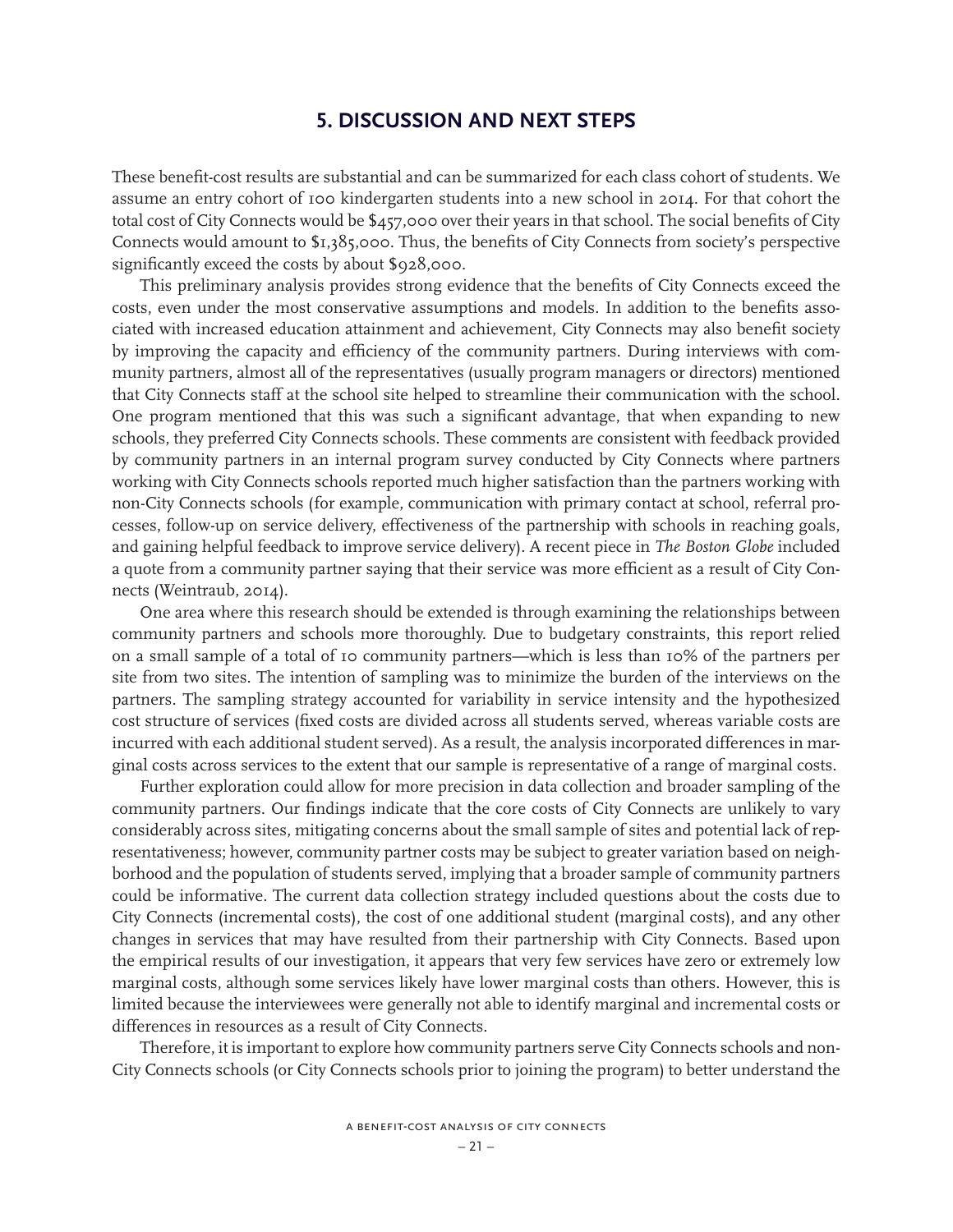# **5. DISCUSSION AND NEXT STEPS**

These benefit-cost results are substantial and can be summarized for each class cohort of students. We assume an entry cohort of 100 kindergarten students into a new school in 2014. For that cohort the total cost of City Connects would be \$457,000 over their years in that school. The social benefits of City Connects would amount to \$1,385,000. Thus, the benefits of City Connects from society's perspective significantly exceed the costs by about \$928,000.

This preliminary analysis provides strong evidence that the benefits of City Connects exceed the costs, even under the most conservative assumptions and models. In addition to the benefits associated with increased education attainment and achievement, City Connects may also benefit society by improving the capacity and efficiency of the community partners. During interviews with community partners, almost all of the representatives (usually program managers or directors) mentioned that City Connects staff at the school site helped to streamline their communication with the school. One program mentioned that this was such a significant advantage, that when expanding to new schools, they preferred City Connects schools. These comments are consistent with feedback provided by community partners in an internal program survey conducted by City Connects where partners working with City Connects schools reported much higher satisfaction than the partners working with non-City Connects schools (for example, communication with primary contact at school, referral processes, follow-up on service delivery, effectiveness of the partnership with schools in reaching goals, and gaining helpful feedback to improve service delivery). A recent piece in *The Boston Globe* included a quote from a community partner saying that their service was more efficient as a result of City Connects (Weintraub, 2014).

One area where this research should be extended is through examining the relationships between community partners and schools more thoroughly. Due to budgetary constraints, this report relied on a small sample of a total of 10 community partners—which is less than 10% of the partners per site from two sites. The intention of sampling was to minimize the burden of the interviews on the partners. The sampling strategy accounted for variability in service intensity and the hypothesized cost structure of services (fixed costs are divided across all students served, whereas variable costs are incurred with each additional student served). As a result, the analysis incorporated differences in marginal costs across services to the extent that our sample is representative of a range of marginal costs.

Further exploration could allow for more precision in data collection and broader sampling of the community partners. Our findings indicate that the core costs of City Connects are unlikely to vary considerably across sites, mitigating concerns about the small sample of sites and potential lack of representativeness; however, community partner costs may be subject to greater variation based on neighborhood and the population of students served, implying that a broader sample of community partners could be informative. The current data collection strategy included questions about the costs due to City Connects (incremental costs), the cost of one additional student (marginal costs), and any other changes in services that may have resulted from their partnership with City Connects. Based upon the empirical results of our investigation, it appears that very few services have zero or extremely low marginal costs, although some services likely have lower marginal costs than others. However, this is limited because the interviewees were generally not able to identify marginal and incremental costs or differences in resources as a result of City Connects.

Therefore, it is important to explore how community partners serve City Connects schools and non-City Connects schools (or City Connects schools prior to joining the program) to better understand the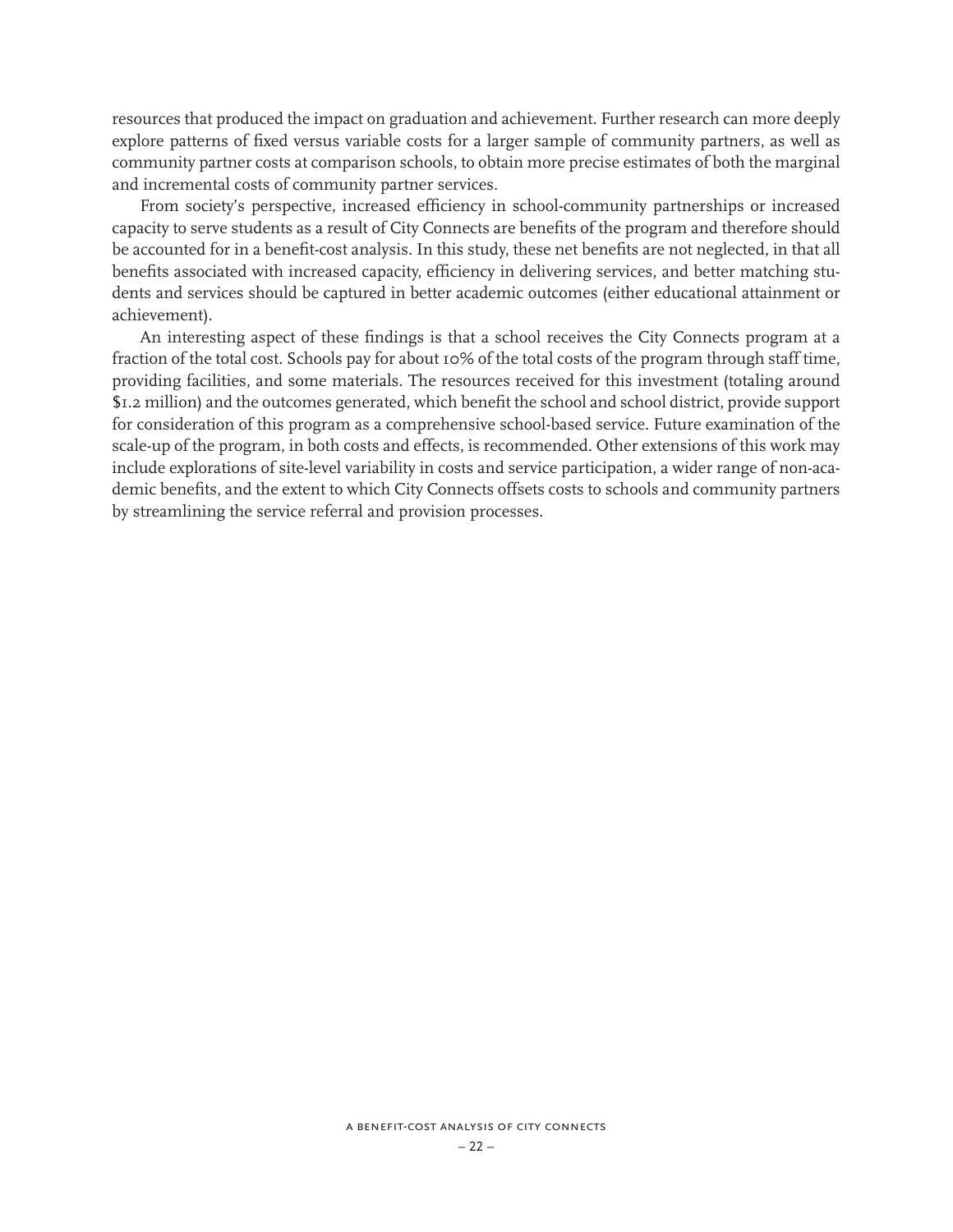resources that produced the impact on graduation and achievement. Further research can more deeply explore patterns of fixed versus variable costs for a larger sample of community partners, as well as community partner costs at comparison schools, to obtain more precise estimates of both the marginal and incremental costs of community partner services.

From society's perspective, increased efficiency in school-community partnerships or increased capacity to serve students as a result of City Connects are benefits of the program and therefore should be accounted for in a benefit-cost analysis. In this study, these net benefits are not neglected, in that all benefits associated with increased capacity, efficiency in delivering services, and better matching students and services should be captured in better academic outcomes (either educational attainment or achievement).

An interesting aspect of these findings is that a school receives the City Connects program at a fraction of the total cost. Schools pay for about 10% of the total costs of the program through staff time, providing facilities, and some materials. The resources received for this investment (totaling around \$1.2 million) and the outcomes generated, which benefit the school and school district, provide support for consideration of this program as a comprehensive school-based service. Future examination of the scale-up of the program, in both costs and effects, is recommended. Other extensions of this work may include explorations of site-level variability in costs and service participation, a wider range of non-academic benefits, and the extent to which City Connects offsets costs to schools and community partners by streamlining the service referral and provision processes.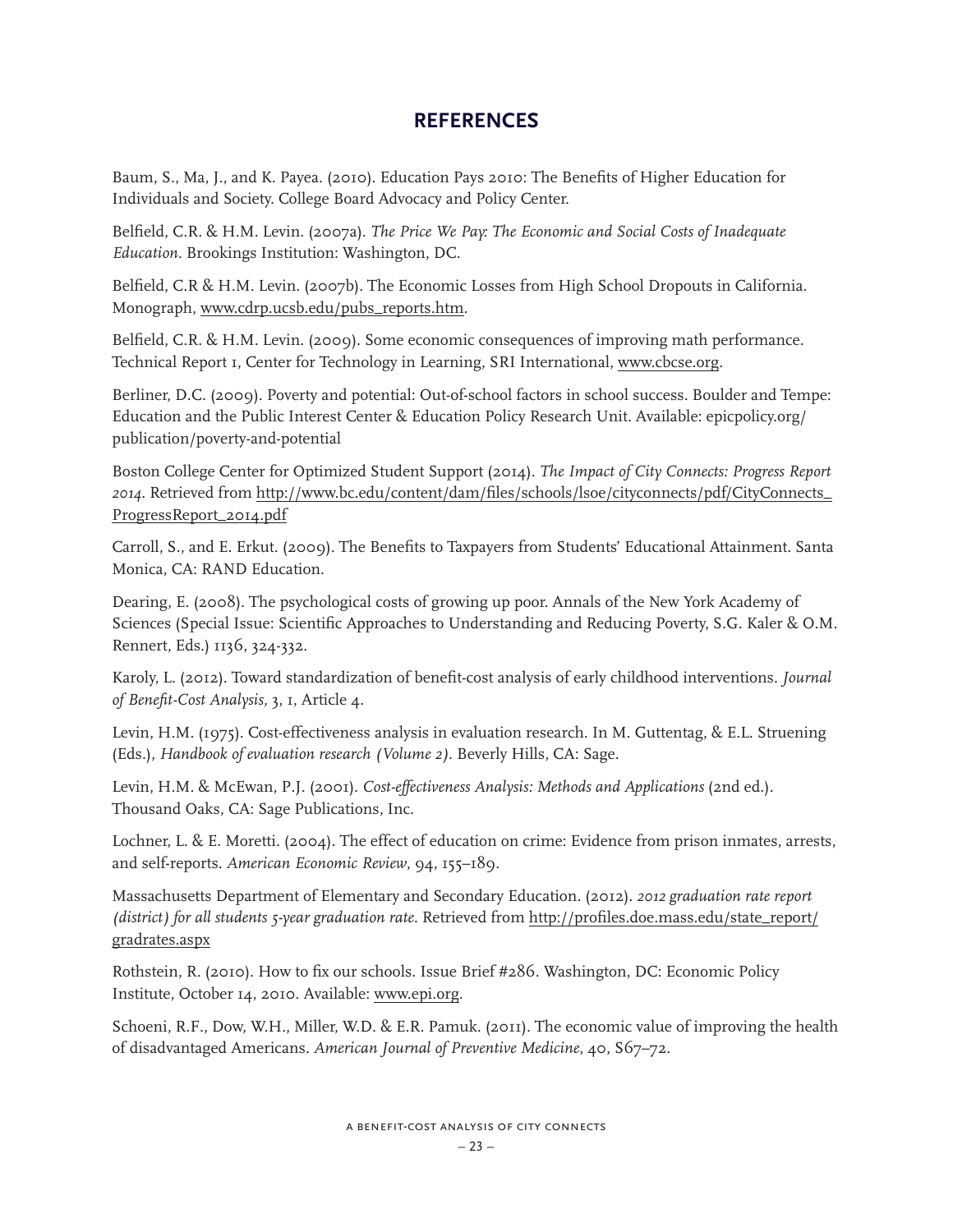# **REFERENCES**

Baum, S., Ma, J., and K. Payea. (2010). Education Pays 2010: The Benefits of Higher Education for Individuals and Society. College Board Advocacy and Policy Center.

Belfield, C.R. & H.M. Levin. (2007a). *The Price We Pay: The Economic and Social Costs of Inadequate Education.* Brookings Institution: Washington, DC.

Belfield, C.R & H.M. Levin. (2007b). The Economic Losses from High School Dropouts in California. Monograph, www.cdrp.ucsb.edu/pubs\_reports.htm.

Belfield, C.R. & H.M. Levin. (2009). Some economic consequences of improving math performance. Technical Report 1, Center for Technology in Learning, SRI International, www.cbcse.org.

Berliner, D.C. (2009). Poverty and potential: Out-of-school factors in school success. Boulder and Tempe: Education and the Public Interest Center & Education Policy Research Unit. Available: epicpolicy.org/ publication/poverty-and-potential

Boston College Center for Optimized Student Support (2014). *The Impact of City Connects: Progress Report 2014.* Retrieved from http://www.bc.edu/content/dam/files/schools/lsoe/cityconnects/pdf/CityConnects\_ ProgressReport\_2014.pdf

Carroll, S., and E. Erkut. (2009). The Benefits to Taxpayers from Students' Educational Attainment. Santa Monica, CA: RAND Education.

Dearing, E. (2008). The psychological costs of growing up poor. Annals of the New York Academy of Sciences (Special Issue: Scientific Approaches to Understanding and Reducing Poverty, S.G. Kaler & O.M. Rennert, Eds.) 1136, 324-332.

Karoly, L. (2012). Toward standardization of benefit-cost analysis of early childhood interventions. *Journal of Benefit-Cost Analysis,* 3, 1, Article 4.

Levin, H.M. (1975). Cost-effectiveness analysis in evaluation research. In M. Guttentag, & E.L. Struening (Eds.), *Handbook of evaluation research (Volume 2)*. Beverly Hills, CA: Sage.

Levin, H.M. & McEwan, P.J. (2001). *Cost-effectiveness Analysis: Methods and Applications* (2nd ed.)*.*  Thousand Oaks, CA: Sage Publications, Inc.

Lochner, L. & E. Moretti. (2004). The effect of education on crime: Evidence from prison inmates, arrests, and self-reports. *American Economic Review*, 94, 155–189.

Massachusetts Department of Elementary and Secondary Education. (2012). *2012 graduation rate report (district) for all students 5-year graduation rate.* Retrieved from http://profiles.doe.mass.edu/state\_report/ gradrates.aspx

Rothstein, R. (2010). How to fix our schools. Issue Brief #286. Washington, DC: Economic Policy Institute, October 14, 2010. Available: www.epi.org.

Schoeni, R.F., Dow, W.H., Miller, W.D. & E.R. Pamuk. (2011). The economic value of improving the health of disadvantaged Americans. *American Journal of Preventive Medicine*, 40, S67–72.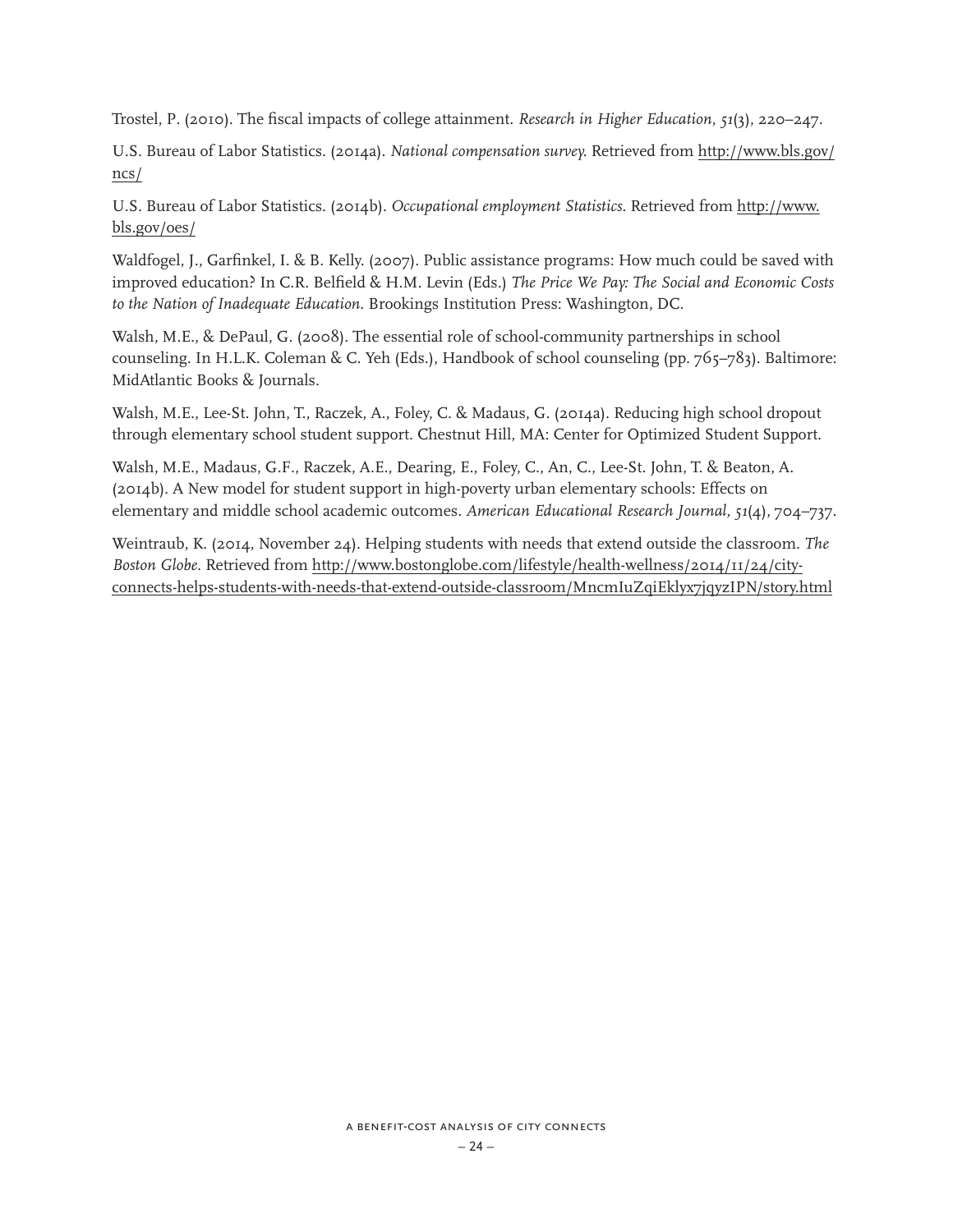Trostel, P. (2010). The fiscal impacts of college attainment. *Research in Higher Education*, *51*(3), 220–247.

U.S. Bureau of Labor Statistics. (2014a). *National compensation survey.* Retrieved from http://www.bls.gov/ ncs/

U.S. Bureau of Labor Statistics. (2014b). *Occupational employment Statistics.* Retrieved from http://www. bls.gov/oes/

Waldfogel, J., Garfinkel, I. & B. Kelly. (2007). Public assistance programs: How much could be saved with improved education? In C.R. Belfield & H.M. Levin (Eds.) *The Price We Pay: The Social and Economic Costs to the Nation of Inadequate Education*. Brookings Institution Press: Washington, DC.

Walsh, M.E., & DePaul, G. (2008). The essential role of school-community partnerships in school counseling. In H.L.K. Coleman & C. Yeh (Eds.), Handbook of school counseling (pp. 765–783). Baltimore: MidAtlantic Books & Journals.

Walsh, M.E., Lee-St. John, T., Raczek, A., Foley, C. & Madaus, G. (2014a). Reducing high school dropout through elementary school student support. Chestnut Hill, MA: Center for Optimized Student Support.

Walsh, M.E., Madaus, G.F., Raczek, A.E., Dearing, E., Foley, C., An, C., Lee-St. John, T. & Beaton, A. (2014b). A New model for student support in high-poverty urban elementary schools: Effects on elementary and middle school academic outcomes. *American Educational Research Journal, 51*(4), 704–737.

Weintraub, K. (2014, November 24). Helping students with needs that extend outside the classroom. *The Boston Globe*. Retrieved from http://www.bostonglobe.com/lifestyle/health-wellness/2014/11/24/cityconnects-helps-students-with-needs-that-extend-outside-classroom/MncmIuZqiEklyx7jqyzIPN/story.html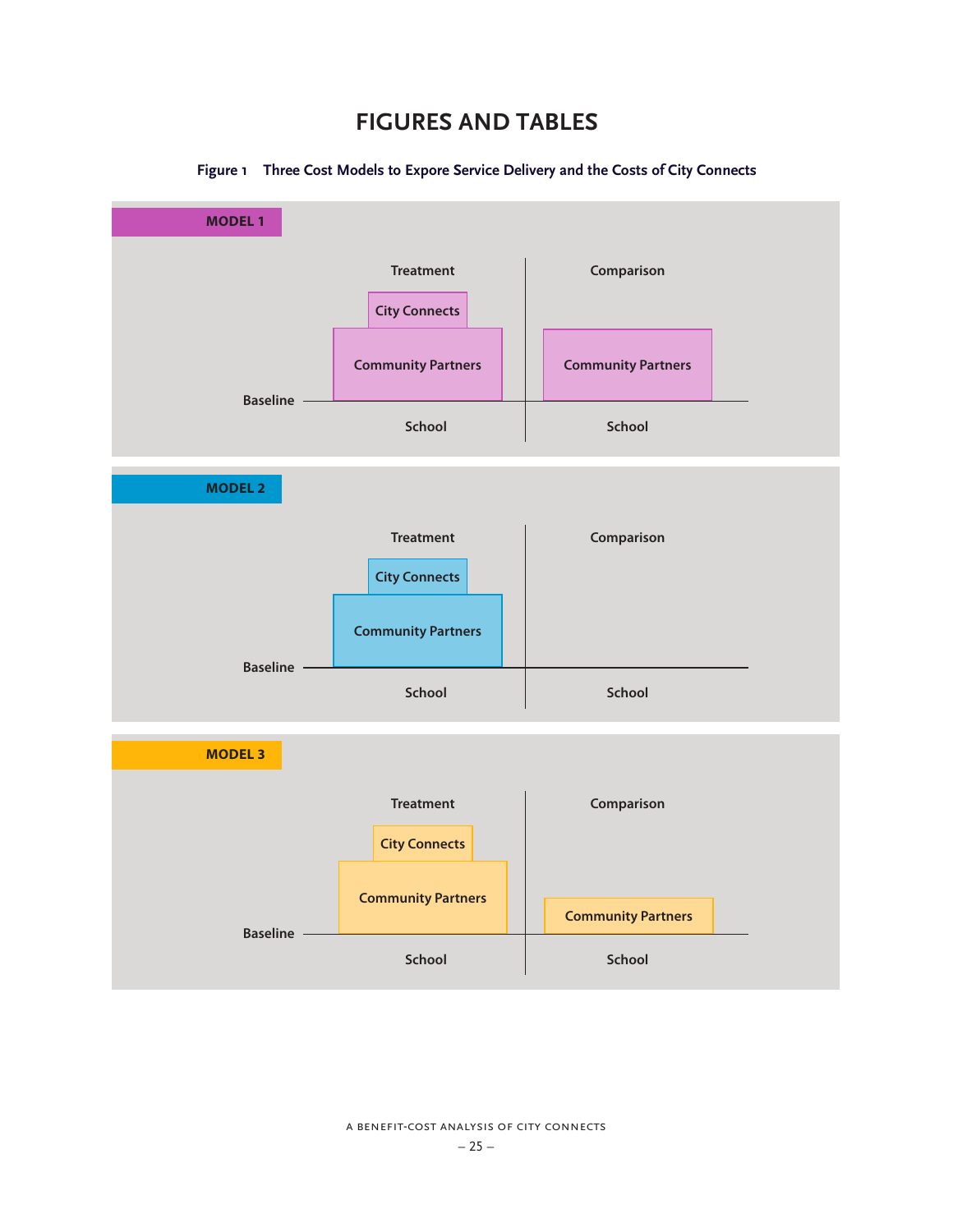# **FIGURES AND TABLES**



#### **Figure 1 Three Cost Models to Expore Service Delivery and the Costs of City Connects**

a benefit-cost analysis of city connects – 25 –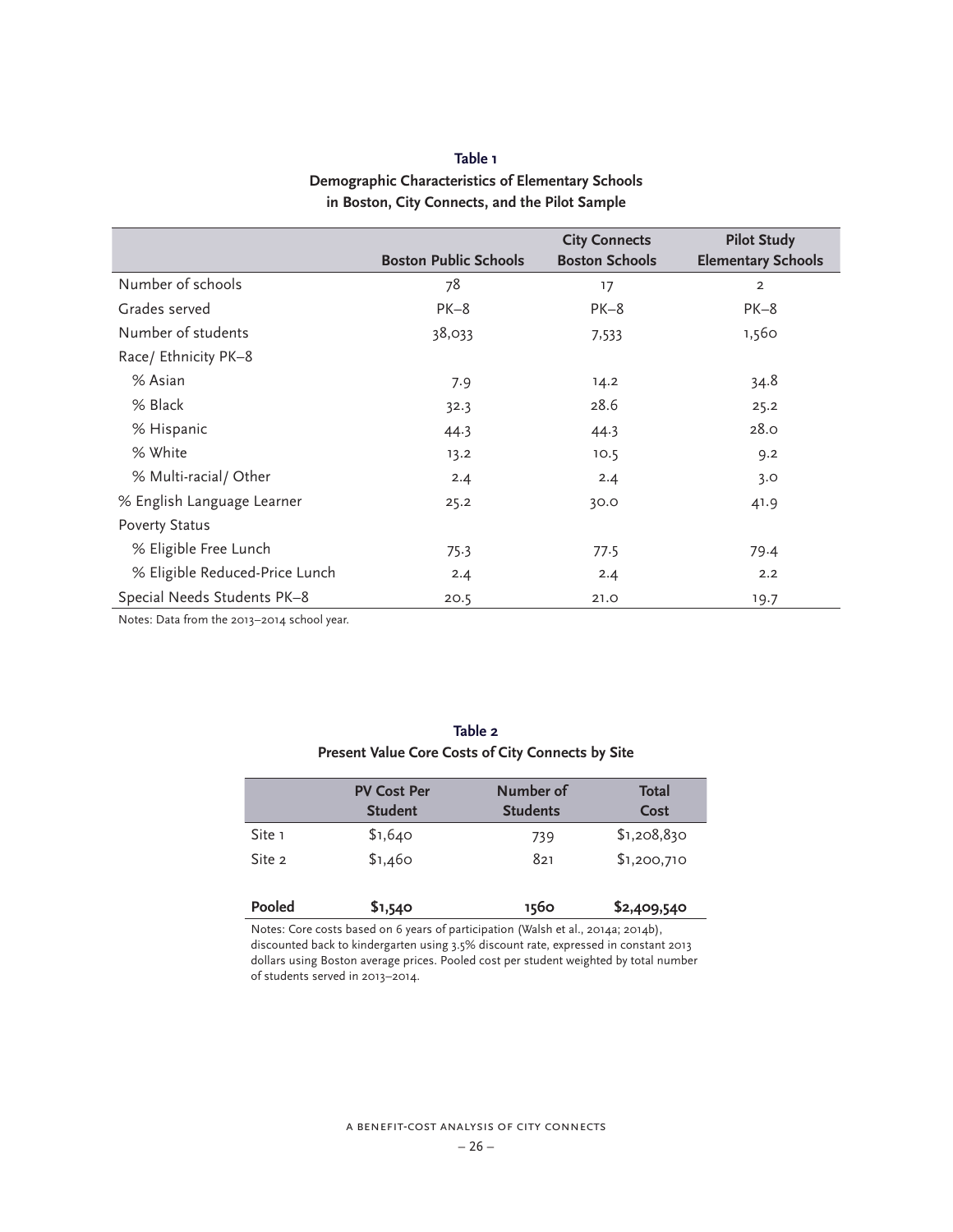# **Table 1 Demographic Characteristics of Elementary Schools in Boston, City Connects, and the Pilot Sample**

|                                |                              | <b>City Connects</b>  | <b>Pilot Study</b>        |
|--------------------------------|------------------------------|-----------------------|---------------------------|
|                                | <b>Boston Public Schools</b> | <b>Boston Schools</b> | <b>Elementary Schools</b> |
| Number of schools              | 78                           | 17                    | 2                         |
| Grades served                  | $PK-8$                       | $PK-8$                | $PK-8$                    |
| Number of students             | 38,033                       | 7,533                 | 1,560                     |
| Race/ Ethnicity PK-8           |                              |                       |                           |
| % Asian                        | 7.9                          | 14.2                  | 34.8                      |
| % Black                        | 32.3                         | 28.6                  | 25.2                      |
| % Hispanic                     | 44.3                         | 44.3                  | 28.0                      |
| % White                        | 13.2                         | 10.5                  | 9.2                       |
| % Multi-racial/ Other          | 2.4                          | 2.4                   | 3.0                       |
| % English Language Learner     | 25.2                         | 30.0                  | 41.9                      |
| <b>Poverty Status</b>          |                              |                       |                           |
| % Eligible Free Lunch          | 75.3                         | 77.5                  | 79.4                      |
| % Eligible Reduced-Price Lunch | 2.4                          | 2.4                   | 2.2                       |
| Special Needs Students PK-8    | 20.5                         | 21.0                  | 19.7                      |

Notes: Data from the 2013–2014 school year.

| Present Value Core Costs of City Connects by Site |                                      |                              |                      |
|---------------------------------------------------|--------------------------------------|------------------------------|----------------------|
|                                                   | <b>PV Cost Per</b><br><b>Student</b> | Number of<br><b>Students</b> | <b>Total</b><br>Cost |
| Site 1                                            | \$1,640                              | 739                          | \$1,208,830          |
| Site 2                                            | \$1,460                              | 821                          | \$1,200,710          |

**Table 2**

| Pooled | \$1,540 | 1560 | \$2,409,540 |
|--------|---------|------|-------------|
|        |         |      |             |

Notes: Core costs based on 6 years of participation (Walsh et al., 2014a; 2014b), discounted back to kindergarten using 3.5% discount rate, expressed in constant 2013 dollars using Boston average prices. Pooled cost per student weighted by total number of students served in 2013–2014.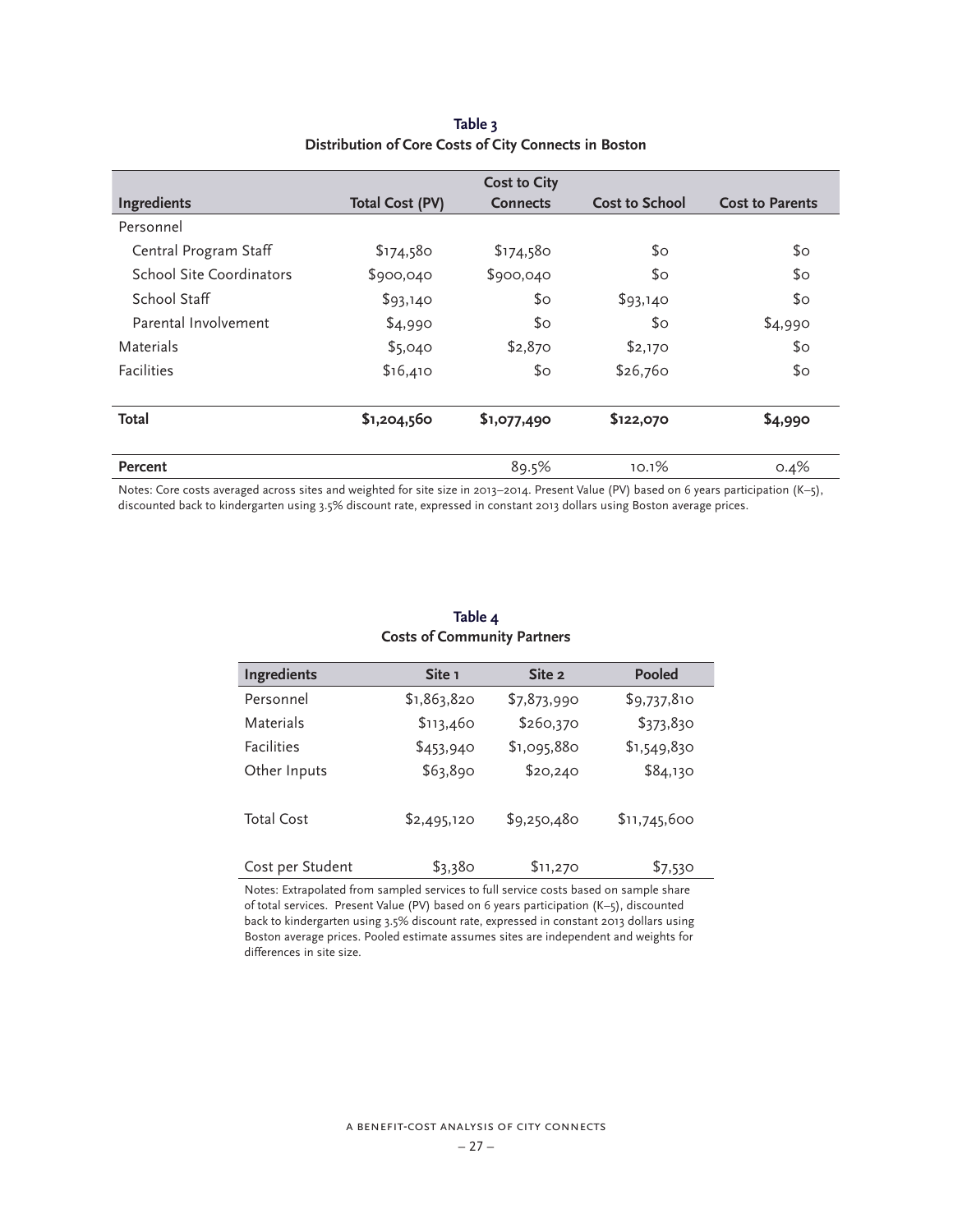| <b>Cost to City</b>      |                        |                 |                       |                        |
|--------------------------|------------------------|-----------------|-----------------------|------------------------|
| Ingredients              | <b>Total Cost (PV)</b> | <b>Connects</b> | <b>Cost to School</b> | <b>Cost to Parents</b> |
| Personnel                |                        |                 |                       |                        |
| Central Program Staff    | \$174,580              | \$174,580       | \$o                   | $\mathfrak{S}$ O       |
| School Site Coordinators | \$900,040              | \$900,040       | \$٥                   | \$0                    |
| School Staff             | \$93,140               | \$0             | \$93,140              | $\mathfrak{S}$ O       |
| Parental Involvement     | \$4,990                | \$0             | \$٥                   | \$4,990                |
| Materials                | \$5,040                | \$2,870         | \$2,170               | $\mathfrak{S}$ O       |
| <b>Facilities</b>        | \$16,410               | \$0             | \$26,760              | $\mathfrak{S}$ O       |
| Total                    | \$1,204,560            | \$1,077,490     | \$122,070             | \$4,990                |
| Percent                  |                        | 89.5%           | 10.1%                 | 0.4%                   |

### **Table 3 Distribution of Core Costs of City Connects in Boston**

Notes: Core costs averaged across sites and weighted for site size in 2013–2014. Present Value (PV) based on 6 years participation (K–5), discounted back to kindergarten using 3.5% discount rate, expressed in constant 2013 dollars using Boston average prices.

| Ingredients       | Site 1      | Site 2      | <b>Pooled</b> |
|-------------------|-------------|-------------|---------------|
| Personnel         | \$1,863,820 | \$7,873,990 | \$9,737,810   |
| Materials         | \$113,460   | \$260,370   | \$373,830     |
| <b>Facilities</b> | \$453,940   | \$1,095,880 | \$1,549,830   |
| Other Inputs      | \$63,890    | \$20,240    | \$84,130      |
| <b>Total Cost</b> | \$2,495,120 | \$9,250,480 | \$11,745,600  |
| Cost per Student  | \$3,380     | \$11,270    | \$7,530       |

### **Table 4 Costs of Community Partners**

Notes: Extrapolated from sampled services to full service costs based on sample share of total services. Present Value (PV) based on 6 years participation (K–5), discounted back to kindergarten using 3.5% discount rate, expressed in constant 2013 dollars using Boston average prices. Pooled estimate assumes sites are independent and weights for differences in site size.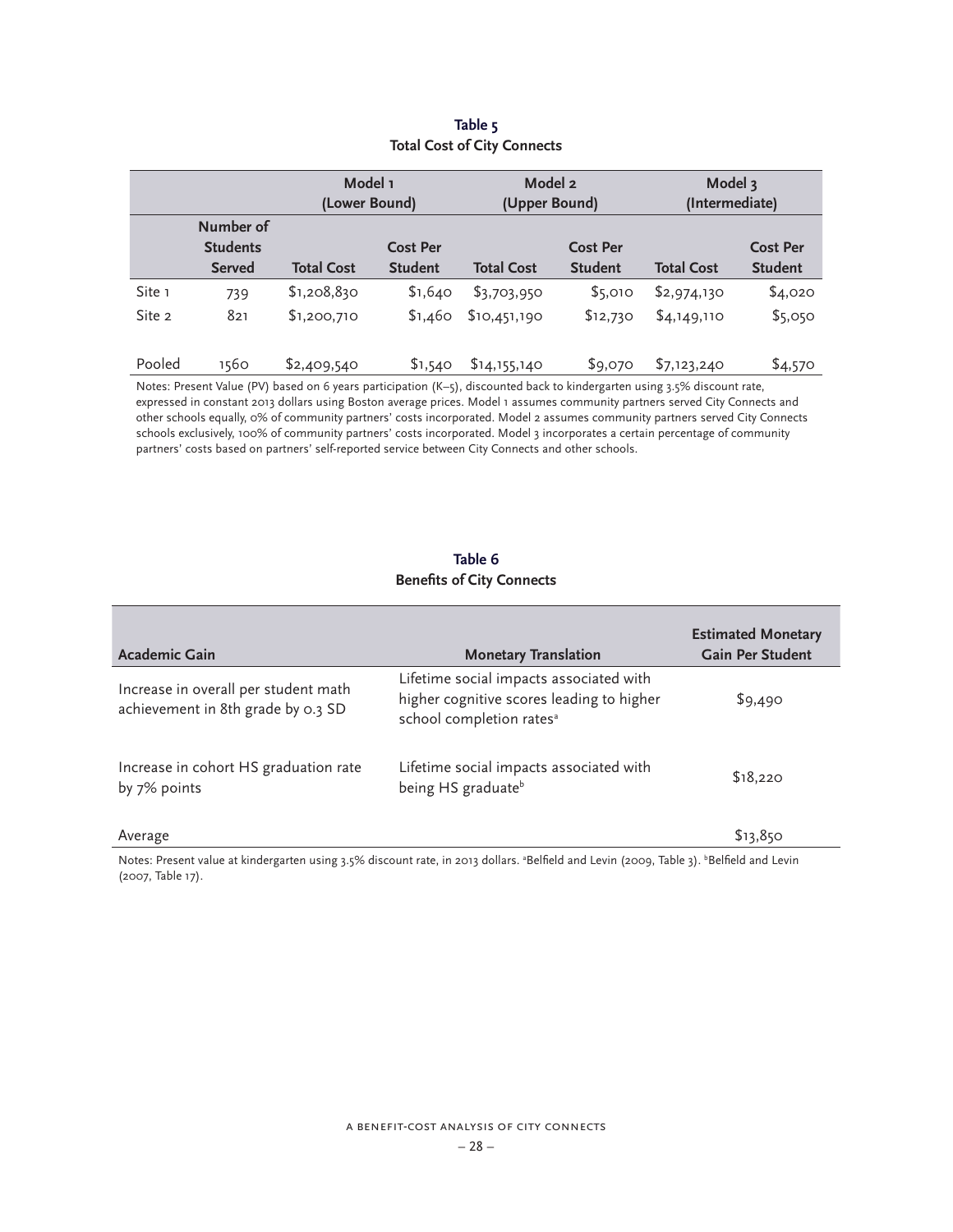|        |                              | Model 1<br>(Lower Bound) |                 | Model 2<br>(Upper Bound) |                 | Model 3<br>(Intermediate) |                 |
|--------|------------------------------|--------------------------|-----------------|--------------------------|-----------------|---------------------------|-----------------|
|        | Number of<br><b>Students</b> |                          | <b>Cost Per</b> |                          | <b>Cost Per</b> |                           | <b>Cost Per</b> |
|        | <b>Served</b>                | <b>Total Cost</b>        | <b>Student</b>  | <b>Total Cost</b>        | <b>Student</b>  | <b>Total Cost</b>         | <b>Student</b>  |
| Site 1 | 739                          | \$1,208,830              | \$1,640         | \$3,703,950              | \$5,010         | \$2,974,130               | \$4,020         |
| Site 2 | 821                          | \$1,200,710              | \$1,460         | \$10,451,190             | \$12,730        | \$4,149,110               | \$5,050         |
|        |                              |                          |                 |                          |                 |                           |                 |
| Pooled | 1560                         | \$2,409,540              | \$1,540         | \$14,155,140             | \$9,070         | \$7,123,240               | \$4,570         |

### **Table 5 Total Cost of City Connects**

Notes: Present Value (PV) based on 6 years participation (K–5), discounted back to kindergarten using 3.5% discount rate, expressed in constant 2013 dollars using Boston average prices. Model 1 assumes community partners served City Connects and other schools equally, 0% of community partners' costs incorporated. Model 2 assumes community partners served City Connects schools exclusively, 100% of community partners' costs incorporated. Model 3 incorporates a certain percentage of community partners' costs based on partners' self-reported service between City Connects and other schools.

### **Table 6 Benefits of City Connects**

| <b>Academic Gain</b>                                                       | <b>Monetary Translation</b>                                                                                                  | <b>Estimated Monetary</b><br><b>Gain Per Student</b> |
|----------------------------------------------------------------------------|------------------------------------------------------------------------------------------------------------------------------|------------------------------------------------------|
| Increase in overall per student math<br>achievement in 8th grade by 0.3 SD | Lifetime social impacts associated with<br>higher cognitive scores leading to higher<br>school completion rates <sup>a</sup> | \$9,490                                              |
| Increase in cohort HS graduation rate<br>by 7% points                      | Lifetime social impacts associated with<br>being HS graduate <sup>b</sup>                                                    | \$18,220                                             |
| Average                                                                    |                                                                                                                              | \$13,850                                             |

Notes: Present value at kindergarten using 3.5% discount rate, in 2013 dollars. <sup>a</sup>Belfield and Levin (2009, Table 3). <sup>b</sup>Belfield and Levin (2007, Table 17).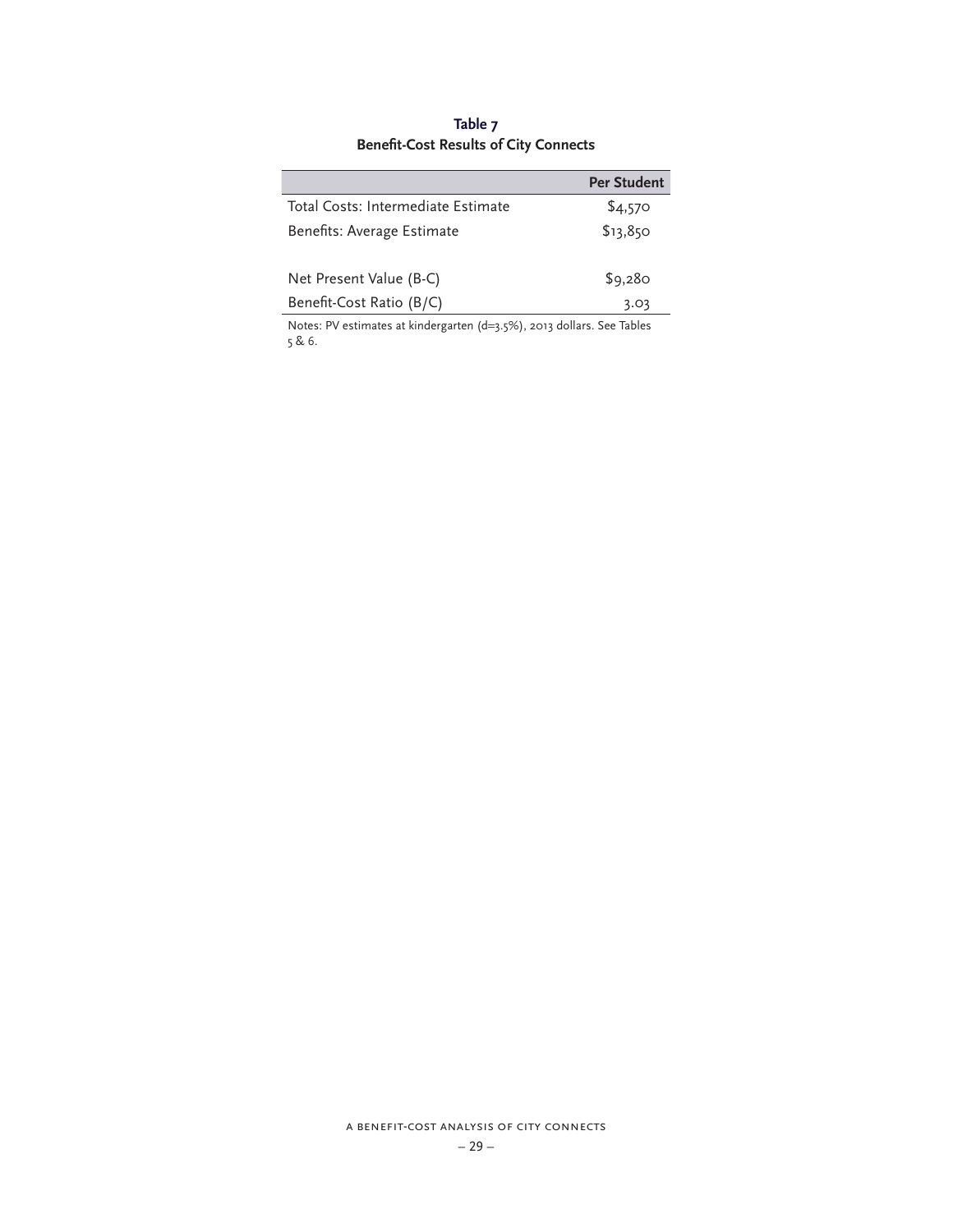# **Table 7 Benefit-Cost Results of City Connects**

|                                    | <b>Per Student</b> |
|------------------------------------|--------------------|
| Total Costs: Intermediate Estimate | \$4,570            |
| Benefits: Average Estimate         | \$13,850           |
| Net Present Value (B-C)            | \$9,280            |
| Benefit-Cost Ratio (B/C)           | 3.03               |
|                                    |                    |

Notes: PV estimates at kindergarten (d=3.5%), 2013 dollars. See Tables 5 & 6.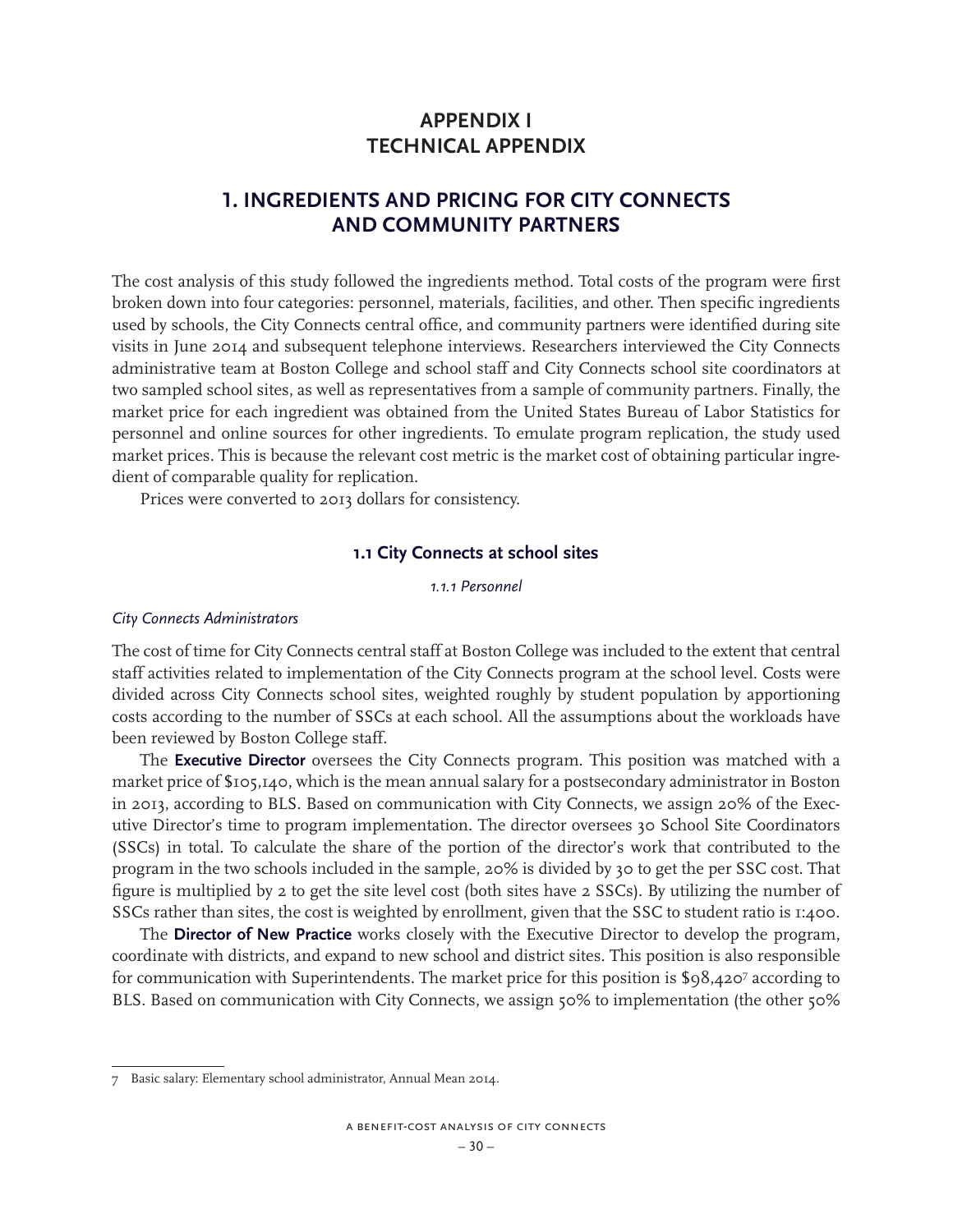# **APPENDIX I TECHNICAL APPENDIX**

# **1. INGREDIENTS AND PRICING FOR CITY CONNECTS AND COMMUNITY PARTNERS**

The cost analysis of this study followed the ingredients method. Total costs of the program were first broken down into four categories: personnel, materials, facilities, and other. Then specific ingredients used by schools, the City Connects central office, and community partners were identified during site visits in June 2014 and subsequent telephone interviews. Researchers interviewed the City Connects administrative team at Boston College and school staff and City Connects school site coordinators at two sampled school sites, as well as representatives from a sample of community partners. Finally, the market price for each ingredient was obtained from the United States Bureau of Labor Statistics for personnel and online sources for other ingredients. To emulate program replication, the study used market prices. This is because the relevant cost metric is the market cost of obtaining particular ingredient of comparable quality for replication.

Prices were converted to 2013 dollars for consistency.

### **1.1 City Connects at school sites**

*1.1.1 Personnel*

#### *City Connects Administrators*

The cost of time for City Connects central staff at Boston College was included to the extent that central staff activities related to implementation of the City Connects program at the school level. Costs were divided across City Connects school sites, weighted roughly by student population by apportioning costs according to the number of SSCs at each school. All the assumptions about the workloads have been reviewed by Boston College staff.

The **Executive Director** oversees the City Connects program. This position was matched with a market price of \$105,140, which is the mean annual salary for a postsecondary administrator in Boston in 2013, according to BLS. Based on communication with City Connects, we assign 20% of the Executive Director's time to program implementation. The director oversees 30 School Site Coordinators (SSCs) in total. To calculate the share of the portion of the director's work that contributed to the program in the two schools included in the sample, 20% is divided by 30 to get the per SSC cost. That figure is multiplied by 2 to get the site level cost (both sites have 2 SSCs). By utilizing the number of SSCs rather than sites, the cost is weighted by enrollment, given that the SSC to student ratio is 1:400.

The **Director of New Practice** works closely with the Executive Director to develop the program, coordinate with districts, and expand to new school and district sites. This position is also responsible for communication with Superintendents. The market price for this position is \$98,4207 according to BLS. Based on communication with City Connects, we assign 50% to implementation (the other 50%

<sup>7</sup> Basic salary: Elementary school administrator, Annual Mean 2014.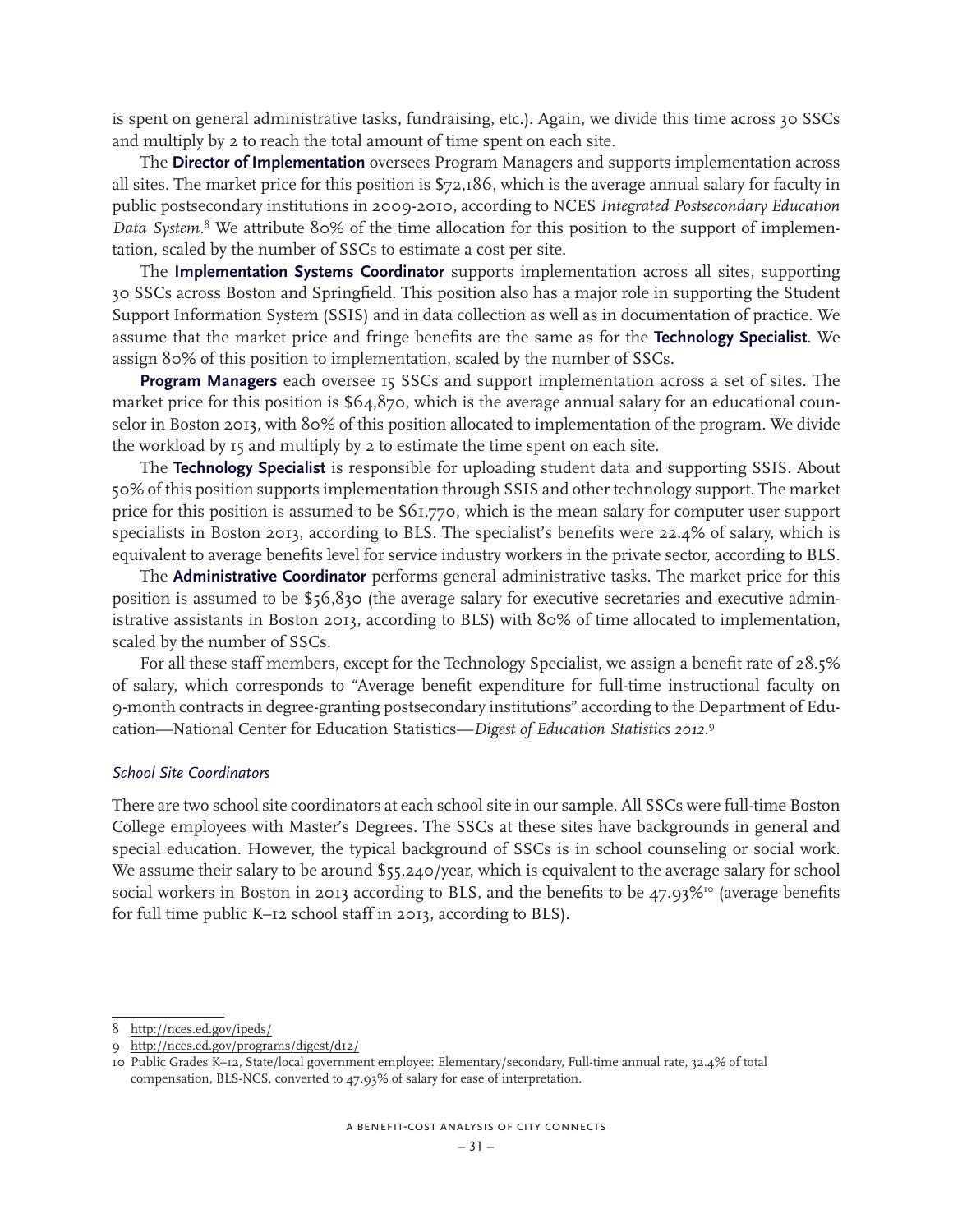is spent on general administrative tasks, fundraising, etc.). Again, we divide this time across 30 SSCs and multiply by 2 to reach the total amount of time spent on each site.

The **Director of Implementation** oversees Program Managers and supports implementation across all sites. The market price for this position is \$72,186, which is the average annual salary for faculty in public postsecondary institutions in 2009-2010, according to NCES *Integrated Postsecondary Education Data System.*<sup>8</sup> We attribute 80% of the time allocation for this position to the support of implementation, scaled by the number of SSCs to estimate a cost per site.

The **Implementation Systems Coordinator** supports implementation across all sites, supporting 30 SSCs across Boston and Springfield. This position also has a major role in supporting the Student Support Information System (SSIS) and in data collection as well as in documentation of practice. We assume that the market price and fringe benefits are the same as for the **Technology Specialist**. We assign 80% of this position to implementation, scaled by the number of SSCs.

**Program Managers** each oversee 15 SSCs and support implementation across a set of sites. The market price for this position is \$64,870, which is the average annual salary for an educational counselor in Boston 2013, with 80% of this position allocated to implementation of the program. We divide the workload by 15 and multiply by 2 to estimate the time spent on each site.

The **Technology Specialist** is responsible for uploading student data and supporting SSIS. About 50% of this position supports implementation through SSIS and other technology support. The market price for this position is assumed to be \$61,770, which is the mean salary for computer user support specialists in Boston 2013, according to BLS. The specialist's benefits were 22.4% of salary, which is equivalent to average benefits level for service industry workers in the private sector, according to BLS.

The **Administrative Coordinator** performs general administrative tasks. The market price for this position is assumed to be \$56,830 (the average salary for executive secretaries and executive administrative assistants in Boston 2013, according to BLS) with 80% of time allocated to implementation, scaled by the number of SSCs.

For all these staff members, except for the Technology Specialist, we assign a benefit rate of 28.5% of salary, which corresponds to "Average benefit expenditure for full-time instructional faculty on 9-month contracts in degree-granting postsecondary institutions" according to the Department of Education—National Center for Education Statistics—*Digest of Education Statistics 2012.*<sup>9</sup>

### *School Site Coordinators*

There are two school site coordinators at each school site in our sample. All SSCs were full-time Boston College employees with Master's Degrees. The SSCs at these sites have backgrounds in general and special education. However, the typical background of SSCs is in school counseling or social work. We assume their salary to be around \$55,240/year, which is equivalent to the average salary for school social workers in Boston in 2013 according to BLS, and the benefits to be  $47.93\%$ <sup>10</sup> (average benefits for full time public K–12 school staff in 2013, according to BLS).

<sup>8</sup> http://nces.ed.gov/ipeds/

<sup>9</sup> http://nces.ed.gov/programs/digest/d12/

<sup>10</sup> Public Grades K–12, State/local government employee: Elementary/secondary, Full-time annual rate, 32.4% of total compensation, BLS-NCS, converted to 47.93% of salary for ease of interpretation.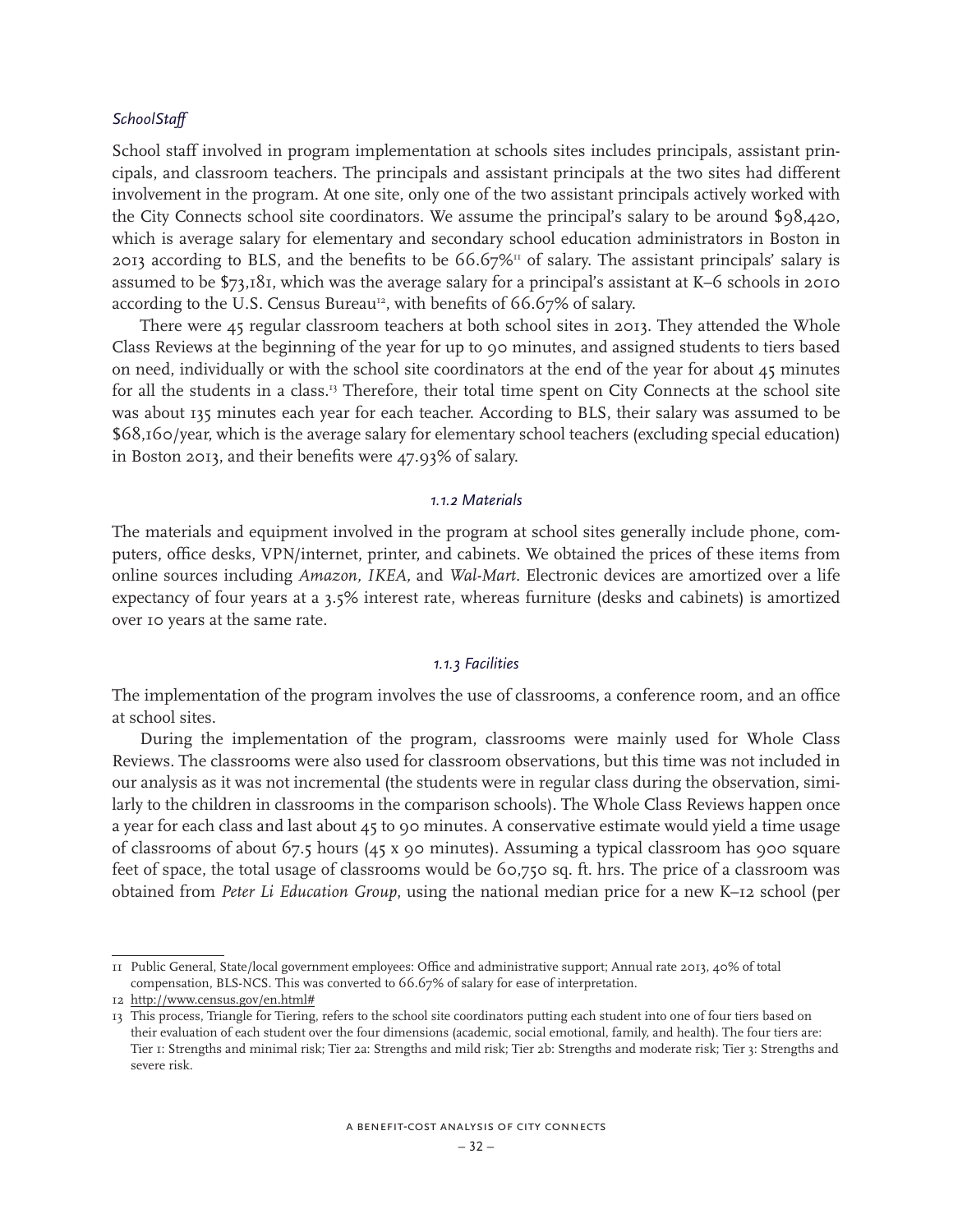### *SchoolStaff*

School staff involved in program implementation at schools sites includes principals, assistant principals, and classroom teachers. The principals and assistant principals at the two sites had different involvement in the program. At one site, only one of the two assistant principals actively worked with the City Connects school site coordinators. We assume the principal's salary to be around \$98,420, which is average salary for elementary and secondary school education administrators in Boston in 2013 according to BLS, and the benefits to be  $66.67\%$ <sup>11</sup> of salary. The assistant principals' salary is assumed to be \$73,181, which was the average salary for a principal's assistant at K–6 schools in 2010 according to the U.S. Census Bureau<sup>12</sup>, with benefits of 66.67% of salary.

There were 45 regular classroom teachers at both school sites in 2013. They attended the Whole Class Reviews at the beginning of the year for up to 90 minutes, and assigned students to tiers based on need, individually or with the school site coordinators at the end of the year for about  $45$  minutes for all the students in a class.<sup>13</sup> Therefore, their total time spent on City Connects at the school site was about 135 minutes each year for each teacher. According to BLS, their salary was assumed to be \$68,160/year, which is the average salary for elementary school teachers (excluding special education) in Boston 2013, and their benefits were 47.93% of salary.

#### *1.1.2 Materials*

The materials and equipment involved in the program at school sites generally include phone, computers, office desks, VPN/internet, printer, and cabinets. We obtained the prices of these items from online sources including *Amazon, IKEA,* and *Wal-Mart*. Electronic devices are amortized over a life expectancy of four years at a 3.5% interest rate, whereas furniture (desks and cabinets) is amortized over 10 years at the same rate.

#### *1.1.3 Facilities*

The implementation of the program involves the use of classrooms, a conference room, and an office at school sites.

During the implementation of the program, classrooms were mainly used for Whole Class Reviews. The classrooms were also used for classroom observations, but this time was not included in our analysis as it was not incremental (the students were in regular class during the observation, similarly to the children in classrooms in the comparison schools). The Whole Class Reviews happen once a year for each class and last about 45 to 90 minutes. A conservative estimate would yield a time usage of classrooms of about 67.5 hours (45 x 90 minutes). Assuming a typical classroom has 900 square feet of space, the total usage of classrooms would be 60,750 sq. ft. hrs. The price of a classroom was obtained from *Peter Li Education Group*, using the national median price for a new K–12 school (per

<sup>11</sup> Public General, State/local government employees: Office and administrative support; Annual rate 2013, 40% of total compensation, BLS-NCS. This was converted to 66.67% of salary for ease of interpretation.

<sup>12</sup> http://www.census.gov/en.html#

<sup>13</sup> This process, Triangle for Tiering, refers to the school site coordinators putting each student into one of four tiers based on their evaluation of each student over the four dimensions (academic, social emotional, family, and health). The four tiers are: Tier 1: Strengths and minimal risk; Tier 2a: Strengths and mild risk; Tier 2b: Strengths and moderate risk; Tier 3: Strengths and severe risk.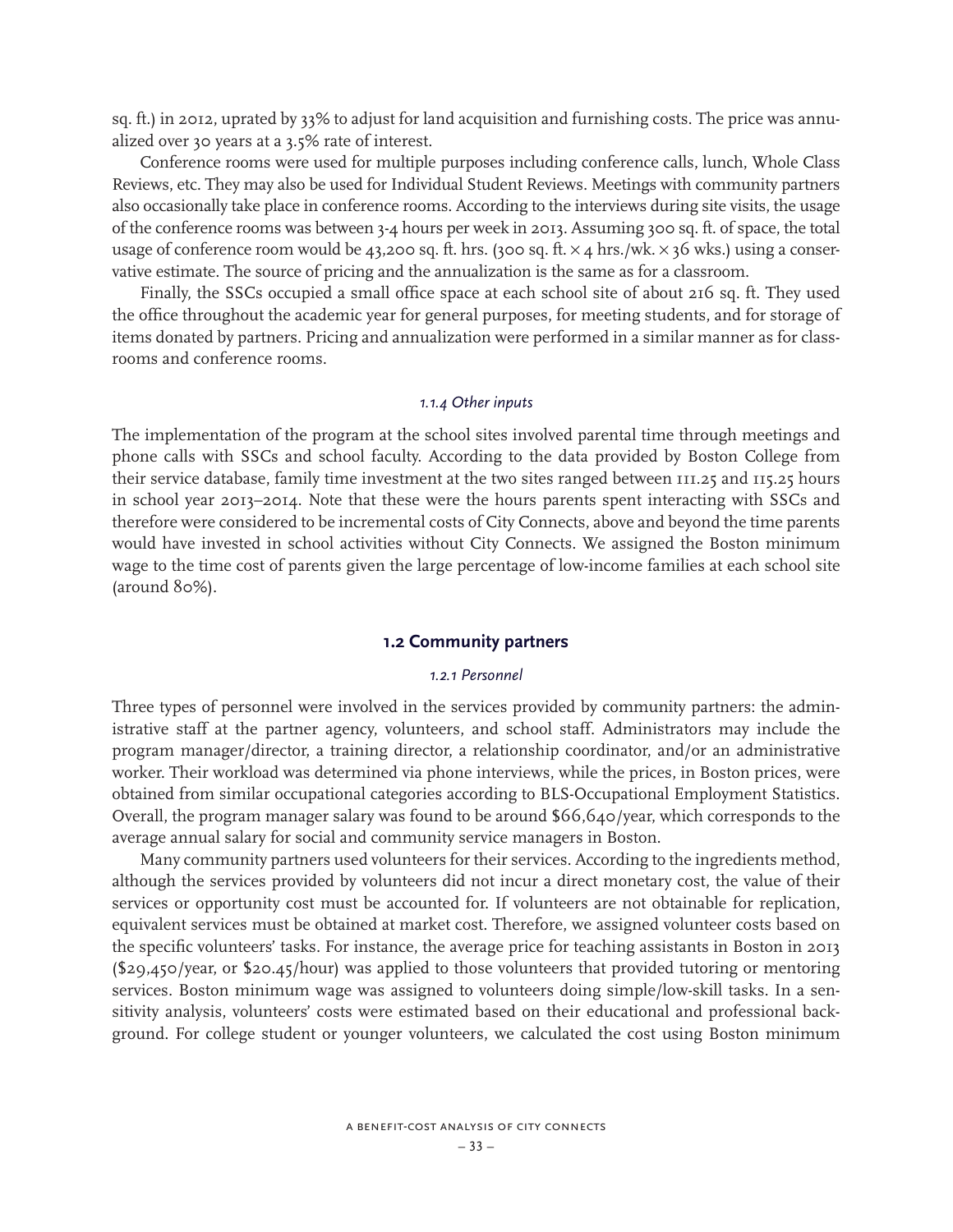sq. ft.) in 2012, uprated by 33% to adjust for land acquisition and furnishing costs. The price was annualized over 30 years at a 3.5% rate of interest.

Conference rooms were used for multiple purposes including conference calls, lunch, Whole Class Reviews, etc. They may also be used for Individual Student Reviews. Meetings with community partners also occasionally take place in conference rooms. According to the interviews during site visits, the usage of the conference rooms was between 3-4 hours per week in 2013. Assuming 300 sq. ft. of space, the total usage of conference room would be 43,200 sq. ft. hrs. (300 sq. ft.  $\times$  4 hrs./wk.  $\times$  36 wks.) using a conservative estimate. The source of pricing and the annualization is the same as for a classroom.

Finally, the SSCs occupied a small office space at each school site of about 216 sq. ft. They used the office throughout the academic year for general purposes, for meeting students, and for storage of items donated by partners. Pricing and annualization were performed in a similar manner as for classrooms and conference rooms.

### *1.1.4 Other inputs*

The implementation of the program at the school sites involved parental time through meetings and phone calls with SSCs and school faculty. According to the data provided by Boston College from their service database, family time investment at the two sites ranged between 111.25 and 115.25 hours in school year 2013–2014. Note that these were the hours parents spent interacting with SSCs and therefore were considered to be incremental costs of City Connects, above and beyond the time parents would have invested in school activities without City Connects. We assigned the Boston minimum wage to the time cost of parents given the large percentage of low-income families at each school site (around 80%).

### **1.2 Community partners**

### *1.2.1 Personnel*

Three types of personnel were involved in the services provided by community partners: the administrative staff at the partner agency, volunteers, and school staff. Administrators may include the program manager/director, a training director, a relationship coordinator, and/or an administrative worker. Their workload was determined via phone interviews, while the prices, in Boston prices, were obtained from similar occupational categories according to BLS-Occupational Employment Statistics. Overall, the program manager salary was found to be around \$66,640/year, which corresponds to the average annual salary for social and community service managers in Boston.

Many community partners used volunteers for their services. According to the ingredients method, although the services provided by volunteers did not incur a direct monetary cost, the value of their services or opportunity cost must be accounted for. If volunteers are not obtainable for replication, equivalent services must be obtained at market cost. Therefore, we assigned volunteer costs based on the specific volunteers' tasks. For instance, the average price for teaching assistants in Boston in 2013 (\$29,450/year, or \$20.45/hour) was applied to those volunteers that provided tutoring or mentoring services. Boston minimum wage was assigned to volunteers doing simple/low-skill tasks. In a sensitivity analysis, volunteers' costs were estimated based on their educational and professional background. For college student or younger volunteers, we calculated the cost using Boston minimum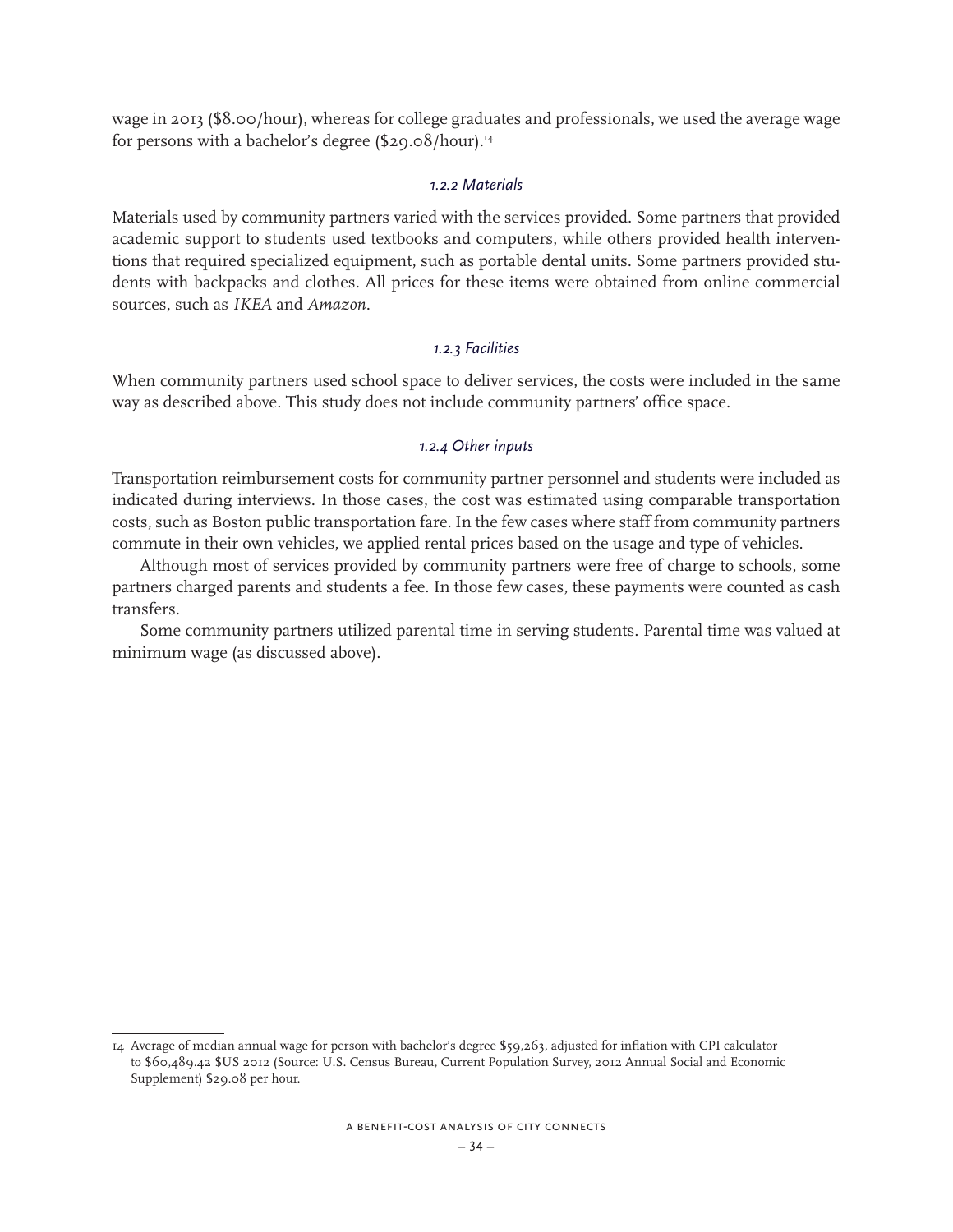wage in 2013 (\$8.00/hour), whereas for college graduates and professionals, we used the average wage for persons with a bachelor's degree (\$29.08/hour).14

### *1.2.2 Materials*

Materials used by community partners varied with the services provided. Some partners that provided academic support to students used textbooks and computers, while others provided health interventions that required specialized equipment, such as portable dental units. Some partners provided students with backpacks and clothes. All prices for these items were obtained from online commercial sources, such as *IKEA* and *Amazon*.

### *1.2.3 Facilities*

When community partners used school space to deliver services, the costs were included in the same way as described above. This study does not include community partners' office space.

### *1.2.4 Other inputs*

Transportation reimbursement costs for community partner personnel and students were included as indicated during interviews. In those cases, the cost was estimated using comparable transportation costs, such as Boston public transportation fare. In the few cases where staff from community partners commute in their own vehicles, we applied rental prices based on the usage and type of vehicles.

Although most of services provided by community partners were free of charge to schools, some partners charged parents and students a fee. In those few cases, these payments were counted as cash transfers.

Some community partners utilized parental time in serving students. Parental time was valued at minimum wage (as discussed above).

<sup>14</sup> Average of median annual wage for person with bachelor's degree \$59,263, adjusted for inflation with CPI calculator to \$60,489.42 \$US 2012 (Source: U.S. Census Bureau, Current Population Survey, 2012 Annual Social and Economic Supplement) \$29.08 per hour.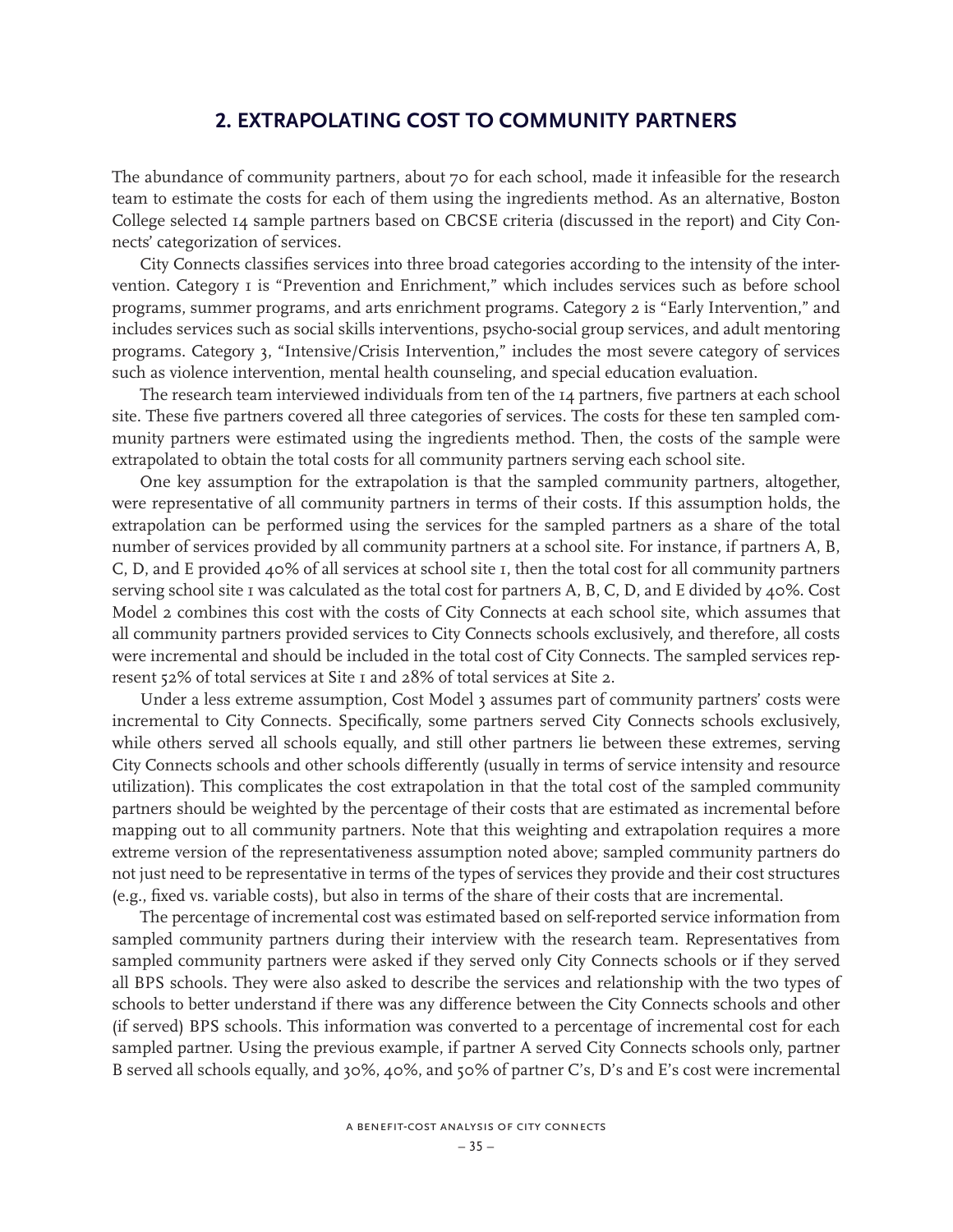# **2. EXTRAPOLATING COST TO COMMUNITY PARTNERS**

The abundance of community partners, about 70 for each school, made it infeasible for the research team to estimate the costs for each of them using the ingredients method. As an alternative, Boston College selected 14 sample partners based on CBCSE criteria (discussed in the report) and City Connects' categorization of services.

City Connects classifies services into three broad categories according to the intensity of the intervention. Category I is "Prevention and Enrichment," which includes services such as before school programs, summer programs, and arts enrichment programs. Category 2 is "Early Intervention," and includes services such as social skills interventions, psycho-social group services, and adult mentoring programs. Category 3, "Intensive/Crisis Intervention," includes the most severe category of services such as violence intervention, mental health counseling, and special education evaluation.

The research team interviewed individuals from ten of the 14 partners, five partners at each school site. These five partners covered all three categories of services. The costs for these ten sampled community partners were estimated using the ingredients method. Then, the costs of the sample were extrapolated to obtain the total costs for all community partners serving each school site.

One key assumption for the extrapolation is that the sampled community partners, altogether, were representative of all community partners in terms of their costs. If this assumption holds, the extrapolation can be performed using the services for the sampled partners as a share of the total number of services provided by all community partners at a school site. For instance, if partners A, B, C, D, and E provided 40% of all services at school site 1, then the total cost for all community partners serving school site 1 was calculated as the total cost for partners A, B, C, D, and E divided by 40%. Cost Model 2 combines this cost with the costs of City Connects at each school site, which assumes that all community partners provided services to City Connects schools exclusively, and therefore, all costs were incremental and should be included in the total cost of City Connects. The sampled services represent 52% of total services at Site 1 and 28% of total services at Site 2.

Under a less extreme assumption, Cost Model 3 assumes part of community partners' costs were incremental to City Connects. Specifically, some partners served City Connects schools exclusively, while others served all schools equally, and still other partners lie between these extremes, serving City Connects schools and other schools differently (usually in terms of service intensity and resource utilization). This complicates the cost extrapolation in that the total cost of the sampled community partners should be weighted by the percentage of their costs that are estimated as incremental before mapping out to all community partners. Note that this weighting and extrapolation requires a more extreme version of the representativeness assumption noted above; sampled community partners do not just need to be representative in terms of the types of services they provide and their cost structures (e.g., fixed vs. variable costs), but also in terms of the share of their costs that are incremental.

The percentage of incremental cost was estimated based on self-reported service information from sampled community partners during their interview with the research team. Representatives from sampled community partners were asked if they served only City Connects schools or if they served all BPS schools. They were also asked to describe the services and relationship with the two types of schools to better understand if there was any difference between the City Connects schools and other (if served) BPS schools. This information was converted to a percentage of incremental cost for each sampled partner. Using the previous example, if partner A served City Connects schools only, partner B served all schools equally, and 30%, 40%, and 50% of partner C's, D's and E's cost were incremental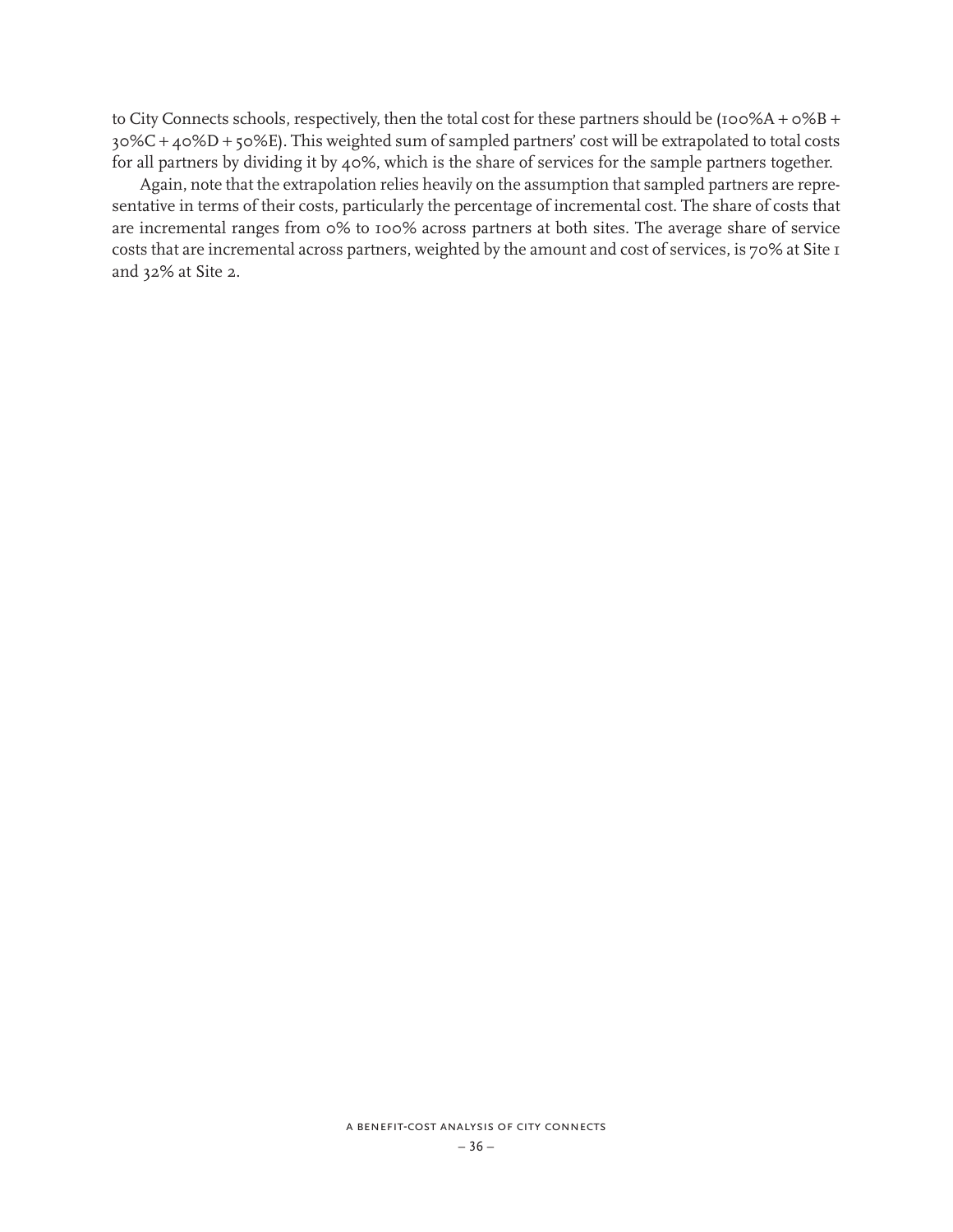to City Connects schools, respectively, then the total cost for these partners should be (100%A + 0%B + 30%C + 40%D + 50%E). This weighted sum of sampled partners' cost will be extrapolated to total costs for all partners by dividing it by 40%, which is the share of services for the sample partners together.

Again, note that the extrapolation relies heavily on the assumption that sampled partners are representative in terms of their costs, particularly the percentage of incremental cost. The share of costs that are incremental ranges from 0% to 100% across partners at both sites. The average share of service costs that are incremental across partners, weighted by the amount and cost of services, is 70% at Site 1 and 32% at Site 2.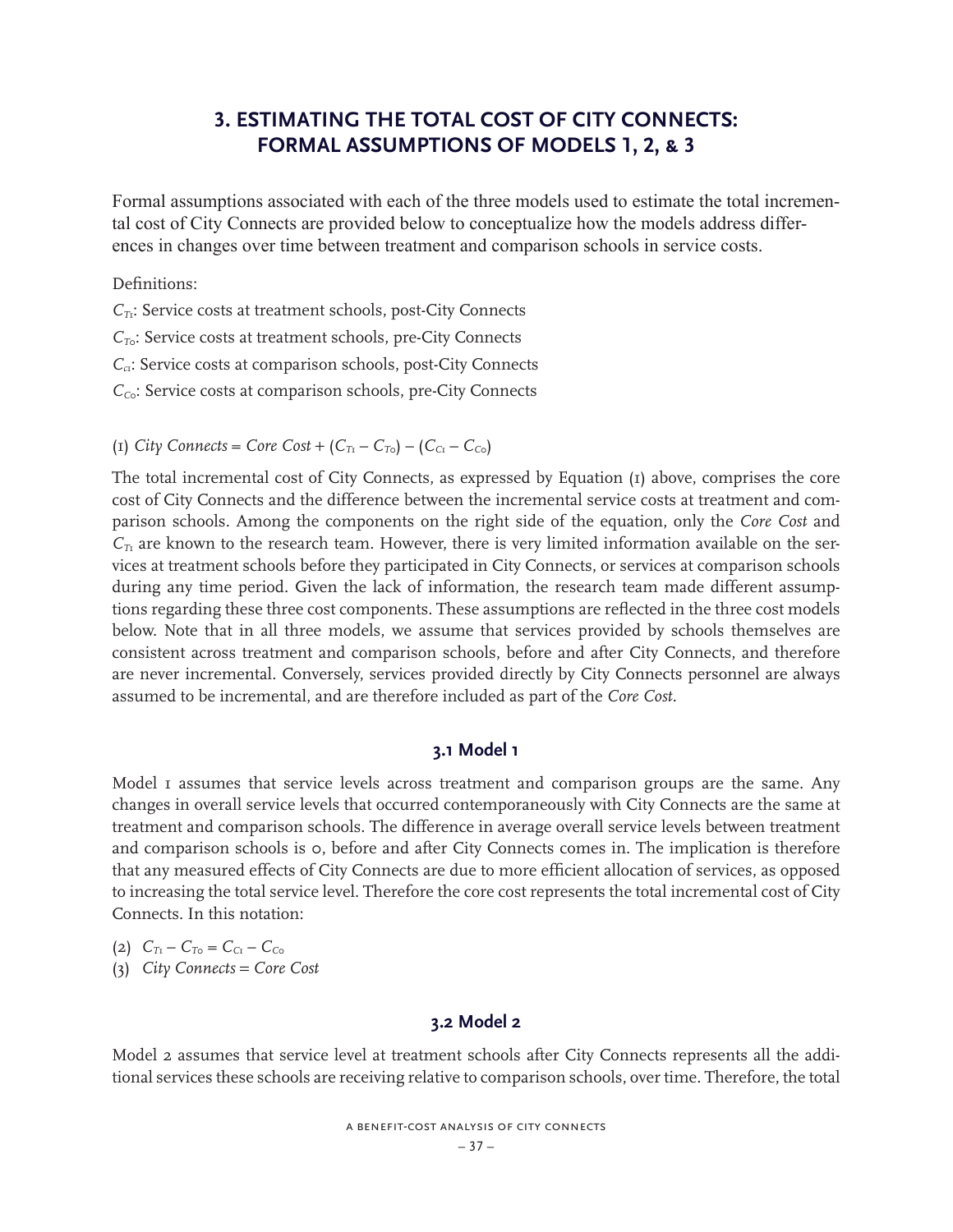# **3. ESTIMATING THE TOTAL COST OF CITY CONNECTS: FORMAL ASSUMPTIONS OF MODELS 1, 2, & 3**

Formal assumptions associated with each of the three models used to estimate the total incremental cost of City Connects are provided below to conceptualize how the models address differences in changes over time between treatment and comparison schools in service costs.

Definitions:

*C<sub>T1</sub>*: Service costs at treatment schools, post-City Connects *C*<sub>To</sub>: Service costs at treatment schools, pre-City Connects *C<sub>c1</sub>*: Service costs at comparison schools, post-City Connects *C<sub>Co</sub>*: Service costs at comparison schools, pre-City Connects

(1) *City Connects = Core Cost* +  $(C_{T_1} - C_{T_0}) - (C_{C_1} - C_{C_0})$ 

The total incremental cost of City Connects, as expressed by Equation (1) above, comprises the core cost of City Connects and the difference between the incremental service costs at treatment and comparison schools. Among the components on the right side of the equation, only the *Core Cost* and  $C_{T_1}$  are known to the research team. However, there is very limited information available on the services at treatment schools before they participated in City Connects, or services at comparison schools during any time period. Given the lack of information, the research team made different assumptions regarding these three cost components. These assumptions are reflected in the three cost models below. Note that in all three models, we assume that services provided by schools themselves are consistent across treatment and comparison schools, before and after City Connects, and therefore are never incremental. Conversely, services provided directly by City Connects personnel are always assumed to be incremental, and are therefore included as part of the *Core Cost.*

# **3.1 Model 1**

Model I assumes that service levels across treatment and comparison groups are the same. Any changes in overall service levels that occurred contemporaneously with City Connects are the same at treatment and comparison schools. The difference in average overall service levels between treatment and comparison schools is 0, before and after City Connects comes in. The implication is therefore that any measured effects of City Connects are due to more efficient allocation of services, as opposed to increasing the total service level. Therefore the core cost represents the total incremental cost of City Connects. In this notation:

(2)  $C_{T_1} - C_{T_0} = C_{C_1} - C_{C_0}$ 

(3) *City Connects* = *Core Cost*

### **3.2 Model 2**

Model 2 assumes that service level at treatment schools after City Connects represents all the additional services these schools are receiving relative to comparison schools, over time. Therefore, the total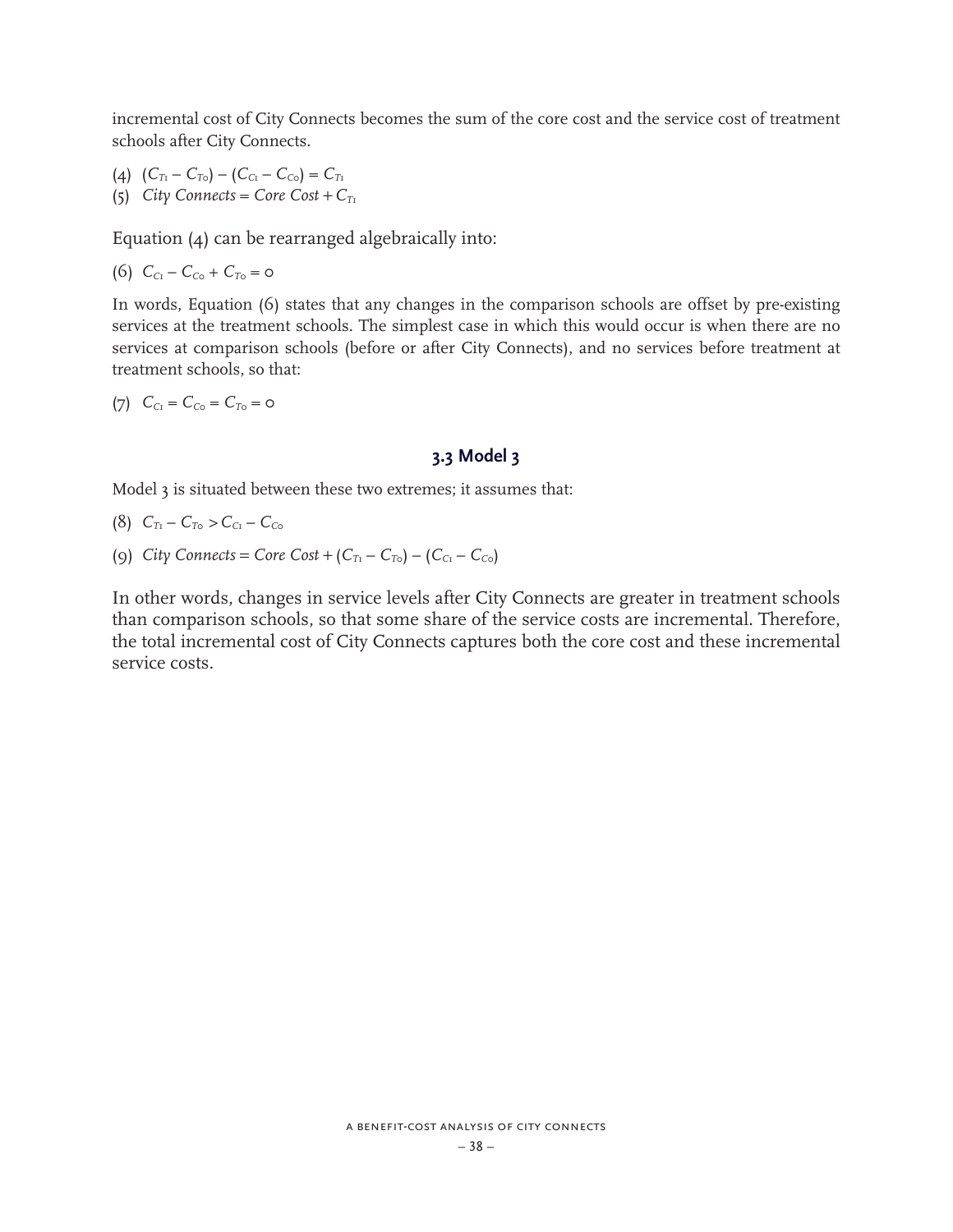incremental cost of City Connects becomes the sum of the core cost and the service cost of treatment schools after City Connects.

(4)  $(C_{T_1} - C_{T_0}) - (C_{C_1} - C_{C_0}) = C_{T_1}$ (5) *City Connects = Core*  $Cost + C_{T_1}$ 

Equation (4) can be rearranged algebraically into:

(6)  $C_{C_1} - C_{C_0} + C_{T_0} = 0$ 

In words, Equation (6) states that any changes in the comparison schools are offset by pre-existing services at the treatment schools. The simplest case in which this would occur is when there are no services at comparison schools (before or after City Connects), and no services before treatment at treatment schools, so that:

(7)  $C_{C_1} = C_{C_0} = C_{T_0} = 0$ 

# **3.3 Model 3**

Model 3 is situated between these two extremes; it assumes that:

- (8)  $C_{T_1} C_{T_0} > C_{C_1} C_{C_0}$
- (9) *City Connects* = *Core Cost* +  $(C_{T_1} C_{T_0}) (C_{C_1} C_{C_0})$

In other words, changes in service levels after City Connects are greater in treatment schools than comparison schools, so that some share of the service costs are incremental. Therefore, the total incremental cost of City Connects captures both the core cost and these incremental service costs.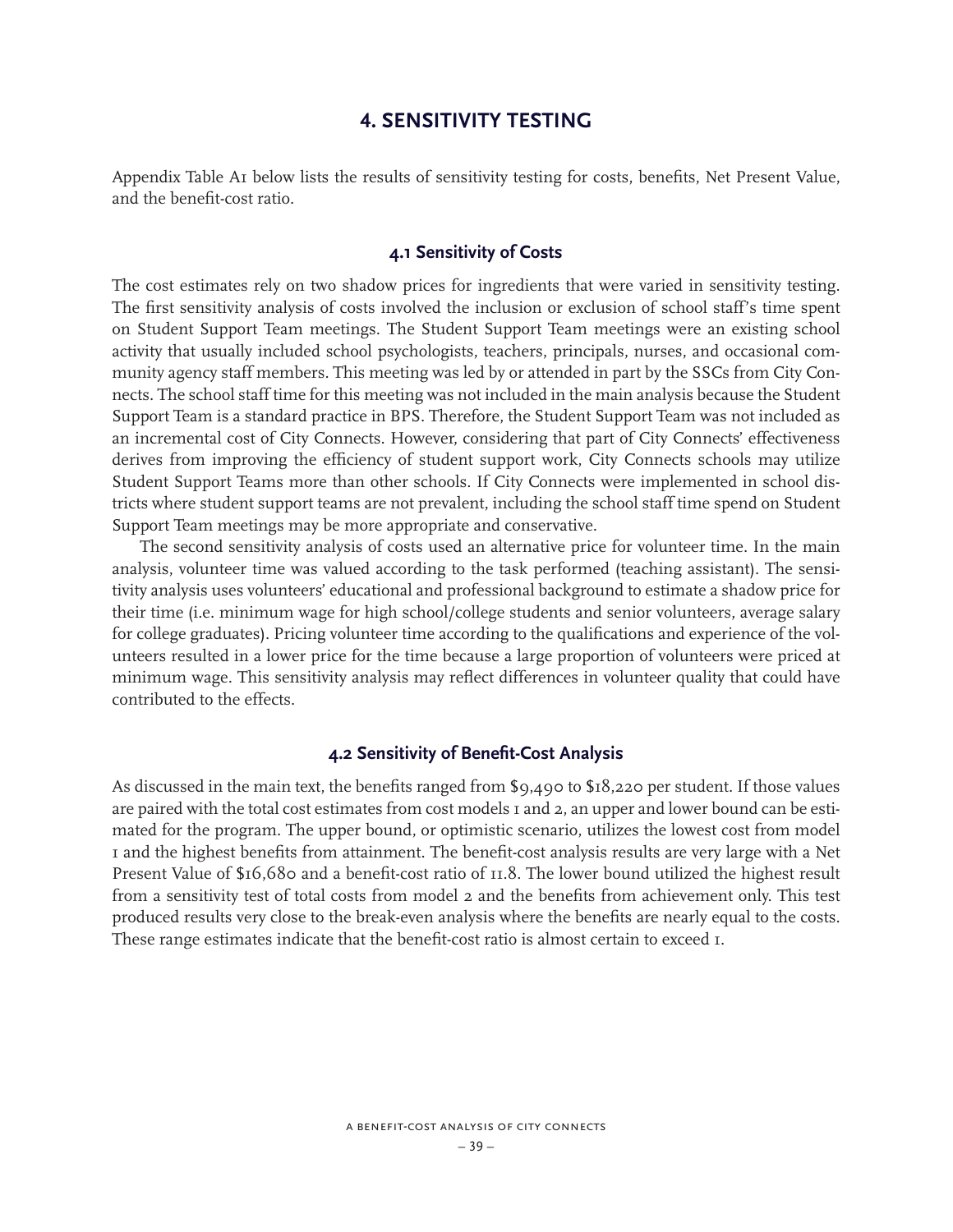# **4. SENSITIVITY TESTING**

Appendix Table A1 below lists the results of sensitivity testing for costs, benefits, Net Present Value, and the benefit-cost ratio.

### **4.1 Sensitivity of Costs**

The cost estimates rely on two shadow prices for ingredients that were varied in sensitivity testing. The first sensitivity analysis of costs involved the inclusion or exclusion of school staff's time spent on Student Support Team meetings. The Student Support Team meetings were an existing school activity that usually included school psychologists, teachers, principals, nurses, and occasional community agency staff members. This meeting was led by or attended in part by the SSCs from City Connects. The school staff time for this meeting was not included in the main analysis because the Student Support Team is a standard practice in BPS. Therefore, the Student Support Team was not included as an incremental cost of City Connects. However, considering that part of City Connects' effectiveness derives from improving the efficiency of student support work, City Connects schools may utilize Student Support Teams more than other schools. If City Connects were implemented in school districts where student support teams are not prevalent, including the school staff time spend on Student Support Team meetings may be more appropriate and conservative.

The second sensitivity analysis of costs used an alternative price for volunteer time. In the main analysis, volunteer time was valued according to the task performed (teaching assistant). The sensitivity analysis uses volunteers' educational and professional background to estimate a shadow price for their time (i.e. minimum wage for high school/college students and senior volunteers, average salary for college graduates). Pricing volunteer time according to the qualifications and experience of the volunteers resulted in a lower price for the time because a large proportion of volunteers were priced at minimum wage. This sensitivity analysis may reflect differences in volunteer quality that could have contributed to the effects.

### **4.2 Sensitivity of Benefit-Cost Analysis**

As discussed in the main text, the benefits ranged from \$9,490 to \$18,220 per student. If those values are paired with the total cost estimates from cost models 1 and 2, an upper and lower bound can be estimated for the program. The upper bound, or optimistic scenario, utilizes the lowest cost from model 1 and the highest benefits from attainment. The benefit-cost analysis results are very large with a Net Present Value of \$16,680 and a benefit-cost ratio of 11.8. The lower bound utilized the highest result from a sensitivity test of total costs from model 2 and the benefits from achievement only. This test produced results very close to the break-even analysis where the benefits are nearly equal to the costs. These range estimates indicate that the benefit-cost ratio is almost certain to exceed 1.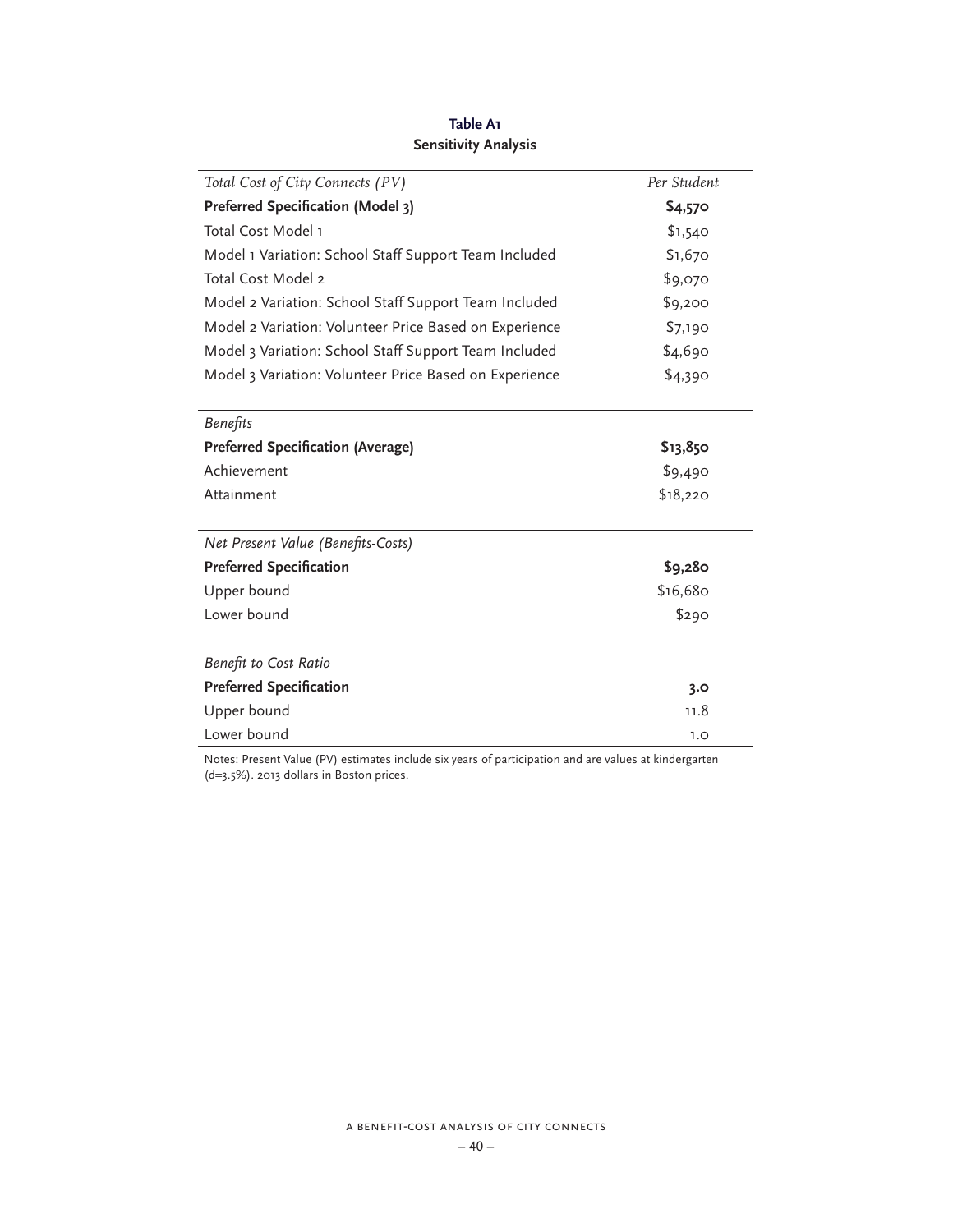| Total Cost of City Connects (PV)                       | Per Student |
|--------------------------------------------------------|-------------|
| Preferred Specification (Model 3)                      | \$4,570     |
| Total Cost Model 1                                     | \$1,540     |
| Model 1 Variation: School Staff Support Team Included  | \$1,670     |
| Total Cost Model 2                                     | \$9,070     |
| Model 2 Variation: School Staff Support Team Included  | \$9,200     |
| Model 2 Variation: Volunteer Price Based on Experience | \$7,190     |
| Model 3 Variation: School Staff Support Team Included  | \$4,690     |
| Model 3 Variation: Volunteer Price Based on Experience | \$4,390     |
| <b>Benefits</b>                                        |             |
| <b>Preferred Specification (Average)</b>               | \$13,850    |
| Achievement                                            | \$9,490     |
| Attainment                                             | \$18,220    |
| Net Present Value (Benefits-Costs)                     |             |
| <b>Preferred Specification</b>                         | \$9,280     |
| Upper bound                                            | \$16,680    |
| Lower bound                                            | \$290       |
| Benefit to Cost Ratio                                  |             |
| <b>Preferred Specification</b>                         | 3.0         |
| Upper bound                                            | 11.8        |
| Lower bound                                            | 1.0         |

**Table A1 Sensitivity Analysis**

Notes: Present Value (PV) estimates include six years of participation and are values at kindergarten (d=3.5%). 2013 dollars in Boston prices.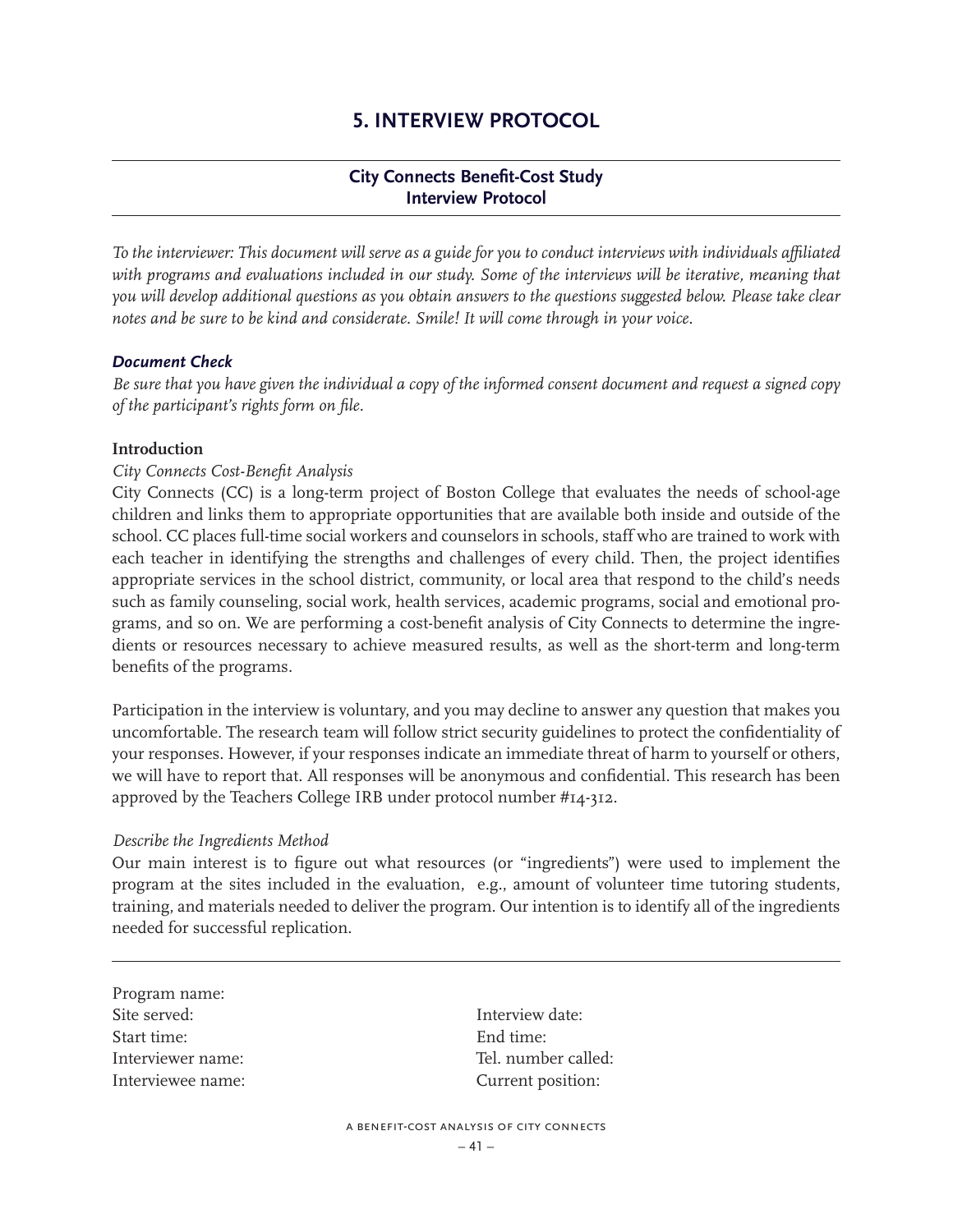# **5. INTERVIEW PROTOCOL**

# **City Connects Benefit-Cost Study Interview Protocol**

*To the interviewer: This document will serve as a guide for you to conduct interviews with individuals affiliated*  with programs and evaluations included in our study. Some of the interviews will be iterative, meaning that *you will develop additional questions as you obtain answers to the questions suggested below. Please take clear notes and be sure to be kind and considerate. Smile! It will come through in your voice.* 

### *Document Check*

*Be sure that you have given the individual a copy of the informed consent document and request a signed copy of the participant's rights form on file.* 

### **Introduction**

# *City Connects Cost-Benefit Analysis*

City Connects (CC) is a long-term project of Boston College that evaluates the needs of school-age children and links them to appropriate opportunities that are available both inside and outside of the school. CC places full-time social workers and counselors in schools, staff who are trained to work with each teacher in identifying the strengths and challenges of every child. Then, the project identifies appropriate services in the school district, community, or local area that respond to the child's needs such as family counseling, social work, health services, academic programs, social and emotional programs, and so on. We are performing a cost-benefit analysis of City Connects to determine the ingredients or resources necessary to achieve measured results, as well as the short-term and long-term benefits of the programs.

Participation in the interview is voluntary, and you may decline to answer any question that makes you uncomfortable. The research team will follow strict security guidelines to protect the confidentiality of your responses. However, if your responses indicate an immediate threat of harm to yourself or others, we will have to report that. All responses will be anonymous and confidential. This research has been approved by the Teachers College IRB under protocol number #14-312.

### *Describe the Ingredients Method*

Our main interest is to figure out what resources (or "ingredients") were used to implement the program at the sites included in the evaluation, e.g., amount of volunteer time tutoring students, training, and materials needed to deliver the program. Our intention is to identify all of the ingredients needed for successful replication.

Program name: Site served: The served: Start time: End time: Interviewee name: Current position:

Interviewer name: Tel. number called: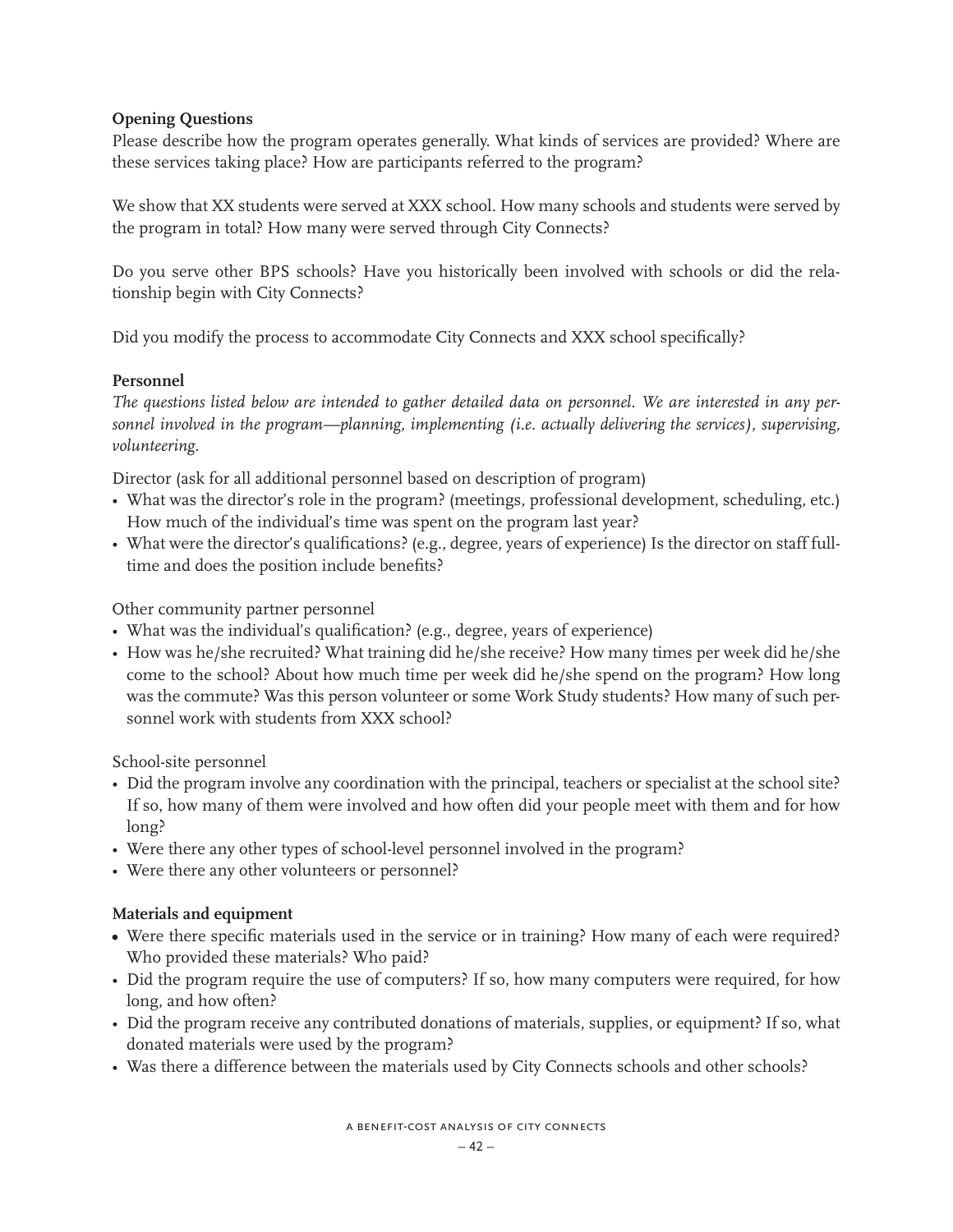# **Opening Questions**

Please describe how the program operates generally. What kinds of services are provided? Where are these services taking place? How are participants referred to the program?

We show that XX students were served at XXX school. How many schools and students were served by the program in total? How many were served through City Connects?

Do you serve other BPS schools? Have you historically been involved with schools or did the relationship begin with City Connects?

Did you modify the process to accommodate City Connects and XXX school specifically?

# **Personnel**

*The questions listed below are intended to gather detailed data on personnel. We are interested in any personnel involved in the program—planning, implementing (i.e. actually delivering the services), supervising, volunteering.* 

Director (ask for all additional personnel based on description of program)

- What was the director's role in the program? (meetings, professional development, scheduling, etc.) How much of the individual's time was spent on the program last year?
- What were the director's qualifications? (e.g., degree, years of experience) Is the director on staff fulltime and does the position include benefits?

Other community partner personnel

- What was the individual's qualification? (e.g., degree, years of experience)
- How was he/she recruited? What training did he/she receive? How many times per week did he/she come to the school? About how much time per week did he/she spend on the program? How long was the commute? Was this person volunteer or some Work Study students? How many of such personnel work with students from XXX school?

School-site personnel

- Did the program involve any coordination with the principal, teachers or specialist at the school site? If so, how many of them were involved and how often did your people meet with them and for how long?
- Were there any other types of school-level personnel involved in the program?
- Were there any other volunteers or personnel?

# **Materials and equipment**

- Were there specific materials used in the service or in training? How many of each were required? Who provided these materials? Who paid?
- Did the program require the use of computers? If so, how many computers were required, for how long, and how often?
- Did the program receive any contributed donations of materials, supplies, or equipment? If so, what donated materials were used by the program?
- Was there a difference between the materials used by City Connects schools and other schools?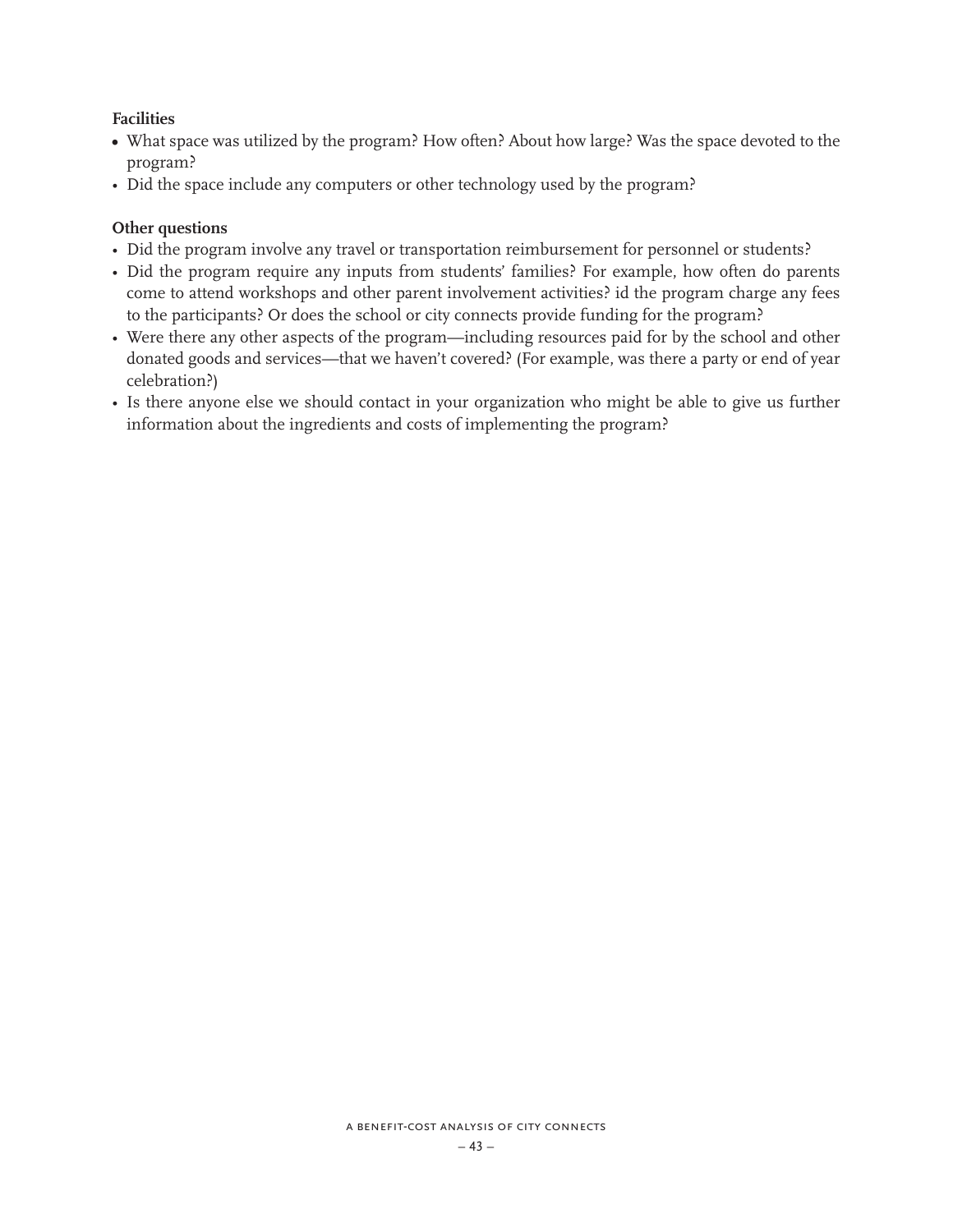# **Facilities**

- What space was utilized by the program? How often? About how large? Was the space devoted to the program?
- Did the space include any computers or other technology used by the program?

### **Other questions**

- Did the program involve any travel or transportation reimbursement for personnel or students?
- Did the program require any inputs from students' families? For example, how often do parents come to attend workshops and other parent involvement activities? id the program charge any fees to the participants? Or does the school or city connects provide funding for the program?
- Were there any other aspects of the program—including resources paid for by the school and other donated goods and services—that we haven't covered? (For example, was there a party or end of year celebration?)
- Is there anyone else we should contact in your organization who might be able to give us further information about the ingredients and costs of implementing the program?